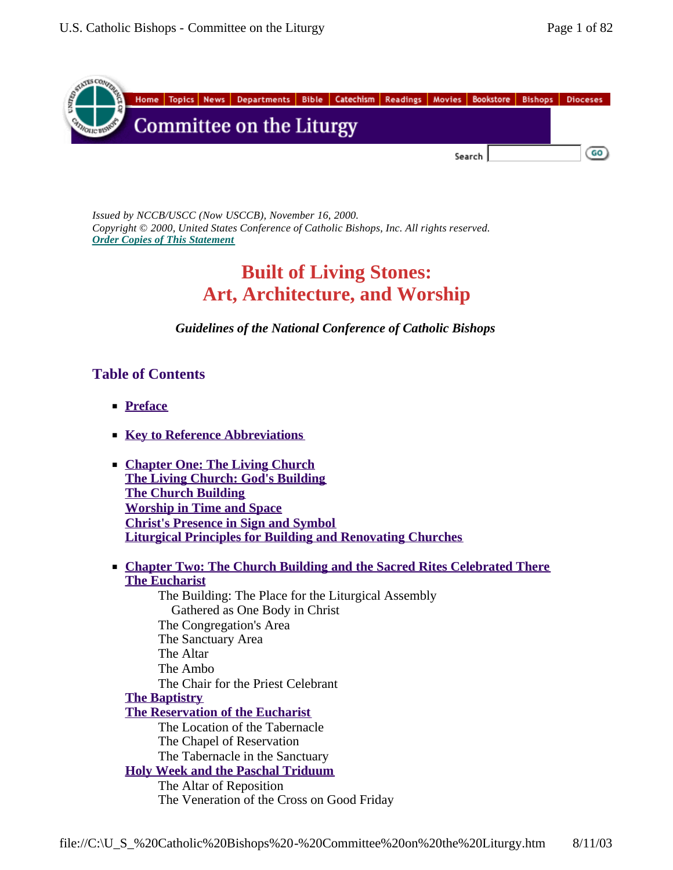

*Issued by NCCB/USCC (Now USCCB), November 16, 2000. Copyright © 2000, United States Conference of Catholic Bishops, Inc. All rights reserved. Order Copies of This Statement*

# **Built of Living Stones: Art, Architecture, and Worship**

*Guidelines of the National Conference of Catholic Bishops*

# **Table of Contents**

- <sup>n</sup> **Preface**
- **Example 1 Key to Reference Abbreviations**
- **n** Chapter One: The Living Church **The Living Church: God's Building The Church Building Worship in Time and Space Christ's Presence in Sign and Symbol Liturgical Principles for Building and Renovating Churches**
- **n Chapter Two: The Church Building and the Sacred Rites Celebrated There The Eucharist**

The Building: The Place for the Liturgical Assembly Gathered as One Body in Christ The Congregation's Area The Sanctuary Area The Altar The Ambo The Chair for the Priest Celebrant

# **The Baptistry**

#### **The Reservation of the Eucharist**

The Location of the Tabernacle The Chapel of Reservation The Tabernacle in the Sanctuary

# **Holy Week and the Paschal Triduum**

The Altar of Reposition The Veneration of the Cross on Good Friday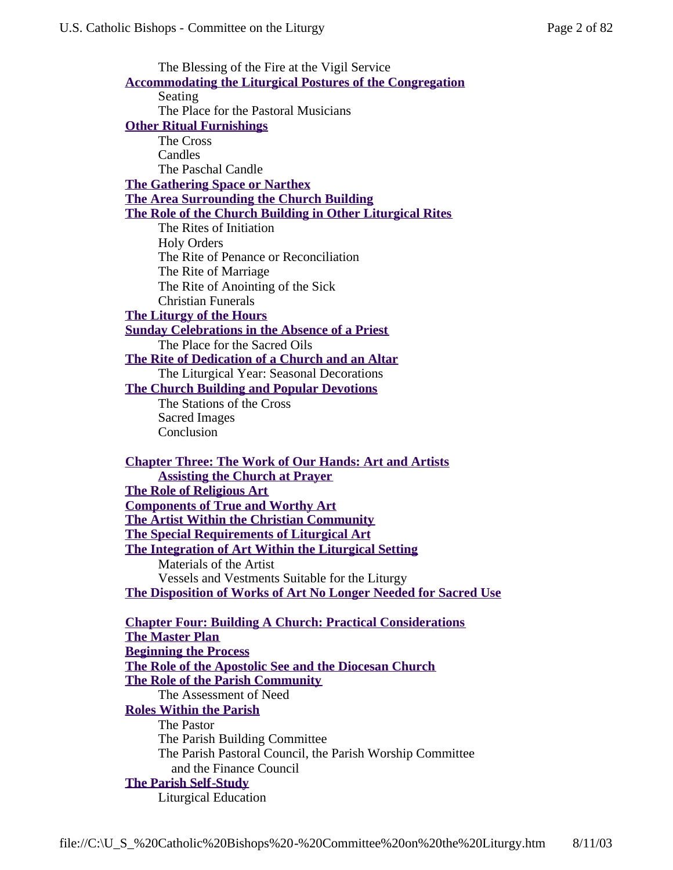The Blessing of the Fire at the Vigil Service **Accommodating the Liturgical Postures of the Congregation** Seating The Place for the Pastoral Musicians **Other Ritual Furnishings** The Cross Candles The Paschal Candle **The Gathering Space or Narthex The Area Surrounding the Church Building The Role of the Church Building in Other Liturgical Rites** The Rites of Initiation Holy Orders The Rite of Penance or Reconciliation The Rite of Marriage The Rite of Anointing of the Sick Christian Funerals **The Liturgy of the Hours Sunday Celebrations in the Absence of a Priest** The Place for the Sacred Oils **The Rite of Dedication of a Church and an Altar** The Liturgical Year: Seasonal Decorations **The Church Building and Popular Devotions** The Stations of the Cross Sacred Images Conclusion **Chapter Three: The Work of Our Hands: Art and Artists Assisting the Church at Prayer The Role of Religious Art Components of True and Worthy Art The Artist Within the Christian Community The Special Requirements of Liturgical Art The Integration of Art Within the Liturgical Setting** Materials of the Artist Vessels and Vestments Suitable for the Liturgy **The Disposition of Works of Art No Longer Needed for Sacred Use Chapter Four: Building A Church: Practical Considerations The Master Plan Beginning the Process The Role of the Apostolic See and the Diocesan Church The Role of the Parish Community** The Assessment of Need **Roles Within the Parish** The Pastor The Parish Building Committee The Parish Pastoral Council, the Parish Worship Committee and the Finance Council **The Parish Self-Study** Liturgical Education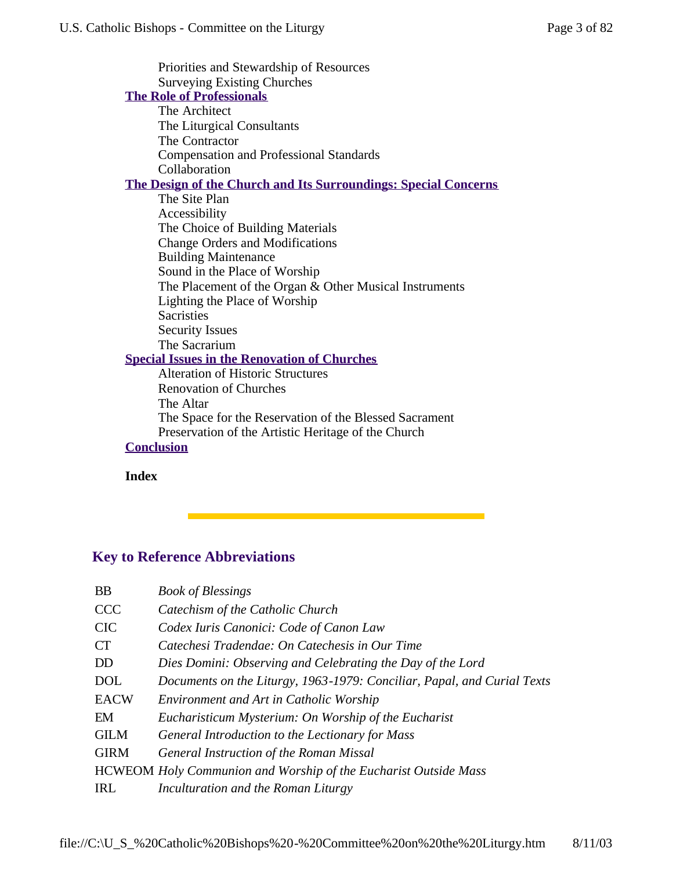Priorities and Stewardship of Resources Surveying Existing Churches **The Role of Professionals** The Architect The Liturgical Consultants The Contractor Compensation and Professional Standards Collaboration **The Design of the Church and Its Surroundings: Special Concerns** The Site Plan Accessibility The Choice of Building Materials Change Orders and Modifications Building Maintenance Sound in the Place of Worship The Placement of the Organ & Other Musical Instruments Lighting the Place of Worship **Sacristies** Security Issues The Sacrarium **Special Issues in the Renovation of Churches** Alteration of Historic Structures Renovation of Churches The Altar The Space for the Reservation of the Blessed Sacrament Preservation of the Artistic Heritage of the Church **Conclusion**

# **Index**

#### **Key to Reference Abbreviations**

| <b>BB</b>   | <b>Book of Blessings</b>                                                |
|-------------|-------------------------------------------------------------------------|
| <b>CCC</b>  | Catechism of the Catholic Church                                        |
| <b>CIC</b>  | Codex Iuris Canonici: Code of Canon Law                                 |
| CT          | Catechesi Tradendae: On Catechesis in Our Time                          |
| <b>DD</b>   | Dies Domini: Observing and Celebrating the Day of the Lord              |
| <b>DOL</b>  | Documents on the Liturgy, 1963-1979: Conciliar, Papal, and Curial Texts |
| <b>EACW</b> | <b>Environment and Art in Catholic Worship</b>                          |
| EM          | Eucharisticum Mysterium: On Worship of the Eucharist                    |
| <b>GILM</b> | General Introduction to the Lectionary for Mass                         |
| <b>GIRM</b> | General Instruction of the Roman Missal                                 |
|             | HCWEOM Holy Communion and Worship of the Eucharist Outside Mass         |
| <b>IRL</b>  | Inculturation and the Roman Liturgy                                     |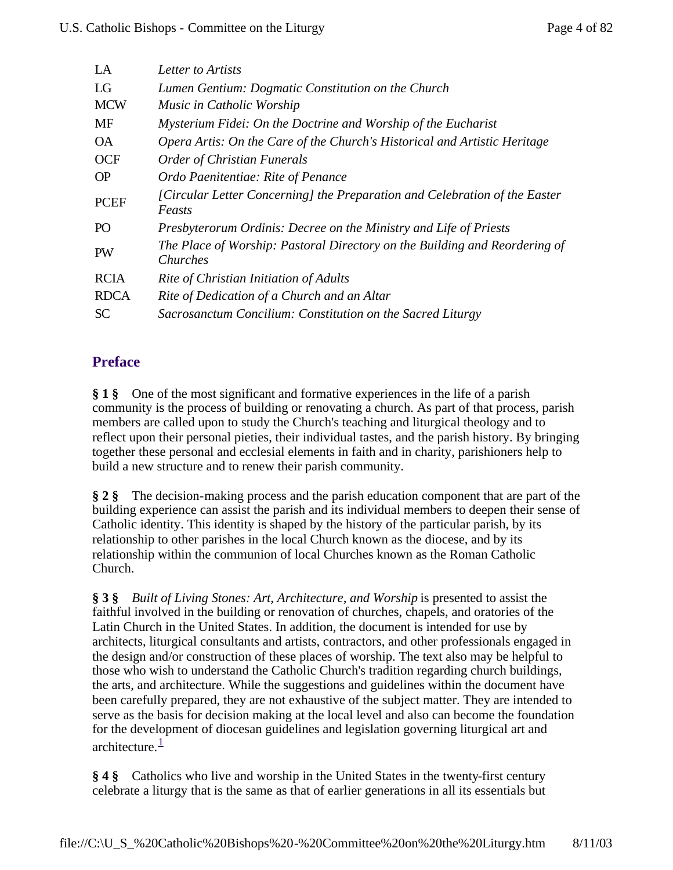| Letter to Artists                                                                      |
|----------------------------------------------------------------------------------------|
| Lumen Gentium: Dogmatic Constitution on the Church                                     |
| Music in Catholic Worship                                                              |
| Mysterium Fidei: On the Doctrine and Worship of the Eucharist                          |
| Opera Artis: On the Care of the Church's Historical and Artistic Heritage              |
| <b>Order of Christian Funerals</b>                                                     |
| Ordo Paenitentiae: Rite of Penance                                                     |
| [Circular Letter Concerning] the Preparation and Celebration of the Easter<br>Feasts   |
| Presbyterorum Ordinis: Decree on the Ministry and Life of Priests                      |
| The Place of Worship: Pastoral Directory on the Building and Reordering of<br>Churches |
| Rite of Christian Initiation of Adults                                                 |
| Rite of Dedication of a Church and an Altar                                            |
| Sacrosanctum Concilium: Constitution on the Sacred Liturgy                             |
|                                                                                        |

# **Preface**

**§ 1 §** One of the most significant and formative experiences in the life of a parish community is the process of building or renovating a church. As part of that process, parish members are called upon to study the Church's teaching and liturgical theology and to reflect upon their personal pieties, their individual tastes, and the parish history. By bringing together these personal and ecclesial elements in faith and in charity, parishioners help to build a new structure and to renew their parish community.

**§ 2 §** The decision-making process and the parish education component that are part of the building experience can assist the parish and its individual members to deepen their sense of Catholic identity. This identity is shaped by the history of the particular parish, by its relationship to other parishes in the local Church known as the diocese, and by its relationship within the communion of local Churches known as the Roman Catholic Church.

**§ 3 §** *Built of Living Stones: Art, Architecture, and Worship* is presented to assist the faithful involved in the building or renovation of churches, chapels, and oratories of the Latin Church in the United States. In addition, the document is intended for use by architects, liturgical consultants and artists, contractors, and other professionals engaged in the design and/or construction of these places of worship. The text also may be helpful to those who wish to understand the Catholic Church's tradition regarding church buildings, the arts, and architecture. While the suggestions and guidelines within the document have been carefully prepared, they are not exhaustive of the subject matter. They are intended to serve as the basis for decision making at the local level and also can become the foundation for the development of diocesan guidelines and legislation governing liturgical art and architecture. $\frac{1}{1}$ 

**§ 4 §** Catholics who live and worship in the United States in the twenty-first century celebrate a liturgy that is the same as that of earlier generations in all its essentials but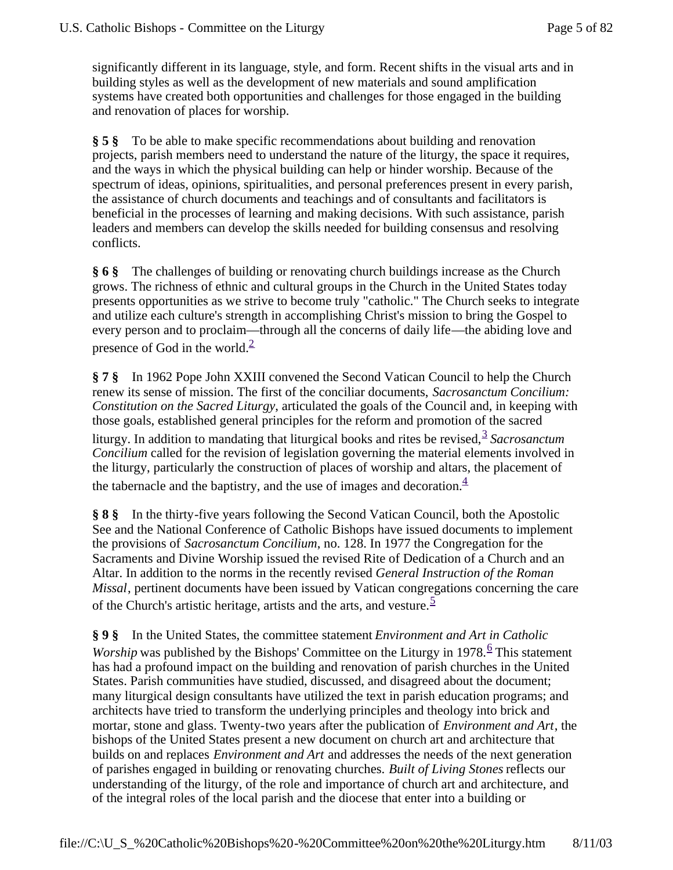significantly different in its language, style, and form. Recent shifts in the visual arts and in building styles as well as the development of new materials and sound amplification systems have created both opportunities and challenges for those engaged in the building and renovation of places for worship.

**§ 5 §** To be able to make specific recommendations about building and renovation projects, parish members need to understand the nature of the liturgy, the space it requires, and the ways in which the physical building can help or hinder worship. Because of the spectrum of ideas, opinions, spiritualities, and personal preferences present in every parish, the assistance of church documents and teachings and of consultants and facilitators is beneficial in the processes of learning and making decisions. With such assistance, parish leaders and members can develop the skills needed for building consensus and resolving conflicts.

**§ 6 §** The challenges of building or renovating church buildings increase as the Church grows. The richness of ethnic and cultural groups in the Church in the United States today presents opportunities as we strive to become truly "catholic." The Church seeks to integrate and utilize each culture's strength in accomplishing Christ's mission to bring the Gospel to every person and to proclaim—through all the concerns of daily life—the abiding love and presence of God in the world. $^{2}$ 

**§ 7 §** In 1962 Pope John XXIII convened the Second Vatican Council to help the Church renew its sense of mission. The first of the conciliar documents, *Sacrosanctum Concilium: Constitution on the Sacred Liturgy*, articulated the goals of the Council and, in keeping with those goals, established general principles for the reform and promotion of the sacred liturgy. In addition to mandating that liturgical books and rites be revised, <sup>3</sup> Sacrosanctum *Concilium* called for the revision of legislation governing the material elements involved in the liturgy, particularly the construction of places of worship and altars, the placement of the tabernacle and the baptistry, and the use of images and decoration. $4$ 

**§ 8 §** In the thirty-five years following the Second Vatican Council, both the Apostolic See and the National Conference of Catholic Bishops have issued documents to implement the provisions of *Sacrosanctum Concilium*, no. 128. In 1977 the Congregation for the Sacraments and Divine Worship issued the revised Rite of Dedication of a Church and an Altar. In addition to the norms in the recently revised *General Instruction of the Roman Missal*, pertinent documents have been issued by Vatican congregations concerning the care of the Church's artistic heritage, artists and the arts, and vesture.<sup>5</sup>

**§ 9 §** In the United States, the committee statement *Environment and Art in Catholic Worship* was published by the Bishops' Committee on the Liturgy in 1978.<sup>6</sup> This statement has had a profound impact on the building and renovation of parish churches in the United States. Parish communities have studied, discussed, and disagreed about the document; many liturgical design consultants have utilized the text in parish education programs; and architects have tried to transform the underlying principles and theology into brick and mortar, stone and glass. Twenty-two years after the publication of *Environment and Art*, the bishops of the United States present a new document on church art and architecture that builds on and replaces *Environment and Art* and addresses the needs of the next generation of parishes engaged in building or renovating churches. *Built of Living Stones* reflects our understanding of the liturgy, of the role and importance of church art and architecture, and of the integral roles of the local parish and the diocese that enter into a building or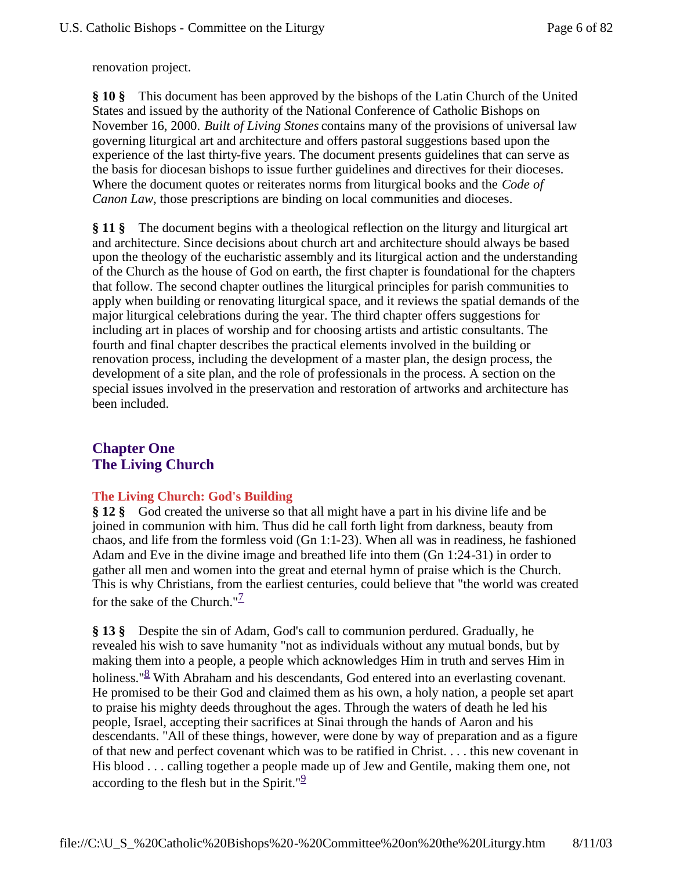renovation project.

**§ 10 §** This document has been approved by the bishops of the Latin Church of the United States and issued by the authority of the National Conference of Catholic Bishops on November 16, 2000. *Built of Living Stones* contains many of the provisions of universal law governing liturgical art and architecture and offers pastoral suggestions based upon the experience of the last thirty-five years. The document presents guidelines that can serve as the basis for diocesan bishops to issue further guidelines and directives for their dioceses. Where the document quotes or reiterates norms from liturgical books and the *Code of Canon Law*, those prescriptions are binding on local communities and dioceses.

**§ 11 §** The document begins with a theological reflection on the liturgy and liturgical art and architecture. Since decisions about church art and architecture should always be based upon the theology of the eucharistic assembly and its liturgical action and the understanding of the Church as the house of God on earth, the first chapter is foundational for the chapters that follow. The second chapter outlines the liturgical principles for parish communities to apply when building or renovating liturgical space, and it reviews the spatial demands of the major liturgical celebrations during the year. The third chapter offers suggestions for including art in places of worship and for choosing artists and artistic consultants. The fourth and final chapter describes the practical elements involved in the building or renovation process, including the development of a master plan, the design process, the development of a site plan, and the role of professionals in the process. A section on the special issues involved in the preservation and restoration of artworks and architecture has been included.

# **Chapter One The Living Church**

# **The Living Church: God's Building**

**§ 12 §** God created the universe so that all might have a part in his divine life and be joined in communion with him. Thus did he call forth light from darkness, beauty from chaos, and life from the formless void (Gn 1:1-23). When all was in readiness, he fashioned Adam and Eve in the divine image and breathed life into them (Gn 1:24-31) in order to gather all men and women into the great and eternal hymn of praise which is the Church. This is why Christians, from the earliest centuries, could believe that "the world was created for the sake of the Church." $\frac{7}{2}$ 

**§ 13 §** Despite the sin of Adam, God's call to communion perdured. Gradually, he revealed his wish to save humanity "not as individuals without any mutual bonds, but by making them into a people, a people which acknowledges Him in truth and serves Him in holiness."<sup>8</sup> With Abraham and his descendants, God entered into an everlasting covenant. He promised to be their God and claimed them as his own, a holy nation, a people set apart to praise his mighty deeds throughout the ages. Through the waters of death he led his people, Israel, accepting their sacrifices at Sinai through the hands of Aaron and his descendants. "All of these things, however, were done by way of preparation and as a figure of that new and perfect covenant which was to be ratified in Christ. . . . this new covenant in His blood . . . calling together a people made up of Jew and Gentile, making them one, not according to the flesh but in the Spirit." $\frac{9}{2}$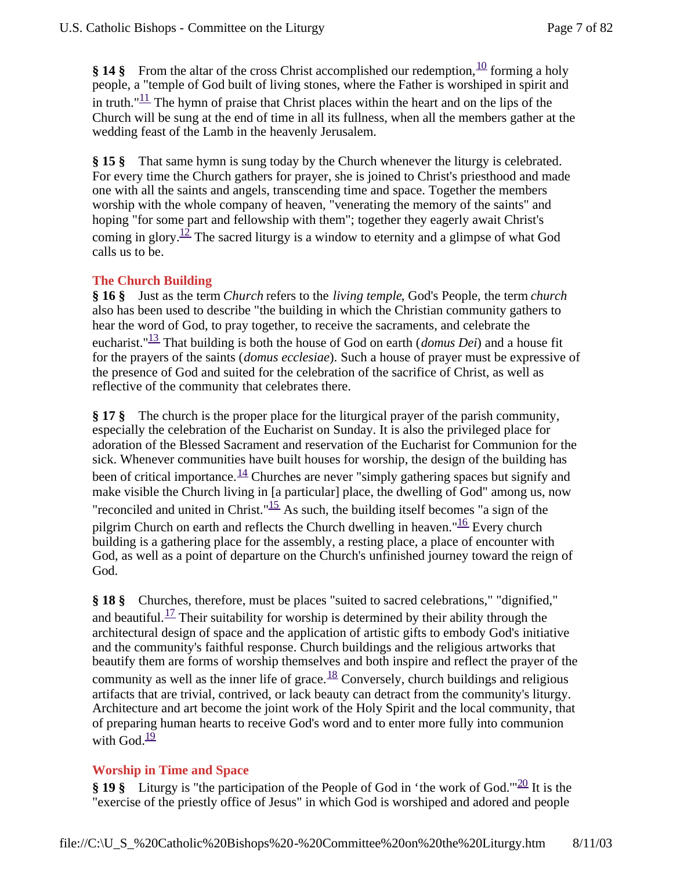§ **14** § From the altar of the cross Christ accomplished our redemption,  $\frac{10}{10}$  forming a holy people, a "temple of God built of living stones, where the Father is worshiped in spirit and in truth." $\frac{11}{11}$  The hymn of praise that Christ places within the heart and on the lips of the Church will be sung at the end of time in all its fullness, when all the members gather at the wedding feast of the Lamb in the heavenly Jerusalem.

**§ 15 §** That same hymn is sung today by the Church whenever the liturgy is celebrated. For every time the Church gathers for prayer, she is joined to Christ's priesthood and made one with all the saints and angels, transcending time and space. Together the members worship with the whole company of heaven, "venerating the memory of the saints" and hoping "for some part and fellowship with them"; together they eagerly await Christ's coming in glory.<sup>12</sup> The sacred liturgy is a window to eternity and a glimpse of what God calls us to be.

# **The Church Building**

**§ 16 §** Just as the term *Church* refers to the *living temple*, God's People, the term *church* also has been used to describe "the building in which the Christian community gathers to hear the word of God, to pray together, to receive the sacraments, and celebrate the eucharist."13 That building is both the house of God on earth (*domus Dei*) and a house fit for the prayers of the saints (*domus ecclesiae*). Such a house of prayer must be expressive of the presence of God and suited for the celebration of the sacrifice of Christ, as well as reflective of the community that celebrates there.

**§ 17 §** The church is the proper place for the liturgical prayer of the parish community, especially the celebration of the Eucharist on Sunday. It is also the privileged place for adoration of the Blessed Sacrament and reservation of the Eucharist for Communion for the sick. Whenever communities have built houses for worship, the design of the building has been of critical importance.<sup>14</sup> Churches are never "simply gathering spaces but signify and make visible the Church living in [a particular] place, the dwelling of God" among us, now "reconciled and united in Christ."<sup>15</sup> As such, the building itself becomes "a sign of the pilgrim Church on earth and reflects the Church dwelling in heaven." $\frac{16}{16}$  Every church building is a gathering place for the assembly, a resting place, a place of encounter with God, as well as a point of departure on the Church's unfinished journey toward the reign of God.

**§ 18 §** Churches, therefore, must be places "suited to sacred celebrations," "dignified," and beautiful.<sup>17</sup> Their suitability for worship is determined by their ability through the architectural design of space and the application of artistic gifts to embody God's initiative and the community's faithful response. Church buildings and the religious artworks that beautify them are forms of worship themselves and both inspire and reflect the prayer of the community as well as the inner life of grace.<sup>18</sup> Conversely, church buildings and religious artifacts that are trivial, contrived, or lack beauty can detract from the community's liturgy. Architecture and art become the joint work of the Holy Spirit and the local community, that of preparing human hearts to receive God's word and to enter more fully into communion with God $\frac{19}{2}$ 

# **Worship in Time and Space**

**§ 19 §** Liturgy is "the participation of the People of God in 'the work of God.'"20 It is the "exercise of the priestly office of Jesus" in which God is worshiped and adored and people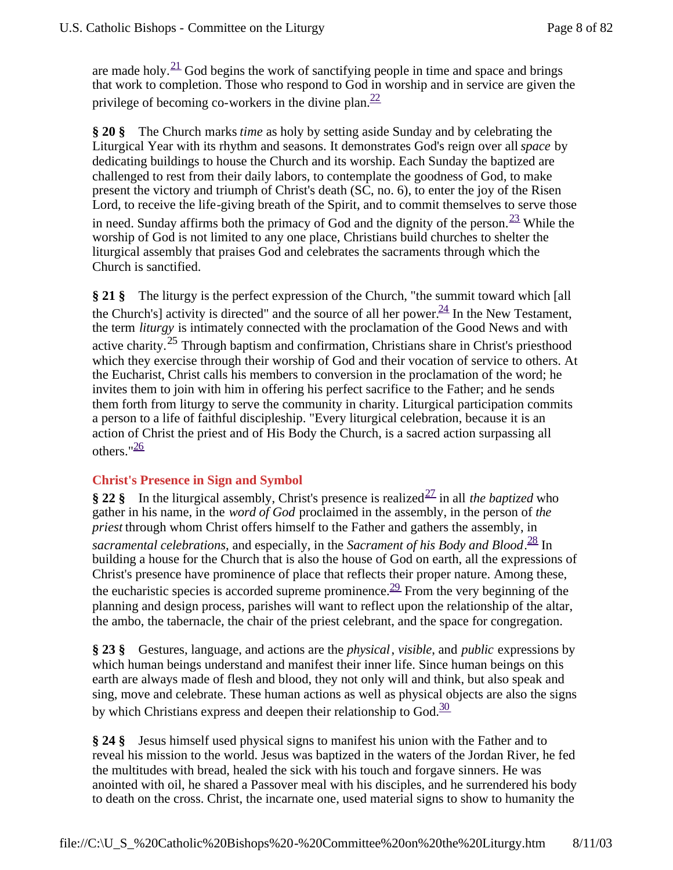are made holy. $\frac{21}{1}$  God begins the work of sanctifying people in time and space and brings that work to completion. Those who respond to God in worship and in service are given the privilege of becoming co-workers in the divine plan. $\frac{22}{2}$ 

**§ 20 §** The Church marks *time* as holy by setting aside Sunday and by celebrating the Liturgical Year with its rhythm and seasons. It demonstrates God's reign over all *space* by dedicating buildings to house the Church and its worship. Each Sunday the baptized are challenged to rest from their daily labors, to contemplate the goodness of God, to make present the victory and triumph of Christ's death (SC, no. 6), to enter the joy of the Risen Lord, to receive the life-giving breath of the Spirit, and to commit themselves to serve those in need. Sunday affirms both the primacy of God and the dignity of the person. $\frac{23}{12}$  While the worship of God is not limited to any one place, Christians build churches to shelter the liturgical assembly that praises God and celebrates the sacraments through which the Church is sanctified.

**§ 21 §** The liturgy is the perfect expression of the Church, "the summit toward which [all the Church's] activity is directed" and the source of all her power.  $^{24}$  In the New Testament, the term *liturgy* is intimately connected with the proclamation of the Good News and with active charity.25 Through baptism and confirmation, Christians share in Christ's priesthood which they exercise through their worship of God and their vocation of service to others. At the Eucharist, Christ calls his members to conversion in the proclamation of the word; he invites them to join with him in offering his perfect sacrifice to the Father; and he sends them forth from liturgy to serve the community in charity. Liturgical participation commits a person to a life of faithful discipleship. "Every liturgical celebration, because it is an action of Christ the priest and of His Body the Church, is a sacred action surpassing all others. $\frac{0.26}{2}$ 

# **Christ's Presence in Sign and Symbol**

**§** 22 § In the liturgical assembly, Christ's presence is realized<sup>27</sup> in all *the baptized* who gather in his name, in the *word of God* proclaimed in the assembly, in the person of *the priest* through whom Christ offers himself to the Father and gathers the assembly, in *sacramental celebrations*, and especially, in the *Sacrament of his Body and Blood*. <sup>28</sup> In building a house for the Church that is also the house of God on earth, all the expressions of Christ's presence have prominence of place that reflects their proper nature. Among these, the eucharistic species is accorded supreme prominence.<sup>29</sup> From the very beginning of the planning and design process, parishes will want to reflect upon the relationship of the altar, the ambo, the tabernacle, the chair of the priest celebrant, and the space for congregation.

**§ 23 §** Gestures, language, and actions are the *physical*, *visible*, and *public* expressions by which human beings understand and manifest their inner life. Since human beings on this earth are always made of flesh and blood, they not only will and think, but also speak and sing, move and celebrate. These human actions as well as physical objects are also the signs by which Christians express and deepen their relationship to  $God.\overline{30}$ 

**§ 24 §** Jesus himself used physical signs to manifest his union with the Father and to reveal his mission to the world. Jesus was baptized in the waters of the Jordan River, he fed the multitudes with bread, healed the sick with his touch and forgave sinners. He was anointed with oil, he shared a Passover meal with his disciples, and he surrendered his body to death on the cross. Christ, the incarnate one, used material signs to show to humanity the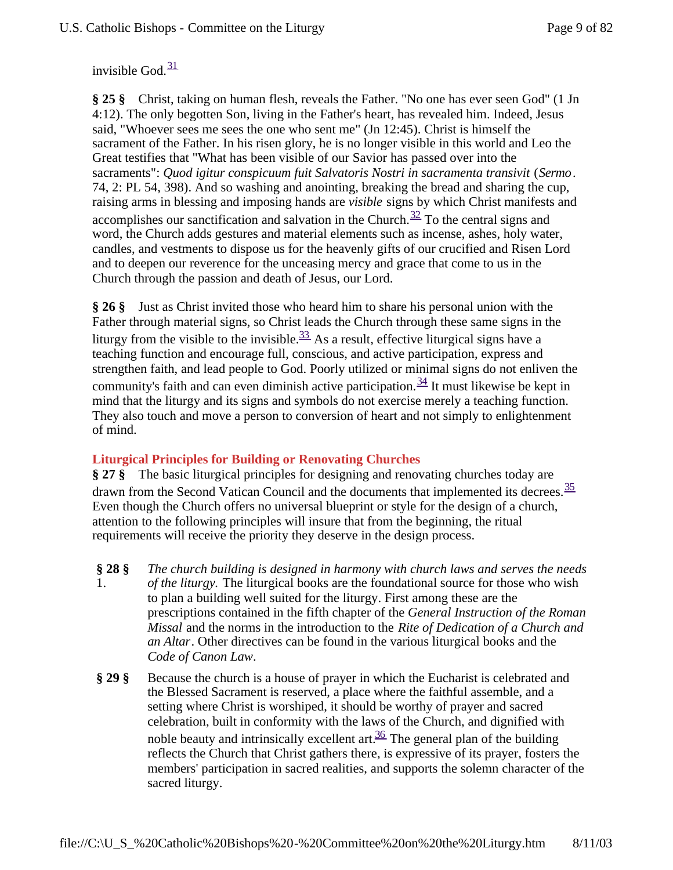invisible  $God.\overline{31}$ 

**§ 25 §** Christ, taking on human flesh, reveals the Father. "No one has ever seen God" (1 Jn 4:12). The only begotten Son, living in the Father's heart, has revealed him. Indeed, Jesus said, "Whoever sees me sees the one who sent me" (Jn 12:45). Christ is himself the sacrament of the Father. In his risen glory, he is no longer visible in this world and Leo the Great testifies that "What has been visible of our Savior has passed over into the sacraments": *Quod igitur conspicuum fuit Salvatoris Nostri in sacramenta transivit* (*Sermo*. 74, 2: PL 54, 398). And so washing and anointing, breaking the bread and sharing the cup, raising arms in blessing and imposing hands are *visible* signs by which Christ manifests and accomplishes our sanctification and salvation in the Church.<sup>32</sup> To the central signs and word, the Church adds gestures and material elements such as incense, ashes, holy water, candles, and vestments to dispose us for the heavenly gifts of our crucified and Risen Lord and to deepen our reverence for the unceasing mercy and grace that come to us in the Church through the passion and death of Jesus, our Lord.

**§ 26 §** Just as Christ invited those who heard him to share his personal union with the Father through material signs, so Christ leads the Church through these same signs in the liturgy from the visible to the invisible.<sup>33</sup> As a result, effective liturgical signs have a teaching function and encourage full, conscious, and active participation, express and strengthen faith, and lead people to God. Poorly utilized or minimal signs do not enliven the community's faith and can even diminish active participation.  $\frac{34}{11}$  It must likewise be kept in mind that the liturgy and its signs and symbols do not exercise merely a teaching function. They also touch and move a person to conversion of heart and not simply to enlightenment of mind.

# **Liturgical Principles for Building or Renovating Churches**

**§ 27 §** The basic liturgical principles for designing and renovating churches today are drawn from the Second Vatican Council and the documents that implemented its decrees.<sup>35</sup> Even though the Church offers no universal blueprint or style for the design of a church, attention to the following principles will insure that from the beginning, the ritual requirements will receive the priority they deserve in the design process.

- **§ 28 §** 1. *The church building is designed in harmony with church laws and serves the needs of the liturgy.* The liturgical books are the foundational source for those who wish to plan a building well suited for the liturgy. First among these are the prescriptions contained in the fifth chapter of the *General Instruction of the Roman Missal* and the norms in the introduction to the *Rite of Dedication of a Church and an Altar*. Other directives can be found in the various liturgical books and the *Code of Canon Law*.
- **§ 29 §** Because the church is a house of prayer in which the Eucharist is celebrated and the Blessed Sacrament is reserved, a place where the faithful assemble, and a setting where Christ is worshiped, it should be worthy of prayer and sacred celebration, built in conformity with the laws of the Church, and dignified with noble beauty and intrinsically excellent art.  $\frac{36}{9}$  The general plan of the building reflects the Church that Christ gathers there, is expressive of its prayer, fosters the members' participation in sacred realities, and supports the solemn character of the sacred liturgy.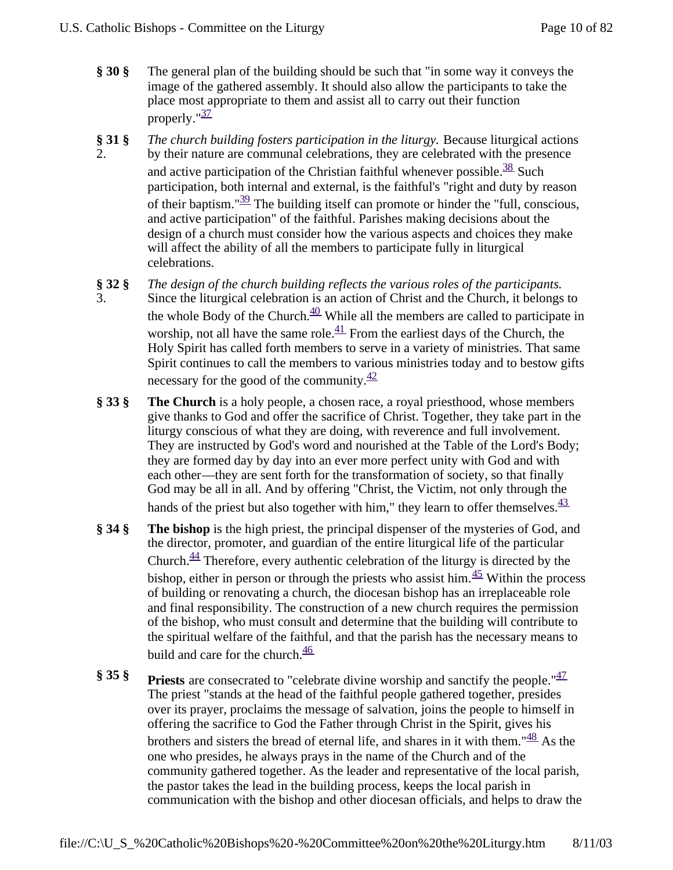- **§ 30 §** The general plan of the building should be such that "in some way it conveys the image of the gathered assembly. It should also allow the participants to take the place most appropriate to them and assist all to carry out their function properly."<sup>37</sup>
- **§ 31 §** 2. *The church building fosters participation in the liturgy.* Because liturgical actions by their nature are communal celebrations, they are celebrated with the presence and active participation of the Christian faithful whenever possible.<sup>38</sup> Such participation, both internal and external, is the faithful's "right and duty by reason of their baptism." $\frac{39}{2}$  The building itself can promote or hinder the "full, conscious, and active participation" of the faithful. Parishes making decisions about the design of a church must consider how the various aspects and choices they make will affect the ability of all the members to participate fully in liturgical celebrations.
- **§ 32 §** 3. *The design of the church building reflects the various roles of the participants.* Since the liturgical celebration is an action of Christ and the Church, it belongs to the whole Body of the Church. $\frac{40}{3}$  While all the members are called to participate in worship, not all have the same role. $\frac{41}{1}$  From the earliest days of the Church, the Holy Spirit has called forth members to serve in a variety of ministries. That same Spirit continues to call the members to various ministries today and to bestow gifts necessary for the good of the community. $\frac{42}{5}$
- **§ 33 § The Church** is a holy people, a chosen race, a royal priesthood, whose members give thanks to God and offer the sacrifice of Christ. Together, they take part in the liturgy conscious of what they are doing, with reverence and full involvement. They are instructed by God's word and nourished at the Table of the Lord's Body; they are formed day by day into an ever more perfect unity with God and with each other—they are sent forth for the transformation of society, so that finally God may be all in all. And by offering "Christ, the Victim, not only through the hands of the priest but also together with him," they learn to offer themselves. $\frac{43}{5}$
- **§ 34 § The bishop** is the high priest, the principal dispenser of the mysteries of God, and the director, promoter, and guardian of the entire liturgical life of the particular Church. $\frac{44}{1}$  Therefore, every authentic celebration of the liturgy is directed by the bishop, either in person or through the priests who assist him.  $\frac{45}{12}$  Within the process of building or renovating a church, the diocesan bishop has an irreplaceable role and final responsibility. The construction of a new church requires the permission of the bishop, who must consult and determine that the building will contribute to the spiritual welfare of the faithful, and that the parish has the necessary means to build and care for the church. $\frac{46}{5}$
- **§ 35 § Priests** are consecrated to "celebrate divine worship and sanctify the people."<sup>47</sup> The priest "stands at the head of the faithful people gathered together, presides over its prayer, proclaims the message of salvation, joins the people to himself in offering the sacrifice to God the Father through Christ in the Spirit, gives his brothers and sisters the bread of eternal life, and shares in it with them." $\frac{48}{3}$  As the one who presides, he always prays in the name of the Church and of the community gathered together. As the leader and representative of the local parish, the pastor takes the lead in the building process, keeps the local parish in communication with the bishop and other diocesan officials, and helps to draw the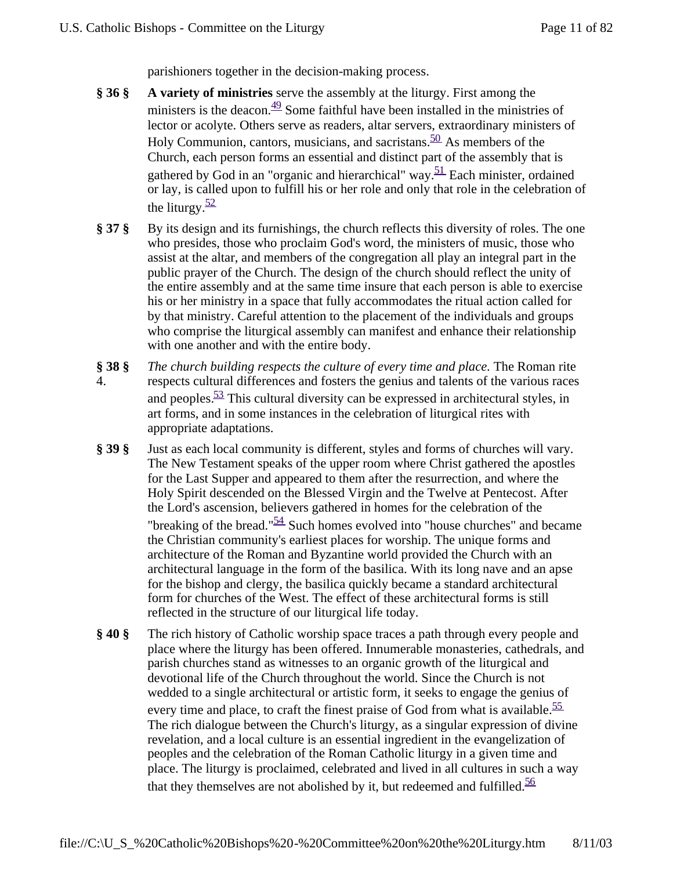parishioners together in the decision-making process.

- **§ 36 § A variety of ministries** serve the assembly at the liturgy. First among the ministers is the deacon.  $\frac{49}{5}$  Some faithful have been installed in the ministries of lector or acolyte. Others serve as readers, altar servers, extraordinary ministers of Holy Communion, cantors, musicians, and sacristans.  $50$  As members of the Church, each person forms an essential and distinct part of the assembly that is gathered by God in an "organic and hierarchical" way.<sup>51</sup> Each minister, ordained or lay, is called upon to fulfill his or her role and only that role in the celebration of the liturgy. $\frac{52}{5}$
- **§ 37 §** By its design and its furnishings, the church reflects this diversity of roles. The one who presides, those who proclaim God's word, the ministers of music, those who assist at the altar, and members of the congregation all play an integral part in the public prayer of the Church. The design of the church should reflect the unity of the entire assembly and at the same time insure that each person is able to exercise his or her ministry in a space that fully accommodates the ritual action called for by that ministry. Careful attention to the placement of the individuals and groups who comprise the liturgical assembly can manifest and enhance their relationship with one another and with the entire body.
- **§ 38 §** 4. *The church building respects the culture of every time and place.* The Roman rite respects cultural differences and fosters the genius and talents of the various races and peoples. $\frac{53}{2}$  This cultural diversity can be expressed in architectural styles, in art forms, and in some instances in the celebration of liturgical rites with appropriate adaptations.
- **§ 39 §** Just as each local community is different, styles and forms of churches will vary. The New Testament speaks of the upper room where Christ gathered the apostles for the Last Supper and appeared to them after the resurrection, and where the Holy Spirit descended on the Blessed Virgin and the Twelve at Pentecost. After the Lord's ascension, believers gathered in homes for the celebration of the "breaking of the bread." $\frac{54}{1}$  Such homes evolved into "house churches" and became the Christian community's earliest places for worship. The unique forms and architecture of the Roman and Byzantine world provided the Church with an architectural language in the form of the basilica. With its long nave and an apse for the bishop and clergy, the basilica quickly became a standard architectural form for churches of the West. The effect of these architectural forms is still reflected in the structure of our liturgical life today.
- **§ 40 §** The rich history of Catholic worship space traces a path through every people and place where the liturgy has been offered. Innumerable monasteries, cathedrals, and parish churches stand as witnesses to an organic growth of the liturgical and devotional life of the Church throughout the world. Since the Church is not wedded to a single architectural or artistic form, it seeks to engage the genius of every time and place, to craft the finest praise of God from what is available. $\frac{55}{2}$ The rich dialogue between the Church's liturgy, as a singular expression of divine revelation, and a local culture is an essential ingredient in the evangelization of peoples and the celebration of the Roman Catholic liturgy in a given time and place. The liturgy is proclaimed, celebrated and lived in all cultures in such a way that they themselves are not abolished by it, but redeemed and fulfilled. $\frac{56}{5}$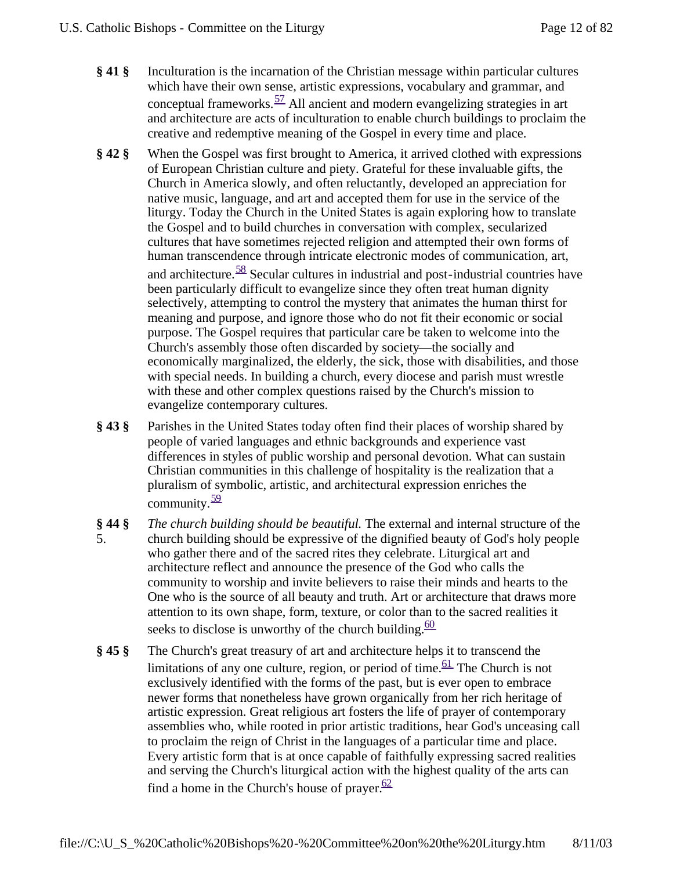- **§ 41 §** Inculturation is the incarnation of the Christian message within particular cultures which have their own sense, artistic expressions, vocabulary and grammar, and conceptual frameworks.  $57$  All ancient and modern evangelizing strategies in art and architecture are acts of inculturation to enable church buildings to proclaim the creative and redemptive meaning of the Gospel in every time and place.
- **§ 42 §** When the Gospel was first brought to America, it arrived clothed with expressions of European Christian culture and piety. Grateful for these invaluable gifts, the Church in America slowly, and often reluctantly, developed an appreciation for native music, language, and art and accepted them for use in the service of the liturgy. Today the Church in the United States is again exploring how to translate the Gospel and to build churches in conversation with complex, secularized cultures that have sometimes rejected religion and attempted their own forms of human transcendence through intricate electronic modes of communication, art, and architecture.  $\frac{58}{3}$  Secular cultures in industrial and post-industrial countries have been particularly difficult to evangelize since they often treat human dignity selectively, attempting to control the mystery that animates the human thirst for meaning and purpose, and ignore those who do not fit their economic or social purpose. The Gospel requires that particular care be taken to welcome into the Church's assembly those often discarded by society—the socially and economically marginalized, the elderly, the sick, those with disabilities, and those with special needs. In building a church, every diocese and parish must wrestle with these and other complex questions raised by the Church's mission to evangelize contemporary cultures.
- **§ 43 §** Parishes in the United States today often find their places of worship shared by people of varied languages and ethnic backgrounds and experience vast differences in styles of public worship and personal devotion. What can sustain Christian communities in this challenge of hospitality is the realization that a pluralism of symbolic, artistic, and architectural expression enriches the community.<sup>59</sup>
- **§ 44 §** 5. *The church building should be beautiful.* The external and internal structure of the church building should be expressive of the dignified beauty of God's holy people who gather there and of the sacred rites they celebrate. Liturgical art and architecture reflect and announce the presence of the God who calls the community to worship and invite believers to raise their minds and hearts to the One who is the source of all beauty and truth. Art or architecture that draws more attention to its own shape, form, texture, or color than to the sacred realities it seeks to disclose is unworthy of the church building. $\frac{60}{60}$
- **§ 45 §** The Church's great treasury of art and architecture helps it to transcend the limitations of any one culture, region, or period of time.  $61$  The Church is not exclusively identified with the forms of the past, but is ever open to embrace newer forms that nonetheless have grown organically from her rich heritage of artistic expression. Great religious art fosters the life of prayer of contemporary assemblies who, while rooted in prior artistic traditions, hear God's unceasing call to proclaim the reign of Christ in the languages of a particular time and place. Every artistic form that is at once capable of faithfully expressing sacred realities and serving the Church's liturgical action with the highest quality of the arts can find a home in the Church's house of prayer.  $\frac{62}{5}$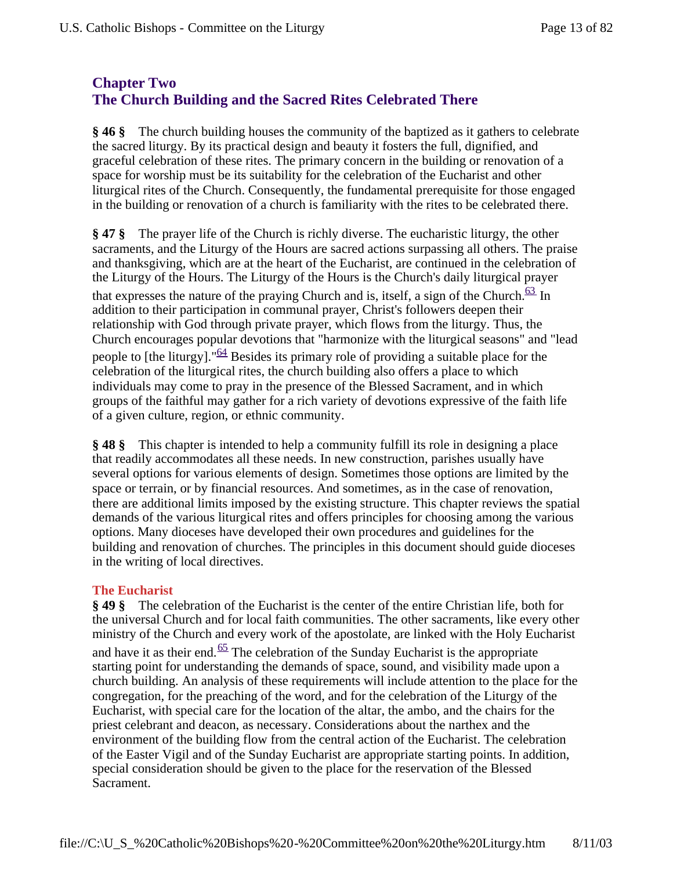# **Chapter Two The Church Building and the Sacred Rites Celebrated There**

**§ 46 §** The church building houses the community of the baptized as it gathers to celebrate the sacred liturgy. By its practical design and beauty it fosters the full, dignified, and graceful celebration of these rites. The primary concern in the building or renovation of a space for worship must be its suitability for the celebration of the Eucharist and other liturgical rites of the Church. Consequently, the fundamental prerequisite for those engaged in the building or renovation of a church is familiarity with the rites to be celebrated there.

**§ 47 §** The prayer life of the Church is richly diverse. The eucharistic liturgy, the other sacraments, and the Liturgy of the Hours are sacred actions surpassing all others. The praise and thanksgiving, which are at the heart of the Eucharist, are continued in the celebration of the Liturgy of the Hours. The Liturgy of the Hours is the Church's daily liturgical prayer that expresses the nature of the praying Church and is, itself, a sign of the Church. $\frac{63}{10}$  In addition to their participation in communal prayer, Christ's followers deepen their relationship with God through private prayer, which flows from the liturgy. Thus, the Church encourages popular devotions that "harmonize with the liturgical seasons" and "lead people to [the liturgy]."<sup>64</sup> Besides its primary role of providing a suitable place for the celebration of the liturgical rites, the church building also offers a place to which individuals may come to pray in the presence of the Blessed Sacrament, and in which groups of the faithful may gather for a rich variety of devotions expressive of the faith life of a given culture, region, or ethnic community.

**§ 48 §** This chapter is intended to help a community fulfill its role in designing a place that readily accommodates all these needs. In new construction, parishes usually have several options for various elements of design. Sometimes those options are limited by the space or terrain, or by financial resources. And sometimes, as in the case of renovation, there are additional limits imposed by the existing structure. This chapter reviews the spatial demands of the various liturgical rites and offers principles for choosing among the various options. Many dioceses have developed their own procedures and guidelines for the building and renovation of churches. The principles in this document should guide dioceses in the writing of local directives.

# **The Eucharist**

**§ 49 §** The celebration of the Eucharist is the center of the entire Christian life, both for the universal Church and for local faith communities. The other sacraments, like every other ministry of the Church and every work of the apostolate, are linked with the Holy Eucharist and have it as their end. $\frac{65}{2}$  The celebration of the Sunday Eucharist is the appropriate starting point for understanding the demands of space, sound, and visibility made upon a church building. An analysis of these requirements will include attention to the place for the congregation, for the preaching of the word, and for the celebration of the Liturgy of the Eucharist, with special care for the location of the altar, the ambo, and the chairs for the priest celebrant and deacon, as necessary. Considerations about the narthex and the environment of the building flow from the central action of the Eucharist. The celebration of the Easter Vigil and of the Sunday Eucharist are appropriate starting points. In addition, special consideration should be given to the place for the reservation of the Blessed Sacrament.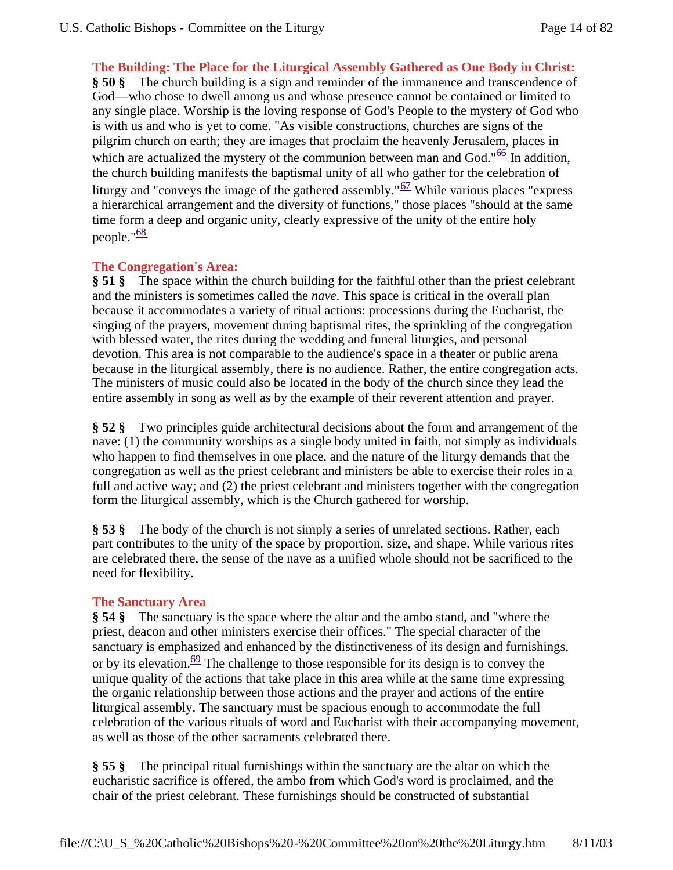**The Building: The Place for the Liturgical Assembly Gathered as One Body in Christ:**

**§ 50 §** The church building is a sign and reminder of the immanence and transcendence of God—who chose to dwell among us and whose presence cannot be contained or limited to any single place. Worship is the loving response of God's People to the mystery of God who is with us and who is yet to come. "As visible constructions, churches are signs of the pilgrim church on earth; they are images that proclaim the heavenly Jerusalem, places in which are actualized the mystery of the communion between man and God." $66$  In addition, the church building manifests the baptismal unity of all who gather for the celebration of liturgy and "conveys the image of the gathered assembly." $\frac{67}{2}$  While various places "express" a hierarchical arrangement and the diversity of functions," those places "should at the same time form a deep and organic unity, clearly expressive of the unity of the entire holy people."<sup>68</sup>

# **The Congregation's Area:**

**§ 51 §** The space within the church building for the faithful other than the priest celebrant and the ministers is sometimes called the *nave*. This space is critical in the overall plan because it accommodates a variety of ritual actions: processions during the Eucharist, the singing of the prayers, movement during baptismal rites, the sprinkling of the congregation with blessed water, the rites during the wedding and funeral liturgies, and personal devotion. This area is not comparable to the audience's space in a theater or public arena because in the liturgical assembly, there is no audience. Rather, the entire congregation acts. The ministers of music could also be located in the body of the church since they lead the entire assembly in song as well as by the example of their reverent attention and prayer.

**§ 52 §** Two principles guide architectural decisions about the form and arrangement of the nave: (1) the community worships as a single body united in faith, not simply as individuals who happen to find themselves in one place, and the nature of the liturgy demands that the congregation as well as the priest celebrant and ministers be able to exercise their roles in a full and active way; and (2) the priest celebrant and ministers together with the congregation form the liturgical assembly, which is the Church gathered for worship.

**§ 53 §** The body of the church is not simply a series of unrelated sections. Rather, each part contributes to the unity of the space by proportion, size, and shape. While various rites are celebrated there, the sense of the nave as a unified whole should not be sacrificed to the need for flexibility.

#### **The Sanctuary Area**

**§ 54 §** The sanctuary is the space where the altar and the ambo stand, and "where the priest, deacon and other ministers exercise their offices." The special character of the sanctuary is emphasized and enhanced by the distinctiveness of its design and furnishings, or by its elevation. $\frac{69}{2}$  The challenge to those responsible for its design is to convey the unique quality of the actions that take place in this area while at the same time expressing the organic relationship between those actions and the prayer and actions of the entire liturgical assembly. The sanctuary must be spacious enough to accommodate the full celebration of the various rituals of word and Eucharist with their accompanying movement, as well as those of the other sacraments celebrated there.

**§ 55 §** The principal ritual furnishings within the sanctuary are the altar on which the eucharistic sacrifice is offered, the ambo from which God's word is proclaimed, and the chair of the priest celebrant. These furnishings should be constructed of substantial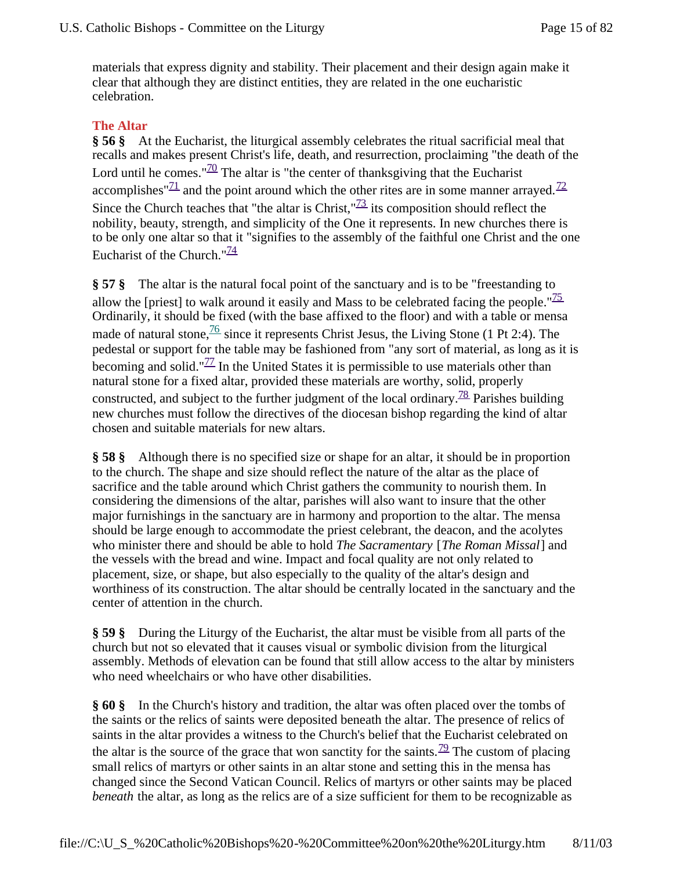materials that express dignity and stability. Their placement and their design again make it clear that although they are distinct entities, they are related in the one eucharistic celebration.

#### **The Altar**

**§ 56 §** At the Eucharist, the liturgical assembly celebrates the ritual sacrificial meal that recalls and makes present Christ's life, death, and resurrection, proclaiming "the death of the Lord until he comes." $\frac{70}{10}$  The altar is "the center of thanksgiving that the Eucharist accomplishes" $\frac{71}{2}$  and the point around which the other rites are in some manner arrayed.<sup>72</sup> Since the Church teaches that "the altar is Christ,  $\frac{73}{12}$  its composition should reflect the nobility, beauty, strength, and simplicity of the One it represents. In new churches there is to be only one altar so that it "signifies to the assembly of the faithful one Christ and the one Eucharist of the Church." $\frac{74}{4}$ 

**§ 57 §** The altar is the natural focal point of the sanctuary and is to be "freestanding to allow the [priest] to walk around it easily and Mass to be celebrated facing the people." $\frac{75}{2}$ Ordinarily, it should be fixed (with the base affixed to the floor) and with a table or mensa made of natural stone,  $\frac{76}{6}$  since it represents Christ Jesus, the Living Stone (1 Pt 2:4). The pedestal or support for the table may be fashioned from "any sort of material, as long as it is becoming and solid." $\frac{77}{1}$  In the United States it is permissible to use materials other than natural stone for a fixed altar, provided these materials are worthy, solid, properly constructed, and subject to the further judgment of the local ordinary.<sup>78</sup> Parishes building new churches must follow the directives of the diocesan bishop regarding the kind of altar chosen and suitable materials for new altars.

**§ 58 §** Although there is no specified size or shape for an altar, it should be in proportion to the church. The shape and size should reflect the nature of the altar as the place of sacrifice and the table around which Christ gathers the community to nourish them. In considering the dimensions of the altar, parishes will also want to insure that the other major furnishings in the sanctuary are in harmony and proportion to the altar. The mensa should be large enough to accommodate the priest celebrant, the deacon, and the acolytes who minister there and should be able to hold *The Sacramentary* [*The Roman Missal*] and the vessels with the bread and wine. Impact and focal quality are not only related to placement, size, or shape, but also especially to the quality of the altar's design and worthiness of its construction. The altar should be centrally located in the sanctuary and the center of attention in the church.

**§ 59 §** During the Liturgy of the Eucharist, the altar must be visible from all parts of the church but not so elevated that it causes visual or symbolic division from the liturgical assembly. Methods of elevation can be found that still allow access to the altar by ministers who need wheelchairs or who have other disabilities.

**§ 60 §** In the Church's history and tradition, the altar was often placed over the tombs of the saints or the relics of saints were deposited beneath the altar. The presence of relics of saints in the altar provides a witness to the Church's belief that the Eucharist celebrated on the altar is the source of the grace that won sanctity for the saints.<sup>79</sup> The custom of placing small relics of martyrs or other saints in an altar stone and setting this in the mensa has changed since the Second Vatican Council. Relics of martyrs or other saints may be placed *beneath* the altar, as long as the relics are of a size sufficient for them to be recognizable as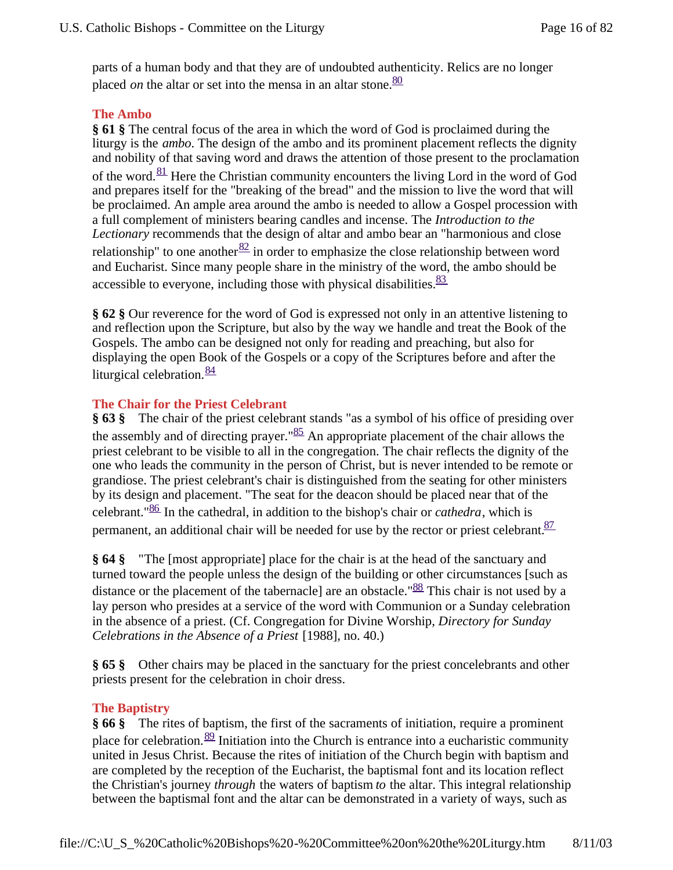parts of a human body and that they are of undoubted authenticity. Relics are no longer placed *on* the altar or set into the mensa in an altar stone.<sup>80</sup>

## **The Ambo**

**§ 61 §** The central focus of the area in which the word of God is proclaimed during the liturgy is the *ambo*. The design of the ambo and its prominent placement reflects the dignity and nobility of that saving word and draws the attention of those present to the proclamation of the word.<sup>81</sup> Here the Christian community encounters the living Lord in the word of God and prepares itself for the "breaking of the bread" and the mission to live the word that will be proclaimed. An ample area around the ambo is needed to allow a Gospel procession with a full complement of ministers bearing candles and incense. The *Introduction to the Lectionary* recommends that the design of altar and ambo bear an "harmonious and close relationship" to one another  $\frac{82}{5}$  in order to emphasize the close relationship between word and Eucharist. Since many people share in the ministry of the word, the ambo should be accessible to everyone, including those with physical disabilities. $\frac{83}{8}$ 

**§ 62 §** Our reverence for the word of God is expressed not only in an attentive listening to and reflection upon the Scripture, but also by the way we handle and treat the Book of the Gospels. The ambo can be designed not only for reading and preaching, but also for displaying the open Book of the Gospels or a copy of the Scriptures before and after the liturgical celebration. $\frac{84}{3}$ 

## **The Chair for the Priest Celebrant**

**§ 63 §** The chair of the priest celebrant stands "as a symbol of his office of presiding over the assembly and of directing prayer." $\frac{85}{5}$  An appropriate placement of the chair allows the priest celebrant to be visible to all in the congregation. The chair reflects the dignity of the one who leads the community in the person of Christ, but is never intended to be remote or grandiose. The priest celebrant's chair is distinguished from the seating for other ministers by its design and placement. "The seat for the deacon should be placed near that of the celebrant."86 In the cathedral, in addition to the bishop's chair or *cathedra*, which is permanent, an additional chair will be needed for use by the rector or priest celebrant.  $\frac{87}{57}$ 

**§ 64 §** "The [most appropriate] place for the chair is at the head of the sanctuary and turned toward the people unless the design of the building or other circumstances [such as distance or the placement of the tabernacle] are an obstacle." $88$  This chair is not used by a lay person who presides at a service of the word with Communion or a Sunday celebration in the absence of a priest. (Cf. Congregation for Divine Worship, *Directory for Sunday Celebrations in the Absence of a Priest* [1988], no. 40.)

**§ 65 §** Other chairs may be placed in the sanctuary for the priest concelebrants and other priests present for the celebration in choir dress.

# **The Baptistry**

**§ 66 §** The rites of baptism, the first of the sacraments of initiation, require a prominent place for celebration.<sup>89</sup> Initiation into the Church is entrance into a eucharistic community united in Jesus Christ. Because the rites of initiation of the Church begin with baptism and are completed by the reception of the Eucharist, the baptismal font and its location reflect the Christian's journey *through* the waters of baptism *to* the altar. This integral relationship between the baptismal font and the altar can be demonstrated in a variety of ways, such as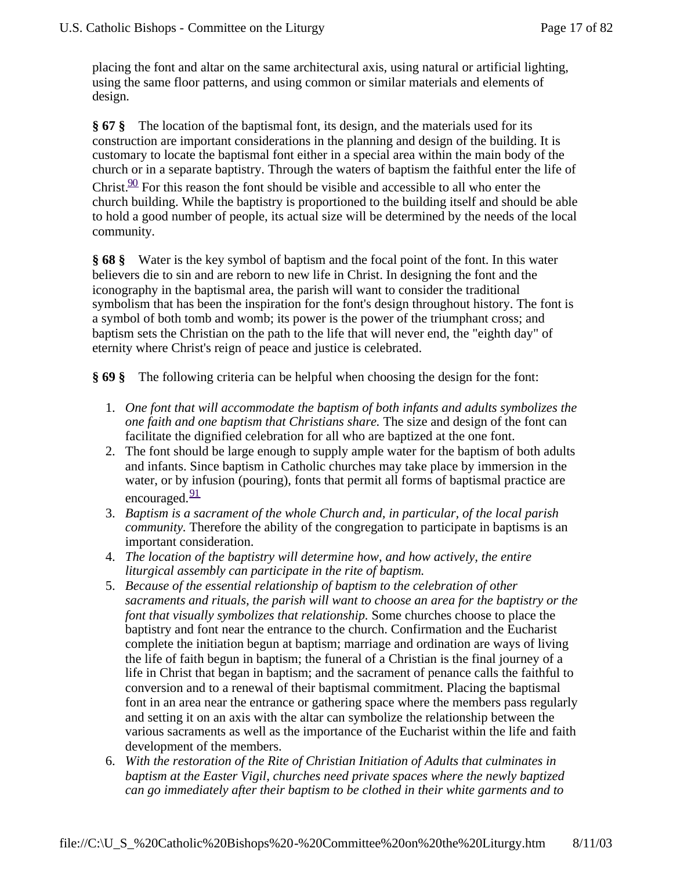placing the font and altar on the same architectural axis, using natural or artificial lighting, using the same floor patterns, and using common or similar materials and elements of design.

**§ 67 §** The location of the baptismal font, its design, and the materials used for its construction are important considerations in the planning and design of the building. It is customary to locate the baptismal font either in a special area within the main body of the church or in a separate baptistry. Through the waters of baptism the faithful enter the life of Christ. $\frac{90}{2}$  For this reason the font should be visible and accessible to all who enter the church building. While the baptistry is proportioned to the building itself and should be able to hold a good number of people, its actual size will be determined by the needs of the local community.

**§ 68 §** Water is the key symbol of baptism and the focal point of the font. In this water believers die to sin and are reborn to new life in Christ. In designing the font and the iconography in the baptismal area, the parish will want to consider the traditional symbolism that has been the inspiration for the font's design throughout history. The font is a symbol of both tomb and womb; its power is the power of the triumphant cross; and baptism sets the Christian on the path to the life that will never end, the "eighth day" of eternity where Christ's reign of peace and justice is celebrated.

**§ 69 §** The following criteria can be helpful when choosing the design for the font:

- 1. *One font that will accommodate the baptism of both infants and adults symbolizes the one faith and one baptism that Christians share.* The size and design of the font can facilitate the dignified celebration for all who are baptized at the one font.
- 2. The font should be large enough to supply ample water for the baptism of both adults and infants. Since baptism in Catholic churches may take place by immersion in the water, or by infusion (pouring), fonts that permit all forms of baptismal practice are encouraged. $\frac{91}{91}$
- 3. *Baptism is a sacrament of the whole Church and, in particular, of the local parish community*. Therefore the ability of the congregation to participate in baptisms is an important consideration.
- 4. *The location of the baptistry will determine how, and how actively, the entire liturgical assembly can participate in the rite of baptism.*
- 5. *Because of the essential relationship of baptism to the celebration of other sacraments and rituals, the parish will want to choose an area for the baptistry or the font that visually symbolizes that relationship.* Some churches choose to place the baptistry and font near the entrance to the church. Confirmation and the Eucharist complete the initiation begun at baptism; marriage and ordination are ways of living the life of faith begun in baptism; the funeral of a Christian is the final journey of a life in Christ that began in baptism; and the sacrament of penance calls the faithful to conversion and to a renewal of their baptismal commitment. Placing the baptismal font in an area near the entrance or gathering space where the members pass regularly and setting it on an axis with the altar can symbolize the relationship between the various sacraments as well as the importance of the Eucharist within the life and faith development of the members.
- 6. *With the restoration of the Rite of Christian Initiation of Adults that culminates in baptism at the Easter Vigil, churches need private spaces where the newly baptized can go immediately after their baptism to be clothed in their white garments and to*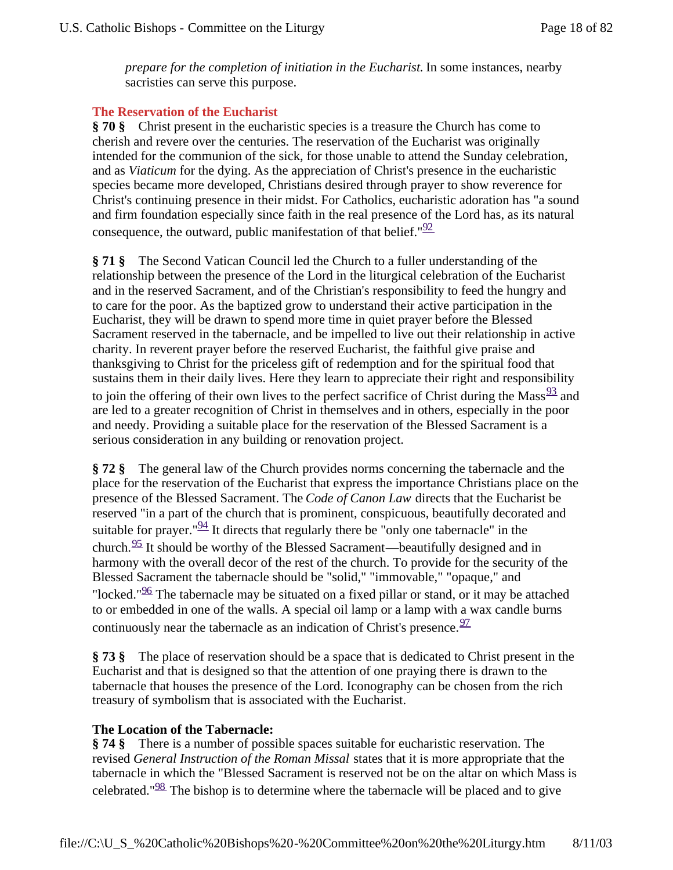*prepare for the completion of initiation in the Eucharist.* In some instances, nearby sacristies can serve this purpose.

# **The Reservation of the Eucharist**

**§ 70 §** Christ present in the eucharistic species is a treasure the Church has come to cherish and revere over the centuries. The reservation of the Eucharist was originally intended for the communion of the sick, for those unable to attend the Sunday celebration, and as *Viaticum* for the dying. As the appreciation of Christ's presence in the eucharistic species became more developed, Christians desired through prayer to show reverence for Christ's continuing presence in their midst. For Catholics, eucharistic adoration has "a sound and firm foundation especially since faith in the real presence of the Lord has, as its natural consequence, the outward, public manifestation of that belief." $\frac{92}{2}$ 

**§ 71 §** The Second Vatican Council led the Church to a fuller understanding of the relationship between the presence of the Lord in the liturgical celebration of the Eucharist and in the reserved Sacrament, and of the Christian's responsibility to feed the hungry and to care for the poor. As the baptized grow to understand their active participation in the Eucharist, they will be drawn to spend more time in quiet prayer before the Blessed Sacrament reserved in the tabernacle, and be impelled to live out their relationship in active charity. In reverent prayer before the reserved Eucharist, the faithful give praise and thanksgiving to Christ for the priceless gift of redemption and for the spiritual food that sustains them in their daily lives. Here they learn to appreciate their right and responsibility to join the offering of their own lives to the perfect sacrifice of Christ during the Mass  $\frac{93}{3}$  and are led to a greater recognition of Christ in themselves and in others, especially in the poor and needy. Providing a suitable place for the reservation of the Blessed Sacrament is a serious consideration in any building or renovation project.

**§ 72 §** The general law of the Church provides norms concerning the tabernacle and the place for the reservation of the Eucharist that express the importance Christians place on the presence of the Blessed Sacrament. The *Code of Canon Law* directs that the Eucharist be reserved "in a part of the church that is prominent, conspicuous, beautifully decorated and suitable for prayer." $\frac{94}{21}$  It directs that regularly there be "only one tabernacle" in the church. $\frac{95}{5}$  It should be worthy of the Blessed Sacrament—beautifully designed and in harmony with the overall decor of the rest of the church. To provide for the security of the Blessed Sacrament the tabernacle should be "solid," "immovable," "opaque," and "locked." $\frac{96}{2}$  The tabernacle may be situated on a fixed pillar or stand, or it may be attached to or embedded in one of the walls. A special oil lamp or a lamp with a wax candle burns continuously near the tabernacle as an indication of Christ's presence.  $\frac{97}{8}$ 

**§ 73 §** The place of reservation should be a space that is dedicated to Christ present in the Eucharist and that is designed so that the attention of one praying there is drawn to the tabernacle that houses the presence of the Lord. Iconography can be chosen from the rich treasury of symbolism that is associated with the Eucharist.

# **The Location of the Tabernacle:**

**§ 74 §** There is a number of possible spaces suitable for eucharistic reservation. The revised *General Instruction of the Roman Missal* states that it is more appropriate that the tabernacle in which the "Blessed Sacrament is reserved not be on the altar on which Mass is celebrated." $\frac{98}{8}$  The bishop is to determine where the tabernacle will be placed and to give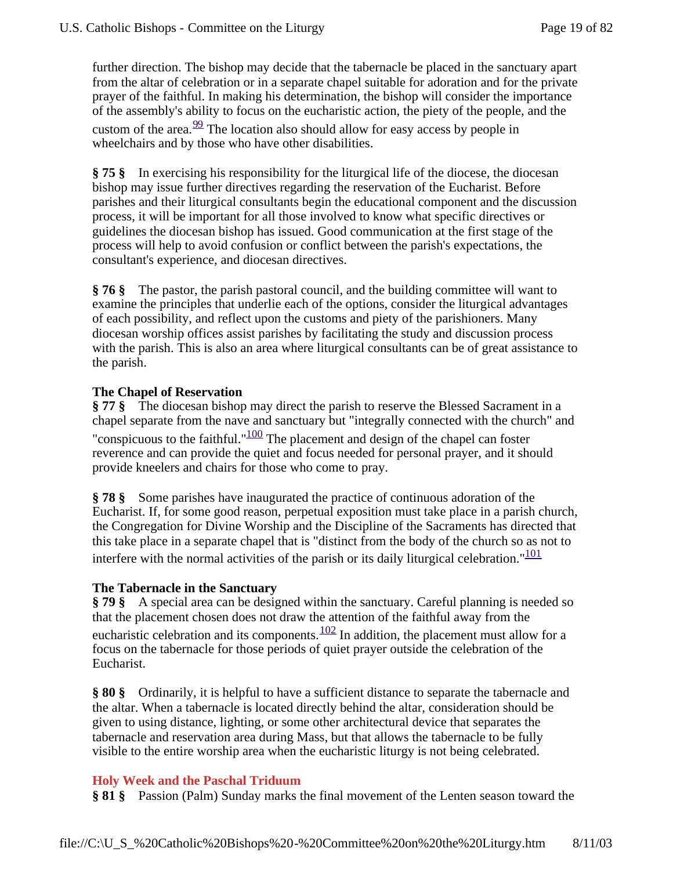further direction. The bishop may decide that the tabernacle be placed in the sanctuary apart from the altar of celebration or in a separate chapel suitable for adoration and for the private prayer of the faithful. In making his determination, the bishop will consider the importance of the assembly's ability to focus on the eucharistic action, the piety of the people, and the custom of the area. $\frac{99}{2}$  The location also should allow for easy access by people in wheelchairs and by those who have other disabilities.

**§ 75 §** In exercising his responsibility for the liturgical life of the diocese, the diocesan bishop may issue further directives regarding the reservation of the Eucharist. Before parishes and their liturgical consultants begin the educational component and the discussion process, it will be important for all those involved to know what specific directives or guidelines the diocesan bishop has issued. Good communication at the first stage of the process will help to avoid confusion or conflict between the parish's expectations, the consultant's experience, and diocesan directives.

**§ 76 §** The pastor, the parish pastoral council, and the building committee will want to examine the principles that underlie each of the options, consider the liturgical advantages of each possibility, and reflect upon the customs and piety of the parishioners. Many diocesan worship offices assist parishes by facilitating the study and discussion process with the parish. This is also an area where liturgical consultants can be of great assistance to the parish.

## **The Chapel of Reservation**

**§ 77 §** The diocesan bishop may direct the parish to reserve the Blessed Sacrament in a chapel separate from the nave and sanctuary but "integrally connected with the church" and "conspicuous to the faithful." $\frac{100}{2}$  The placement and design of the chapel can foster reverence and can provide the quiet and focus needed for personal prayer, and it should provide kneelers and chairs for those who come to pray.

**§ 78 §** Some parishes have inaugurated the practice of continuous adoration of the Eucharist. If, for some good reason, perpetual exposition must take place in a parish church, the Congregation for Divine Worship and the Discipline of the Sacraments has directed that this take place in a separate chapel that is "distinct from the body of the church so as not to interfere with the normal activities of the parish or its daily liturgical celebration." $\frac{101}{ }$ 

#### **The Tabernacle in the Sanctuary**

**§ 79 §** A special area can be designed within the sanctuary. Careful planning is needed so that the placement chosen does not draw the attention of the faithful away from the eucharistic celebration and its components. $\frac{102}{102}$  In addition, the placement must allow for a focus on the tabernacle for those periods of quiet prayer outside the celebration of the Eucharist.

**§ 80 §** Ordinarily, it is helpful to have a sufficient distance to separate the tabernacle and the altar. When a tabernacle is located directly behind the altar, consideration should be given to using distance, lighting, or some other architectural device that separates the tabernacle and reservation area during Mass, but that allows the tabernacle to be fully visible to the entire worship area when the eucharistic liturgy is not being celebrated.

#### **Holy Week and the Paschal Triduum**

**§ 81 §** Passion (Palm) Sunday marks the final movement of the Lenten season toward the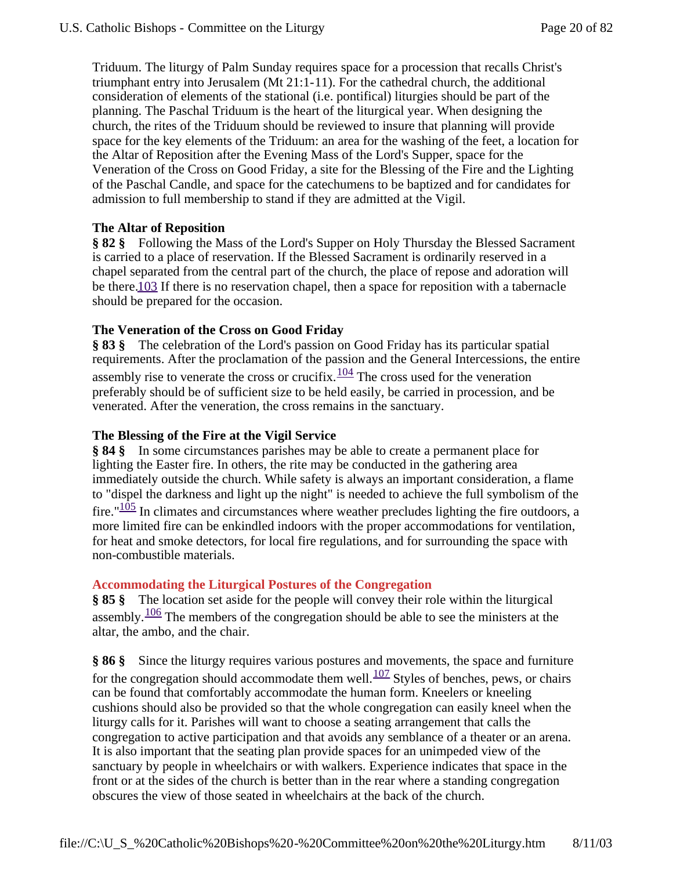Triduum. The liturgy of Palm Sunday requires space for a procession that recalls Christ's triumphant entry into Jerusalem (Mt 21:1-11). For the cathedral church, the additional consideration of elements of the stational (i.e. pontifical) liturgies should be part of the planning. The Paschal Triduum is the heart of the liturgical year. When designing the church, the rites of the Triduum should be reviewed to insure that planning will provide space for the key elements of the Triduum: an area for the washing of the feet, a location for the Altar of Reposition after the Evening Mass of the Lord's Supper, space for the Veneration of the Cross on Good Friday, a site for the Blessing of the Fire and the Lighting of the Paschal Candle, and space for the catechumens to be baptized and for candidates for admission to full membership to stand if they are admitted at the Vigil.

## **The Altar of Reposition**

**§ 82 §** Following the Mass of the Lord's Supper on Holy Thursday the Blessed Sacrament is carried to a place of reservation. If the Blessed Sacrament is ordinarily reserved in a chapel separated from the central part of the church, the place of repose and adoration will be there.103 If there is no reservation chapel, then a space for reposition with a tabernacle should be prepared for the occasion.

## **The Veneration of the Cross on Good Friday**

**§ 83 §** The celebration of the Lord's passion on Good Friday has its particular spatial requirements. After the proclamation of the passion and the General Intercessions, the entire assembly rise to venerate the cross or crucifix. $\frac{104}{100}$  The cross used for the veneration preferably should be of sufficient size to be held easily, be carried in procession, and be venerated. After the veneration, the cross remains in the sanctuary.

#### **The Blessing of the Fire at the Vigil Service**

**§ 84 §** In some circumstances parishes may be able to create a permanent place for lighting the Easter fire. In others, the rite may be conducted in the gathering area immediately outside the church. While safety is always an important consideration, a flame to "dispel the darkness and light up the night" is needed to achieve the full symbolism of the fire." $\frac{105}{2}$  In climates and circumstances where weather precludes lighting the fire outdoors, a more limited fire can be enkindled indoors with the proper accommodations for ventilation, for heat and smoke detectors, for local fire regulations, and for surrounding the space with non-combustible materials.

#### **Accommodating the Liturgical Postures of the Congregation**

**§ 85 §** The location set aside for the people will convey their role within the liturgical assembly. $\frac{106}{100}$  The members of the congregation should be able to see the ministers at the altar, the ambo, and the chair.

**§ 86 §** Since the liturgy requires various postures and movements, the space and furniture for the congregation should accommodate them well. $\frac{107}{107}$  Styles of benches, pews, or chairs can be found that comfortably accommodate the human form. Kneelers or kneeling cushions should also be provided so that the whole congregation can easily kneel when the liturgy calls for it. Parishes will want to choose a seating arrangement that calls the congregation to active participation and that avoids any semblance of a theater or an arena. It is also important that the seating plan provide spaces for an unimpeded view of the sanctuary by people in wheelchairs or with walkers. Experience indicates that space in the front or at the sides of the church is better than in the rear where a standing congregation obscures the view of those seated in wheelchairs at the back of the church.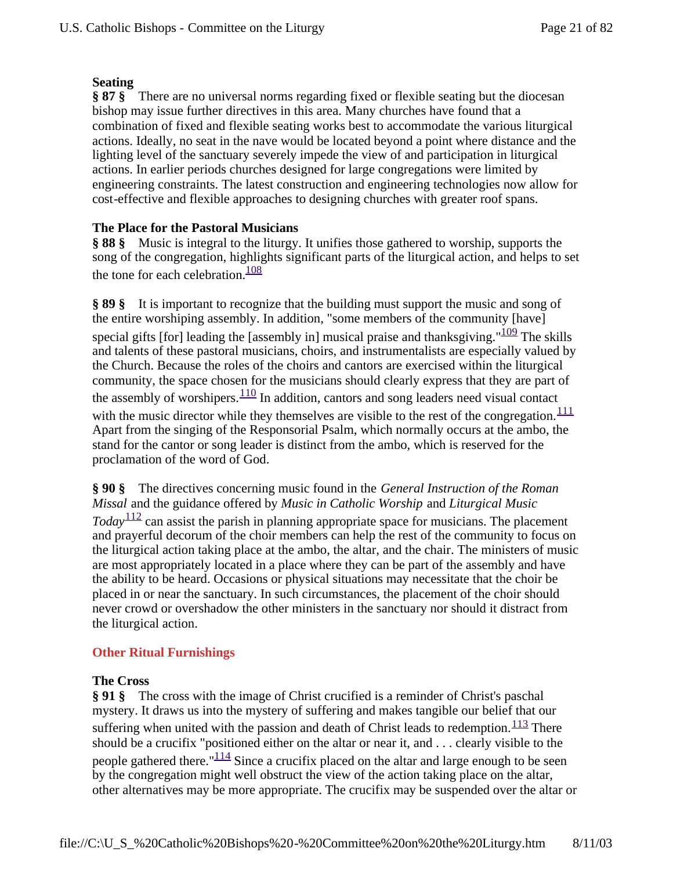# **Seating**

**§ 87 §** There are no universal norms regarding fixed or flexible seating but the diocesan bishop may issue further directives in this area. Many churches have found that a combination of fixed and flexible seating works best to accommodate the various liturgical actions. Ideally, no seat in the nave would be located beyond a point where distance and the lighting level of the sanctuary severely impede the view of and participation in liturgical actions. In earlier periods churches designed for large congregations were limited by engineering constraints. The latest construction and engineering technologies now allow for cost-effective and flexible approaches to designing churches with greater roof spans.

# **The Place for the Pastoral Musicians**

**§ 88 §** Music is integral to the liturgy. It unifies those gathered to worship, supports the song of the congregation, highlights significant parts of the liturgical action, and helps to set the tone for each celebration. $\frac{108}{108}$ 

**§ 89 §** It is important to recognize that the building must support the music and song of the entire worshiping assembly. In addition, "some members of the community [have] special gifts [for] leading the [assembly in] musical praise and thanksgiving." $\frac{109}{109}$  The skills and talents of these pastoral musicians, choirs, and instrumentalists are especially valued by the Church. Because the roles of the choirs and cantors are exercised within the liturgical community, the space chosen for the musicians should clearly express that they are part of the assembly of worshipers. $\frac{110}{10}$  In addition, cantors and song leaders need visual contact with the music director while they themselves are visible to the rest of the congregation.  $\frac{111}{111}$ Apart from the singing of the Responsorial Psalm, which normally occurs at the ambo, the stand for the cantor or song leader is distinct from the ambo, which is reserved for the proclamation of the word of God.

**§ 90 §** The directives concerning music found in the *General Instruction of the Roman Missal* and the guidance offered by *Music in Catholic Worship* and *Liturgical Music Today*<sup>112</sup> can assist the parish in planning appropriate space for musicians. The placement and prayerful decorum of the choir members can help the rest of the community to focus on the liturgical action taking place at the ambo, the altar, and the chair. The ministers of music are most appropriately located in a place where they can be part of the assembly and have the ability to be heard. Occasions or physical situations may necessitate that the choir be placed in or near the sanctuary. In such circumstances, the placement of the choir should never crowd or overshadow the other ministers in the sanctuary nor should it distract from the liturgical action.

# **Other Ritual Furnishings**

# **The Cross**

**§ 91 §** The cross with the image of Christ crucified is a reminder of Christ's paschal mystery. It draws us into the mystery of suffering and makes tangible our belief that our suffering when united with the passion and death of Christ leads to redemption. $113$  There should be a crucifix "positioned either on the altar or near it, and . . . clearly visible to the people gathered there." $\frac{1114}{114}$  Since a crucifix placed on the altar and large enough to be seen by the congregation might well obstruct the view of the action taking place on the altar, other alternatives may be more appropriate. The crucifix may be suspended over the altar or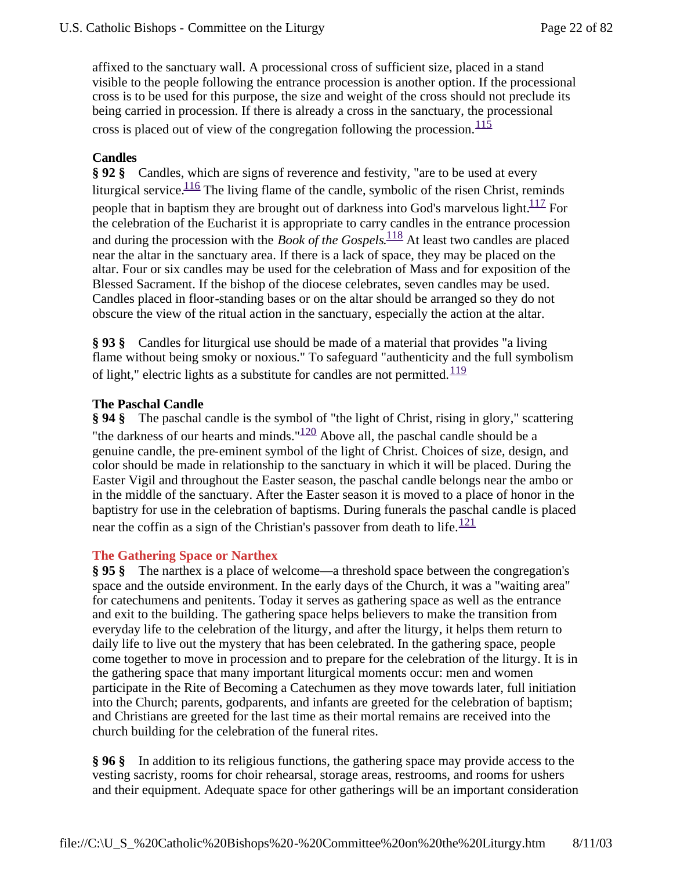affixed to the sanctuary wall. A processional cross of sufficient size, placed in a stand visible to the people following the entrance procession is another option. If the processional cross is to be used for this purpose, the size and weight of the cross should not preclude its being carried in procession. If there is already a cross in the sanctuary, the processional cross is placed out of view of the congregation following the procession.  $\frac{115}{115}$ 

# **Candles**

**§ 92 §** Candles, which are signs of reverence and festivity, "are to be used at every liturgical service.<sup>116</sup> The living flame of the candle, symbolic of the risen Christ, reminds people that in baptism they are brought out of darkness into God's marvelous light. $117$  For the celebration of the Eucharist it is appropriate to carry candles in the entrance procession and during the procession with the *Book of the Gospels*. <sup>118</sup> At least two candles are placed near the altar in the sanctuary area. If there is a lack of space, they may be placed on the altar. Four or six candles may be used for the celebration of Mass and for exposition of the Blessed Sacrament. If the bishop of the diocese celebrates, seven candles may be used. Candles placed in floor-standing bases or on the altar should be arranged so they do not obscure the view of the ritual action in the sanctuary, especially the action at the altar.

**§ 93 §** Candles for liturgical use should be made of a material that provides "a living flame without being smoky or noxious." To safeguard "authenticity and the full symbolism of light," electric lights as a substitute for candles are not permitted. $\frac{119}{119}$ 

#### **The Paschal Candle**

**§ 94 §** The paschal candle is the symbol of "the light of Christ, rising in glory," scattering "the darkness of our hearts and minds." $120$  Above all, the paschal candle should be a genuine candle, the pre-eminent symbol of the light of Christ. Choices of size, design, and color should be made in relationship to the sanctuary in which it will be placed. During the Easter Vigil and throughout the Easter season, the paschal candle belongs near the ambo or in the middle of the sanctuary. After the Easter season it is moved to a place of honor in the baptistry for use in the celebration of baptisms. During funerals the paschal candle is placed near the coffin as a sign of the Christian's passover from death to life. $\frac{121}{121}$ 

#### **The Gathering Space or Narthex**

**§ 95 §** The narthex is a place of welcome—a threshold space between the congregation's space and the outside environment. In the early days of the Church, it was a "waiting area" for catechumens and penitents. Today it serves as gathering space as well as the entrance and exit to the building. The gathering space helps believers to make the transition from everyday life to the celebration of the liturgy, and after the liturgy, it helps them return to daily life to live out the mystery that has been celebrated. In the gathering space, people come together to move in procession and to prepare for the celebration of the liturgy. It is in the gathering space that many important liturgical moments occur: men and women participate in the Rite of Becoming a Catechumen as they move towards later, full initiation into the Church; parents, godparents, and infants are greeted for the celebration of baptism; and Christians are greeted for the last time as their mortal remains are received into the church building for the celebration of the funeral rites.

**§ 96 §** In addition to its religious functions, the gathering space may provide access to the vesting sacristy, rooms for choir rehearsal, storage areas, restrooms, and rooms for ushers and their equipment. Adequate space for other gatherings will be an important consideration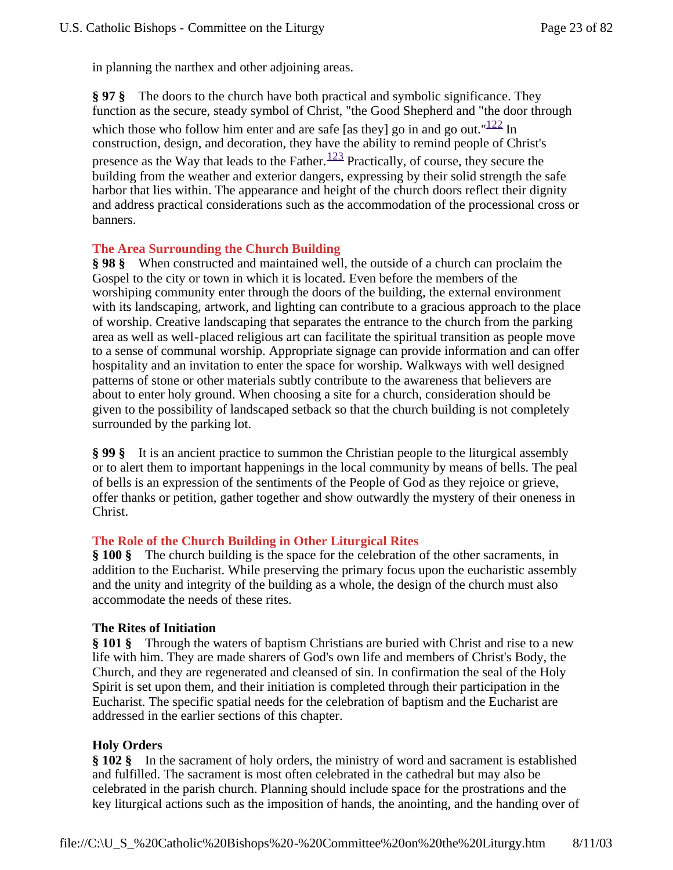in planning the narthex and other adjoining areas.

**§ 97 §** The doors to the church have both practical and symbolic significance. They function as the secure, steady symbol of Christ, "the Good Shepherd and "the door through which those who follow him enter and are safe [as they] go in and go out." $122$  In construction, design, and decoration, they have the ability to remind people of Christ's presence as the Way that leads to the Father.<sup>123</sup> Practically, of course, they secure the building from the weather and exterior dangers, expressing by their solid strength the safe harbor that lies within. The appearance and height of the church doors reflect their dignity and address practical considerations such as the accommodation of the processional cross or banners.

# **The Area Surrounding the Church Building**

**§ 98 §** When constructed and maintained well, the outside of a church can proclaim the Gospel to the city or town in which it is located. Even before the members of the worshiping community enter through the doors of the building, the external environment with its landscaping, artwork, and lighting can contribute to a gracious approach to the place of worship. Creative landscaping that separates the entrance to the church from the parking area as well as well-placed religious art can facilitate the spiritual transition as people move to a sense of communal worship. Appropriate signage can provide information and can offer hospitality and an invitation to enter the space for worship. Walkways with well designed patterns of stone or other materials subtly contribute to the awareness that believers are about to enter holy ground. When choosing a site for a church, consideration should be given to the possibility of landscaped setback so that the church building is not completely surrounded by the parking lot.

**§ 99 §** It is an ancient practice to summon the Christian people to the liturgical assembly or to alert them to important happenings in the local community by means of bells. The peal of bells is an expression of the sentiments of the People of God as they rejoice or grieve, offer thanks or petition, gather together and show outwardly the mystery of their oneness in Christ.

# **The Role of the Church Building in Other Liturgical Rites**

**§ 100 §** The church building is the space for the celebration of the other sacraments, in addition to the Eucharist. While preserving the primary focus upon the eucharistic assembly and the unity and integrity of the building as a whole, the design of the church must also accommodate the needs of these rites.

# **The Rites of Initiation**

**§ 101 §** Through the waters of baptism Christians are buried with Christ and rise to a new life with him. They are made sharers of God's own life and members of Christ's Body, the Church, and they are regenerated and cleansed of sin. In confirmation the seal of the Holy Spirit is set upon them, and their initiation is completed through their participation in the Eucharist. The specific spatial needs for the celebration of baptism and the Eucharist are addressed in the earlier sections of this chapter.

# **Holy Orders**

**§ 102 §** In the sacrament of holy orders, the ministry of word and sacrament is established and fulfilled. The sacrament is most often celebrated in the cathedral but may also be celebrated in the parish church. Planning should include space for the prostrations and the key liturgical actions such as the imposition of hands, the anointing, and the handing over of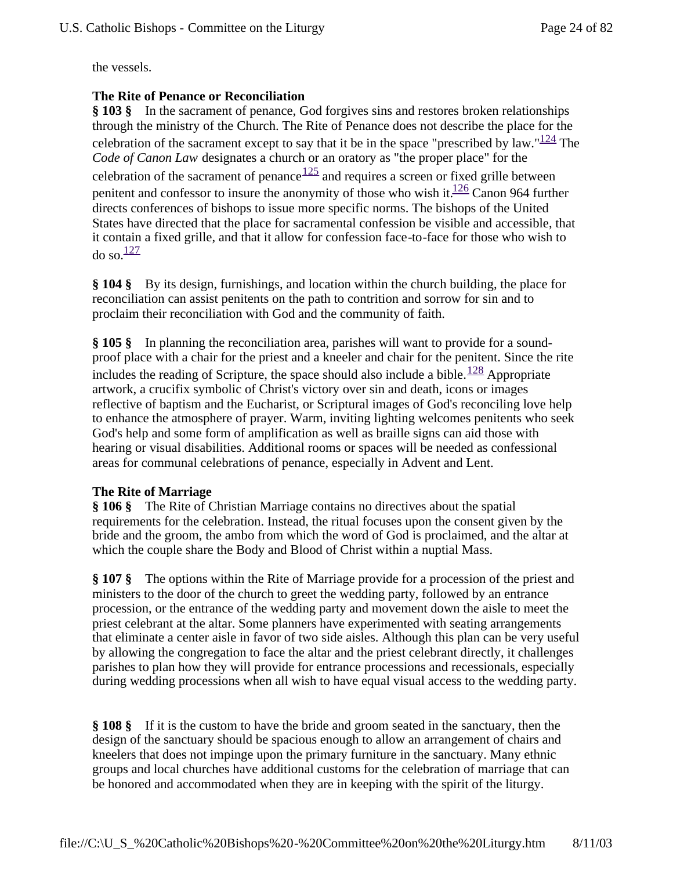the vessels.

# **The Rite of Penance or Reconciliation**

**§ 103 §** In the sacrament of penance, God forgives sins and restores broken relationships through the ministry of the Church. The Rite of Penance does not describe the place for the celebration of the sacrament except to say that it be in the space "prescribed by law." $124$  The *Code of Canon Law* designates a church or an oratory as "the proper place" for the celebration of the sacrament of penance  $\frac{125}{2}$  and requires a screen or fixed grille between penitent and confessor to insure the anonymity of those who wish it. $\frac{126}{126}$  Canon 964 further directs conferences of bishops to issue more specific norms. The bishops of the United States have directed that the place for sacramental confession be visible and accessible, that it contain a fixed grille, and that it allow for confession face-to-face for those who wish to  $\sigma$  so.<sup>127</sup>

**§ 104 §** By its design, furnishings, and location within the church building, the place for reconciliation can assist penitents on the path to contrition and sorrow for sin and to proclaim their reconciliation with God and the community of faith.

**§ 105 §** In planning the reconciliation area, parishes will want to provide for a soundproof place with a chair for the priest and a kneeler and chair for the penitent. Since the rite includes the reading of Scripture, the space should also include a bible. $128$  Appropriate artwork, a crucifix symbolic of Christ's victory over sin and death, icons or images reflective of baptism and the Eucharist, or Scriptural images of God's reconciling love help to enhance the atmosphere of prayer. Warm, inviting lighting welcomes penitents who seek God's help and some form of amplification as well as braille signs can aid those with hearing or visual disabilities. Additional rooms or spaces will be needed as confessional areas for communal celebrations of penance, especially in Advent and Lent.

# **The Rite of Marriage**

**§ 106 §** The Rite of Christian Marriage contains no directives about the spatial requirements for the celebration. Instead, the ritual focuses upon the consent given by the bride and the groom, the ambo from which the word of God is proclaimed, and the altar at which the couple share the Body and Blood of Christ within a nuptial Mass.

**§ 107 §** The options within the Rite of Marriage provide for a procession of the priest and ministers to the door of the church to greet the wedding party, followed by an entrance procession, or the entrance of the wedding party and movement down the aisle to meet the priest celebrant at the altar. Some planners have experimented with seating arrangements that eliminate a center aisle in favor of two side aisles. Although this plan can be very useful by allowing the congregation to face the altar and the priest celebrant directly, it challenges parishes to plan how they will provide for entrance processions and recessionals, especially during wedding processions when all wish to have equal visual access to the wedding party.

**§ 108 §** If it is the custom to have the bride and groom seated in the sanctuary, then the design of the sanctuary should be spacious enough to allow an arrangement of chairs and kneelers that does not impinge upon the primary furniture in the sanctuary. Many ethnic groups and local churches have additional customs for the celebration of marriage that can be honored and accommodated when they are in keeping with the spirit of the liturgy.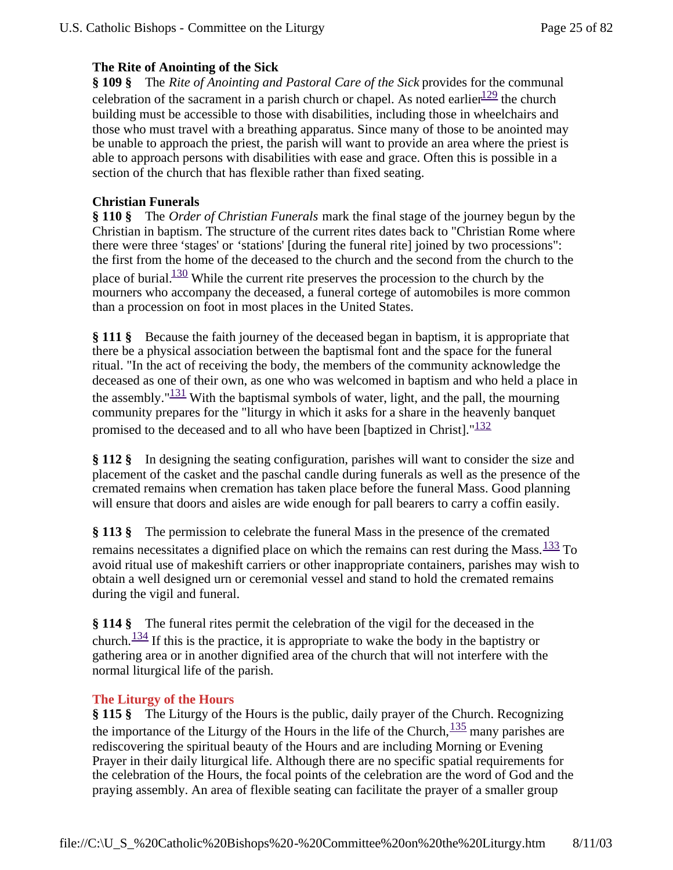# **The Rite of Anointing of the Sick**

**§ 109 §** The *Rite of Anointing and Pastoral Care of the Sick* provides for the communal celebration of the sacrament in a parish church or chapel. As noted earlier $\frac{129}{2}$  the church building must be accessible to those with disabilities, including those in wheelchairs and those who must travel with a breathing apparatus. Since many of those to be anointed may be unable to approach the priest, the parish will want to provide an area where the priest is able to approach persons with disabilities with ease and grace. Often this is possible in a section of the church that has flexible rather than fixed seating.

# **Christian Funerals**

**§ 110 §** The *Order of Christian Funerals* mark the final stage of the journey begun by the Christian in baptism. The structure of the current rites dates back to "Christian Rome where there were three 'stages' or 'stations' [during the funeral rite] joined by two processions": the first from the home of the deceased to the church and the second from the church to the place of burial. $\frac{130}{130}$  While the current rite preserves the procession to the church by the mourners who accompany the deceased, a funeral cortege of automobiles is more common than a procession on foot in most places in the United States.

**§ 111 §** Because the faith journey of the deceased began in baptism, it is appropriate that there be a physical association between the baptismal font and the space for the funeral ritual. "In the act of receiving the body, the members of the community acknowledge the deceased as one of their own, as one who was welcomed in baptism and who held a place in the assembly." $\frac{131}{131}$  With the baptismal symbols of water, light, and the pall, the mourning community prepares for the "liturgy in which it asks for a share in the heavenly banquet promised to the deceased and to all who have been [baptized in Christ]."<sup>132</sup>

**§ 112 §** In designing the seating configuration, parishes will want to consider the size and placement of the casket and the paschal candle during funerals as well as the presence of the cremated remains when cremation has taken place before the funeral Mass. Good planning will ensure that doors and aisles are wide enough for pall bearers to carry a coffin easily.

**§ 113 §** The permission to celebrate the funeral Mass in the presence of the cremated remains necessitates a dignified place on which the remains can rest during the Mass. $\frac{133}{13}$  To avoid ritual use of makeshift carriers or other inappropriate containers, parishes may wish to obtain a well designed urn or ceremonial vessel and stand to hold the cremated remains during the vigil and funeral.

**§ 114 §** The funeral rites permit the celebration of the vigil for the deceased in the church. $\frac{134}{ }$  If this is the practice, it is appropriate to wake the body in the baptistry or gathering area or in another dignified area of the church that will not interfere with the normal liturgical life of the parish.

# **The Liturgy of the Hours**

**§ 115 §** The Liturgy of the Hours is the public, daily prayer of the Church. Recognizing the importance of the Liturgy of the Hours in the life of the Church, $\frac{135}{3}$  many parishes are rediscovering the spiritual beauty of the Hours and are including Morning or Evening Prayer in their daily liturgical life. Although there are no specific spatial requirements for the celebration of the Hours, the focal points of the celebration are the word of God and the praying assembly. An area of flexible seating can facilitate the prayer of a smaller group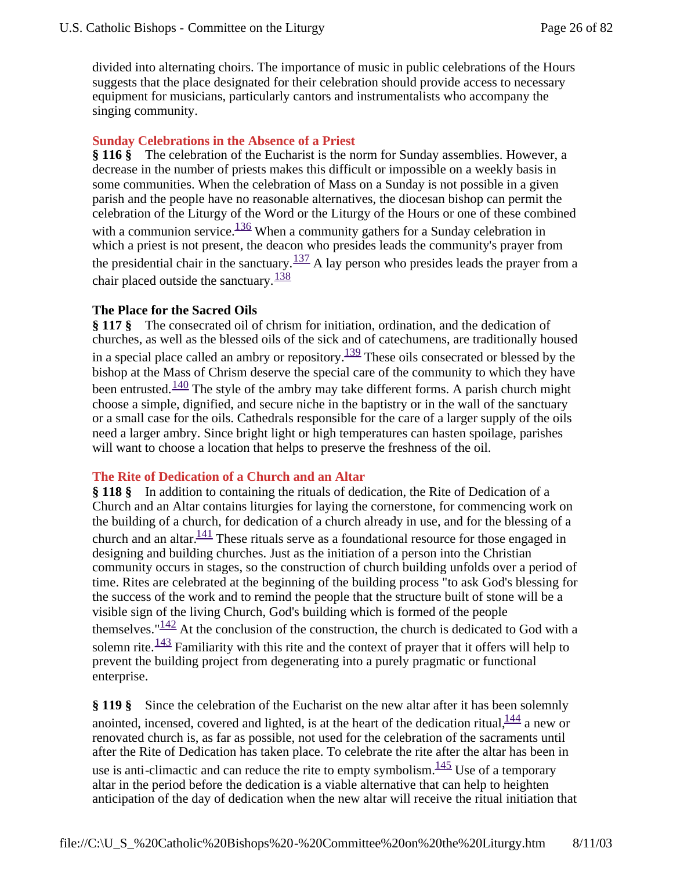divided into alternating choirs. The importance of music in public celebrations of the Hours suggests that the place designated for their celebration should provide access to necessary equipment for musicians, particularly cantors and instrumentalists who accompany the singing community.

#### **Sunday Celebrations in the Absence of a Priest**

**§ 116 §** The celebration of the Eucharist is the norm for Sunday assemblies. However, a decrease in the number of priests makes this difficult or impossible on a weekly basis in some communities. When the celebration of Mass on a Sunday is not possible in a given parish and the people have no reasonable alternatives, the diocesan bishop can permit the celebration of the Liturgy of the Word or the Liturgy of the Hours or one of these combined with a communion service.<sup>136</sup> When a community gathers for a Sunday celebration in which a priest is not present, the deacon who presides leads the community's prayer from the presidential chair in the sanctuary.<sup>137</sup> A lay person who presides leads the prayer from a chair placed outside the sanctuary.  $\frac{138}{2}$ 

## **The Place for the Sacred Oils**

**§ 117 §** The consecrated oil of chrism for initiation, ordination, and the dedication of churches, as well as the blessed oils of the sick and of catechumens, are traditionally housed in a special place called an ambry or repository.139 These oils consecrated or blessed by the bishop at the Mass of Chrism deserve the special care of the community to which they have been entrusted. $\frac{140}{140}$  The style of the ambry may take different forms. A parish church might choose a simple, dignified, and secure niche in the baptistry or in the wall of the sanctuary or a small case for the oils. Cathedrals responsible for the care of a larger supply of the oils need a larger ambry. Since bright light or high temperatures can hasten spoilage, parishes will want to choose a location that helps to preserve the freshness of the oil.

#### **The Rite of Dedication of a Church and an Altar**

**§ 118 §** In addition to containing the rituals of dedication, the Rite of Dedication of a Church and an Altar contains liturgies for laying the cornerstone, for commencing work on the building of a church, for dedication of a church already in use, and for the blessing of a church and an altar. $\frac{141}{12}$  These rituals serve as a foundational resource for those engaged in designing and building churches. Just as the initiation of a person into the Christian community occurs in stages, so the construction of church building unfolds over a period of time. Rites are celebrated at the beginning of the building process "to ask God's blessing for the success of the work and to remind the people that the structure built of stone will be a visible sign of the living Church, God's building which is formed of the people themselves." $\frac{142}{ }$  At the conclusion of the construction, the church is dedicated to God with a solemn rite.  $\frac{143}{2}$  Familiarity with this rite and the context of prayer that it offers will help to prevent the building project from degenerating into a purely pragmatic or functional enterprise.

**§ 119 §** Since the celebration of the Eucharist on the new altar after it has been solemnly anointed, incensed, covered and lighted, is at the heart of the dedication ritual, $\frac{144}{144}$  a new or renovated church is, as far as possible, not used for the celebration of the sacraments until after the Rite of Dedication has taken place. To celebrate the rite after the altar has been in use is anti-climactic and can reduce the rite to empty symbolism.  $\frac{145}{145}$  Use of a temporary altar in the period before the dedication is a viable alternative that can help to heighten anticipation of the day of dedication when the new altar will receive the ritual initiation that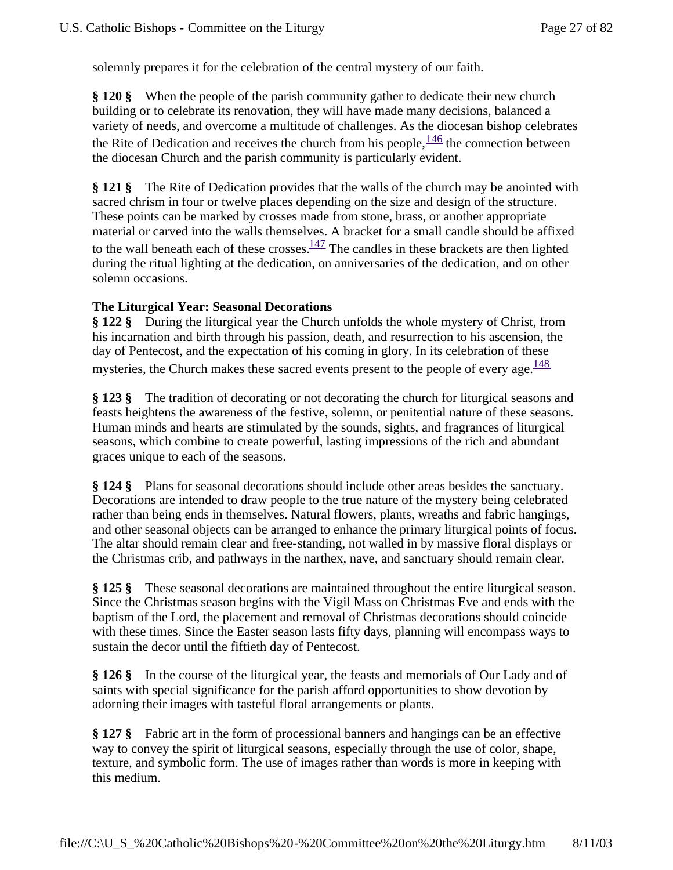solemnly prepares it for the celebration of the central mystery of our faith.

**§ 120 §** When the people of the parish community gather to dedicate their new church building or to celebrate its renovation, they will have made many decisions, balanced a variety of needs, and overcome a multitude of challenges. As the diocesan bishop celebrates the Rite of Dedication and receives the church from his people,  $\frac{146}{140}$  the connection between the diocesan Church and the parish community is particularly evident.

**§ 121 §** The Rite of Dedication provides that the walls of the church may be anointed with sacred chrism in four or twelve places depending on the size and design of the structure. These points can be marked by crosses made from stone, brass, or another appropriate material or carved into the walls themselves. A bracket for a small candle should be affixed to the wall beneath each of these crosses. $\frac{147}{10}$  The candles in these brackets are then lighted during the ritual lighting at the dedication, on anniversaries of the dedication, and on other solemn occasions.

# **The Liturgical Year: Seasonal Decorations**

**§ 122 §** During the liturgical year the Church unfolds the whole mystery of Christ, from his incarnation and birth through his passion, death, and resurrection to his ascension, the day of Pentecost, and the expectation of his coming in glory. In its celebration of these mysteries, the Church makes these sacred events present to the people of every age. $\frac{148}{148}$ 

**§ 123 §** The tradition of decorating or not decorating the church for liturgical seasons and feasts heightens the awareness of the festive, solemn, or penitential nature of these seasons. Human minds and hearts are stimulated by the sounds, sights, and fragrances of liturgical seasons, which combine to create powerful, lasting impressions of the rich and abundant graces unique to each of the seasons.

**§ 124 §** Plans for seasonal decorations should include other areas besides the sanctuary. Decorations are intended to draw people to the true nature of the mystery being celebrated rather than being ends in themselves. Natural flowers, plants, wreaths and fabric hangings, and other seasonal objects can be arranged to enhance the primary liturgical points of focus. The altar should remain clear and free-standing, not walled in by massive floral displays or the Christmas crib, and pathways in the narthex, nave, and sanctuary should remain clear.

**§ 125 §** These seasonal decorations are maintained throughout the entire liturgical season. Since the Christmas season begins with the Vigil Mass on Christmas Eve and ends with the baptism of the Lord, the placement and removal of Christmas decorations should coincide with these times. Since the Easter season lasts fifty days, planning will encompass ways to sustain the decor until the fiftieth day of Pentecost.

**§ 126 §** In the course of the liturgical year, the feasts and memorials of Our Lady and of saints with special significance for the parish afford opportunities to show devotion by adorning their images with tasteful floral arrangements or plants.

**§ 127 §** Fabric art in the form of processional banners and hangings can be an effective way to convey the spirit of liturgical seasons, especially through the use of color, shape, texture, and symbolic form. The use of images rather than words is more in keeping with this medium.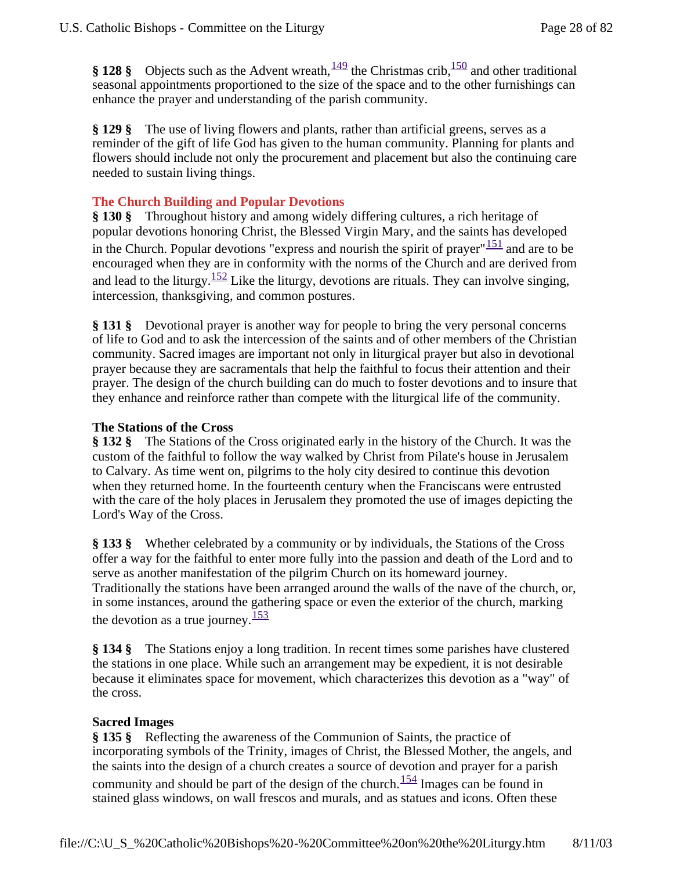§ **128** § Objects such as the Advent wreath,  $\frac{149}{4}$  the Christmas crib,  $\frac{150}{5}$  and other traditional seasonal appointments proportioned to the size of the space and to the other furnishings can enhance the prayer and understanding of the parish community.

**§ 129 §** The use of living flowers and plants, rather than artificial greens, serves as a reminder of the gift of life God has given to the human community. Planning for plants and flowers should include not only the procurement and placement but also the continuing care needed to sustain living things.

#### **The Church Building and Popular Devotions**

**§ 130 §** Throughout history and among widely differing cultures, a rich heritage of popular devotions honoring Christ, the Blessed Virgin Mary, and the saints has developed in the Church. Popular devotions "express and nourish the spirit of prayer" $\frac{151}{151}$  and are to be encouraged when they are in conformity with the norms of the Church and are derived from and lead to the liturgy.<sup>152</sup> Like the liturgy, devotions are rituals. They can involve singing, intercession, thanksgiving, and common postures.

**§ 131 §** Devotional prayer is another way for people to bring the very personal concerns of life to God and to ask the intercession of the saints and of other members of the Christian community. Sacred images are important not only in liturgical prayer but also in devotional prayer because they are sacramentals that help the faithful to focus their attention and their prayer. The design of the church building can do much to foster devotions and to insure that they enhance and reinforce rather than compete with the liturgical life of the community.

## **The Stations of the Cross**

**§ 132 §** The Stations of the Cross originated early in the history of the Church. It was the custom of the faithful to follow the way walked by Christ from Pilate's house in Jerusalem to Calvary. As time went on, pilgrims to the holy city desired to continue this devotion when they returned home. In the fourteenth century when the Franciscans were entrusted with the care of the holy places in Jerusalem they promoted the use of images depicting the Lord's Way of the Cross.

**§ 133 §** Whether celebrated by a community or by individuals, the Stations of the Cross offer a way for the faithful to enter more fully into the passion and death of the Lord and to serve as another manifestation of the pilgrim Church on its homeward journey. Traditionally the stations have been arranged around the walls of the nave of the church, or, in some instances, around the gathering space or even the exterior of the church, marking the devotion as a true journey. $\frac{153}{153}$ 

**§ 134 §** The Stations enjoy a long tradition. In recent times some parishes have clustered the stations in one place. While such an arrangement may be expedient, it is not desirable because it eliminates space for movement, which characterizes this devotion as a "way" of the cross.

#### **Sacred Images**

**§ 135 §** Reflecting the awareness of the Communion of Saints, the practice of incorporating symbols of the Trinity, images of Christ, the Blessed Mother, the angels, and the saints into the design of a church creates a source of devotion and prayer for a parish community and should be part of the design of the church.<sup>154</sup> Images can be found in stained glass windows, on wall frescos and murals, and as statues and icons. Often these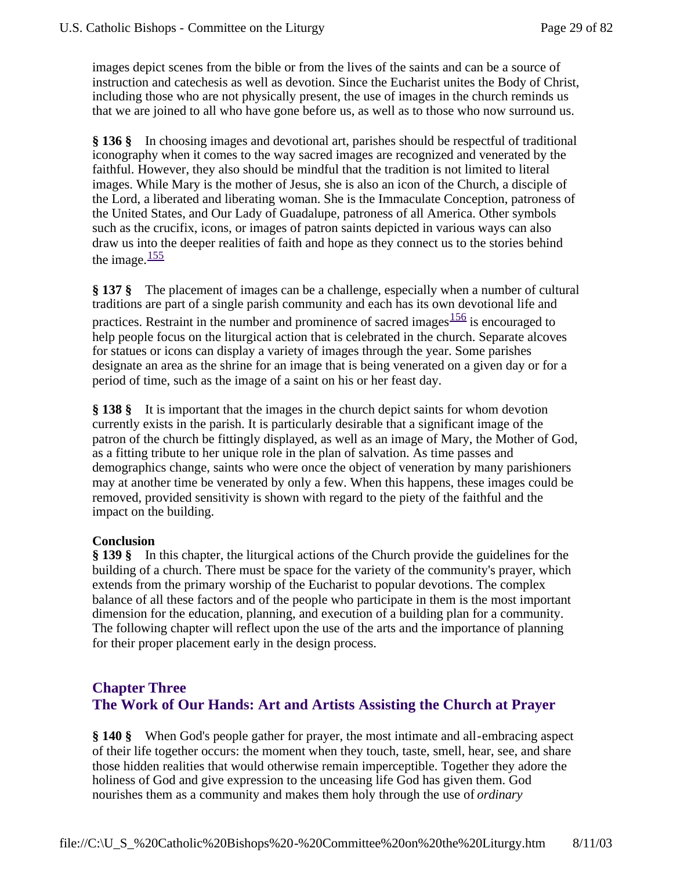images depict scenes from the bible or from the lives of the saints and can be a source of instruction and catechesis as well as devotion. Since the Eucharist unites the Body of Christ, including those who are not physically present, the use of images in the church reminds us that we are joined to all who have gone before us, as well as to those who now surround us.

**§ 136 §** In choosing images and devotional art, parishes should be respectful of traditional iconography when it comes to the way sacred images are recognized and venerated by the faithful. However, they also should be mindful that the tradition is not limited to literal images. While Mary is the mother of Jesus, she is also an icon of the Church, a disciple of the Lord, a liberated and liberating woman. She is the Immaculate Conception, patroness of the United States, and Our Lady of Guadalupe, patroness of all America. Other symbols such as the crucifix, icons, or images of patron saints depicted in various ways can also draw us into the deeper realities of faith and hope as they connect us to the stories behind the image. $\frac{155}{155}$ 

**§ 137 §** The placement of images can be a challenge, especially when a number of cultural traditions are part of a single parish community and each has its own devotional life and practices. Restraint in the number and prominence of sacred images $\frac{156}{156}$  is encouraged to help people focus on the liturgical action that is celebrated in the church. Separate alcoves for statues or icons can display a variety of images through the year. Some parishes designate an area as the shrine for an image that is being venerated on a given day or for a period of time, such as the image of a saint on his or her feast day.

**§ 138 §** It is important that the images in the church depict saints for whom devotion currently exists in the parish. It is particularly desirable that a significant image of the patron of the church be fittingly displayed, as well as an image of Mary, the Mother of God, as a fitting tribute to her unique role in the plan of salvation. As time passes and demographics change, saints who were once the object of veneration by many parishioners may at another time be venerated by only a few. When this happens, these images could be removed, provided sensitivity is shown with regard to the piety of the faithful and the impact on the building.

#### **Conclusion**

**§ 139 §** In this chapter, the liturgical actions of the Church provide the guidelines for the building of a church. There must be space for the variety of the community's prayer, which extends from the primary worship of the Eucharist to popular devotions. The complex balance of all these factors and of the people who participate in them is the most important dimension for the education, planning, and execution of a building plan for a community. The following chapter will reflect upon the use of the arts and the importance of planning for their proper placement early in the design process.

# **Chapter Three The Work of Our Hands: Art and Artists Assisting the Church at Prayer**

**§ 140 §** When God's people gather for prayer, the most intimate and all-embracing aspect of their life together occurs: the moment when they touch, taste, smell, hear, see, and share those hidden realities that would otherwise remain imperceptible. Together they adore the holiness of God and give expression to the unceasing life God has given them. God nourishes them as a community and makes them holy through the use of *ordinary*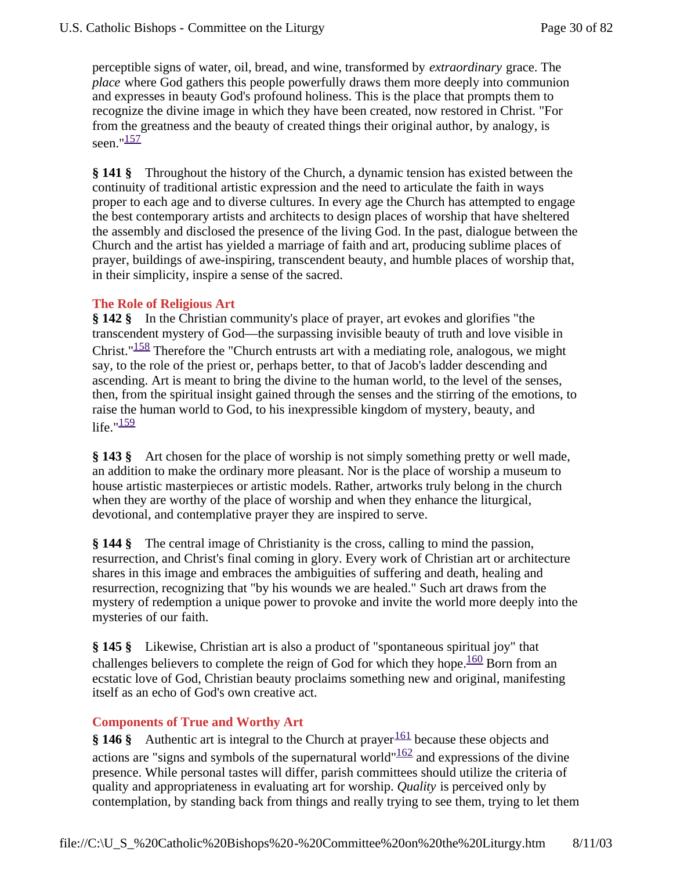perceptible signs of water, oil, bread, and wine, transformed by *extraordinary* grace. The *place* where God gathers this people powerfully draws them more deeply into communion and expresses in beauty God's profound holiness. This is the place that prompts them to recognize the divine image in which they have been created, now restored in Christ. "For from the greatness and the beauty of created things their original author, by analogy, is seen." $\frac{157}{2}$ 

**§ 141 §** Throughout the history of the Church, a dynamic tension has existed between the continuity of traditional artistic expression and the need to articulate the faith in ways proper to each age and to diverse cultures. In every age the Church has attempted to engage the best contemporary artists and architects to design places of worship that have sheltered the assembly and disclosed the presence of the living God. In the past, dialogue between the Church and the artist has yielded a marriage of faith and art, producing sublime places of prayer, buildings of awe-inspiring, transcendent beauty, and humble places of worship that, in their simplicity, inspire a sense of the sacred.

#### **The Role of Religious Art**

**§ 142 §** In the Christian community's place of prayer, art evokes and glorifies "the transcendent mystery of God—the surpassing invisible beauty of truth and love visible in Christ." $158$  Therefore the "Church entrusts art with a mediating role, analogous, we might say, to the role of the priest or, perhaps better, to that of Jacob's ladder descending and ascending. Art is meant to bring the divine to the human world, to the level of the senses, then, from the spiritual insight gained through the senses and the stirring of the emotions, to raise the human world to God, to his inexpressible kingdom of mystery, beauty, and life." $\frac{159}{2}$ 

**§ 143 §** Art chosen for the place of worship is not simply something pretty or well made, an addition to make the ordinary more pleasant. Nor is the place of worship a museum to house artistic masterpieces or artistic models. Rather, artworks truly belong in the church when they are worthy of the place of worship and when they enhance the liturgical, devotional, and contemplative prayer they are inspired to serve.

**§ 144 §** The central image of Christianity is the cross, calling to mind the passion, resurrection, and Christ's final coming in glory. Every work of Christian art or architecture shares in this image and embraces the ambiguities of suffering and death, healing and resurrection, recognizing that "by his wounds we are healed." Such art draws from the mystery of redemption a unique power to provoke and invite the world more deeply into the mysteries of our faith.

**§ 145 §** Likewise, Christian art is also a product of "spontaneous spiritual joy" that challenges believers to complete the reign of God for which they hope.<sup>160</sup> Born from an ecstatic love of God, Christian beauty proclaims something new and original, manifesting itself as an echo of God's own creative act.

# **Components of True and Worthy Art**

§ 146 § Authentic art is integral to the Church at prayer<sup>161</sup> because these objects and actions are "signs and symbols of the supernatural world" $162$  and expressions of the divine presence. While personal tastes will differ, parish committees should utilize the criteria of quality and appropriateness in evaluating art for worship. *Quality* is perceived only by contemplation, by standing back from things and really trying to see them, trying to let them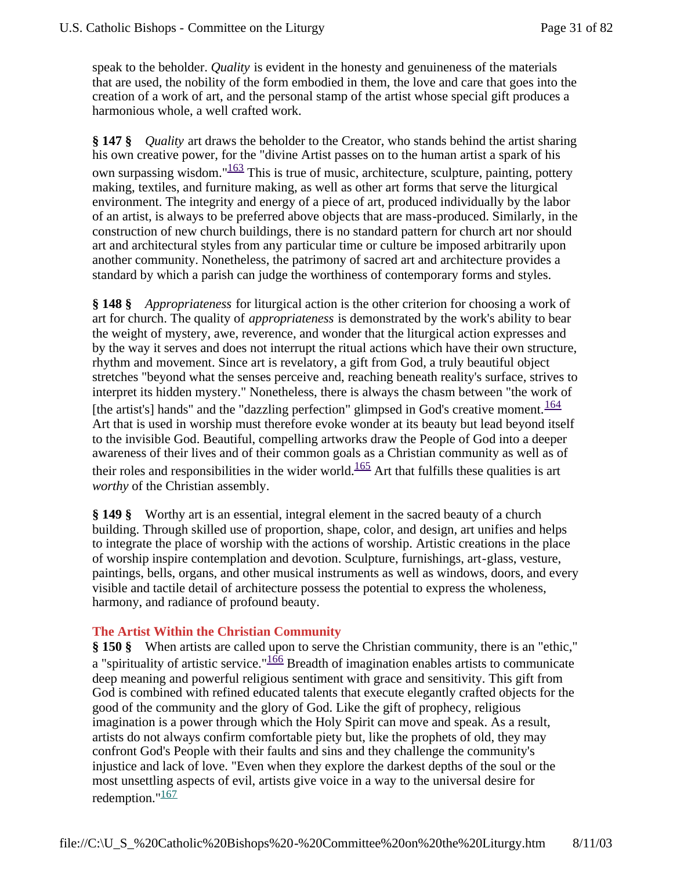speak to the beholder. *Quality* is evident in the honesty and genuineness of the materials that are used, the nobility of the form embodied in them, the love and care that goes into the creation of a work of art, and the personal stamp of the artist whose special gift produces a harmonious whole, a well crafted work.

**§ 147 §** *Quality* art draws the beholder to the Creator, who stands behind the artist sharing his own creative power, for the "divine Artist passes on to the human artist a spark of his own surpassing wisdom." $\frac{163}{163}$  This is true of music, architecture, sculpture, painting, pottery making, textiles, and furniture making, as well as other art forms that serve the liturgical environment. The integrity and energy of a piece of art, produced individually by the labor of an artist, is always to be preferred above objects that are mass-produced. Similarly, in the construction of new church buildings, there is no standard pattern for church art nor should art and architectural styles from any particular time or culture be imposed arbitrarily upon another community. Nonetheless, the patrimony of sacred art and architecture provides a standard by which a parish can judge the worthiness of contemporary forms and styles.

**§ 148 §** *Appropriateness* for liturgical action is the other criterion for choosing a work of art for church. The quality of *appropriateness* is demonstrated by the work's ability to bear the weight of mystery, awe, reverence, and wonder that the liturgical action expresses and by the way it serves and does not interrupt the ritual actions which have their own structure, rhythm and movement. Since art is revelatory, a gift from God, a truly beautiful object stretches "beyond what the senses perceive and, reaching beneath reality's surface, strives to interpret its hidden mystery." Nonetheless, there is always the chasm between "the work of [the artist's] hands" and the "dazzling perfection" glimpsed in God's creative moment. $\frac{164}{164}$ Art that is used in worship must therefore evoke wonder at its beauty but lead beyond itself to the invisible God. Beautiful, compelling artworks draw the People of God into a deeper awareness of their lives and of their common goals as a Christian community as well as of their roles and responsibilities in the wider world.<sup>165</sup> Art that fulfills these qualities is art *worthy* of the Christian assembly.

**§ 149 §** Worthy art is an essential, integral element in the sacred beauty of a church building. Through skilled use of proportion, shape, color, and design, art unifies and helps to integrate the place of worship with the actions of worship. Artistic creations in the place of worship inspire contemplation and devotion. Sculpture, furnishings, art-glass, vesture, paintings, bells, organs, and other musical instruments as well as windows, doors, and every visible and tactile detail of architecture possess the potential to express the wholeness, harmony, and radiance of profound beauty.

#### **The Artist Within the Christian Community**

**§ 150 §** When artists are called upon to serve the Christian community, there is an "ethic," a "spirituality of artistic service." $\frac{166}{160}$  Breadth of imagination enables artists to communicate deep meaning and powerful religious sentiment with grace and sensitivity. This gift from God is combined with refined educated talents that execute elegantly crafted objects for the good of the community and the glory of God. Like the gift of prophecy, religious imagination is a power through which the Holy Spirit can move and speak. As a result, artists do not always confirm comfortable piety but, like the prophets of old, they may confront God's People with their faults and sins and they challenge the community's injustice and lack of love. "Even when they explore the darkest depths of the soul or the most unsettling aspects of evil, artists give voice in a way to the universal desire for redemption." $\frac{167}{167}$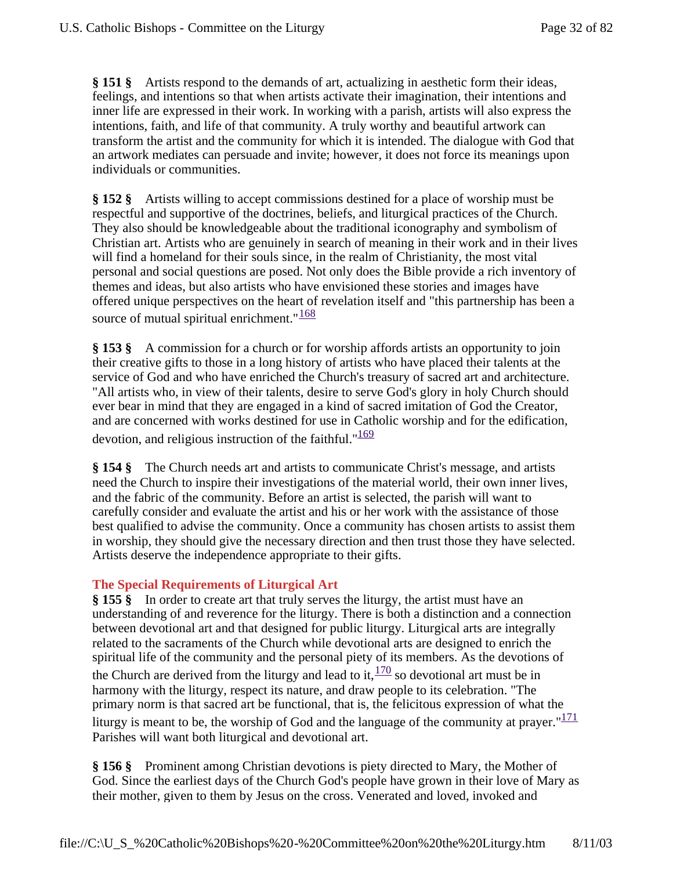**§ 151 §** Artists respond to the demands of art, actualizing in aesthetic form their ideas, feelings, and intentions so that when artists activate their imagination, their intentions and inner life are expressed in their work. In working with a parish, artists will also express the intentions, faith, and life of that community. A truly worthy and beautiful artwork can transform the artist and the community for which it is intended. The dialogue with God that an artwork mediates can persuade and invite; however, it does not force its meanings upon individuals or communities.

**§ 152 §** Artists willing to accept commissions destined for a place of worship must be respectful and supportive of the doctrines, beliefs, and liturgical practices of the Church. They also should be knowledgeable about the traditional iconography and symbolism of Christian art. Artists who are genuinely in search of meaning in their work and in their lives will find a homeland for their souls since, in the realm of Christianity, the most vital personal and social questions are posed. Not only does the Bible provide a rich inventory of themes and ideas, but also artists who have envisioned these stories and images have offered unique perspectives on the heart of revelation itself and "this partnership has been a source of mutual spiritual enrichment." $\frac{168}{168}$ 

**§ 153 §** A commission for a church or for worship affords artists an opportunity to join their creative gifts to those in a long history of artists who have placed their talents at the service of God and who have enriched the Church's treasury of sacred art and architecture. "All artists who, in view of their talents, desire to serve God's glory in holy Church should ever bear in mind that they are engaged in a kind of sacred imitation of God the Creator, and are concerned with works destined for use in Catholic worship and for the edification, devotion, and religious instruction of the faithful." $\frac{169}{169}$ 

**§ 154 §** The Church needs art and artists to communicate Christ's message, and artists need the Church to inspire their investigations of the material world, their own inner lives, and the fabric of the community. Before an artist is selected, the parish will want to carefully consider and evaluate the artist and his or her work with the assistance of those best qualified to advise the community. Once a community has chosen artists to assist them in worship, they should give the necessary direction and then trust those they have selected. Artists deserve the independence appropriate to their gifts.

#### **The Special Requirements of Liturgical Art**

**§ 155 §** In order to create art that truly serves the liturgy, the artist must have an understanding of and reverence for the liturgy. There is both a distinction and a connection between devotional art and that designed for public liturgy. Liturgical arts are integrally related to the sacraments of the Church while devotional arts are designed to enrich the spiritual life of the community and the personal piety of its members. As the devotions of the Church are derived from the liturgy and lead to it,  $\frac{170}{120}$  so devotional art must be in harmony with the liturgy, respect its nature, and draw people to its celebration. "The primary norm is that sacred art be functional, that is, the felicitous expression of what the liturgy is meant to be, the worship of God and the language of the community at prayer." $\frac{171}{171}$ Parishes will want both liturgical and devotional art.

**§ 156 §** Prominent among Christian devotions is piety directed to Mary, the Mother of God. Since the earliest days of the Church God's people have grown in their love of Mary as their mother, given to them by Jesus on the cross. Venerated and loved, invoked and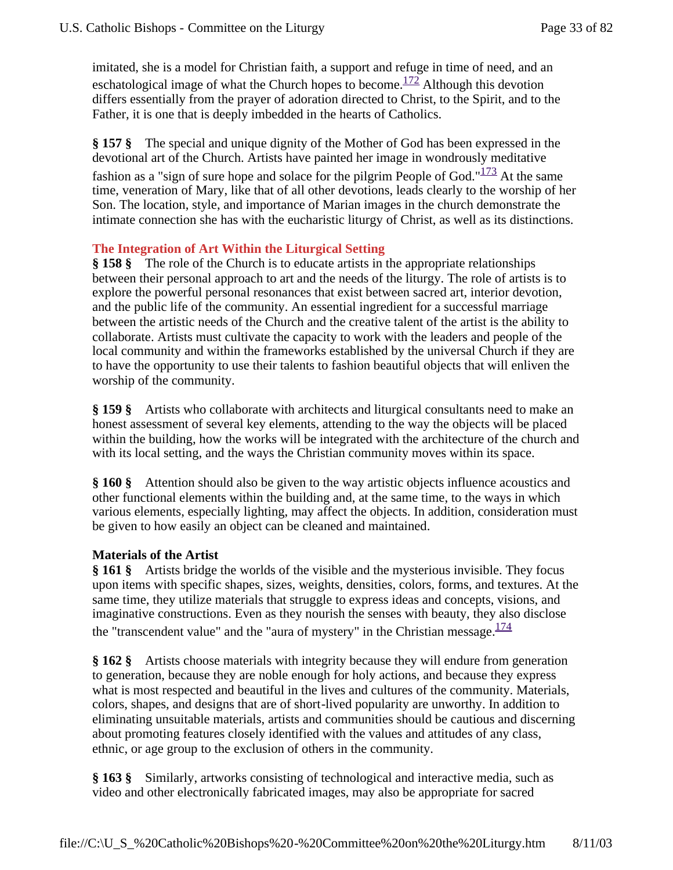imitated, she is a model for Christian faith, a support and refuge in time of need, and an eschatological image of what the Church hopes to become.<sup>172</sup> Although this devotion differs essentially from the prayer of adoration directed to Christ, to the Spirit, and to the Father, it is one that is deeply imbedded in the hearts of Catholics.

**§ 157 §** The special and unique dignity of the Mother of God has been expressed in the devotional art of the Church. Artists have painted her image in wondrously meditative fashion as a "sign of sure hope and solace for the pilgrim People of God." $\frac{173}{173}$  At the same time, veneration of Mary, like that of all other devotions, leads clearly to the worship of her Son. The location, style, and importance of Marian images in the church demonstrate the intimate connection she has with the eucharistic liturgy of Christ, as well as its distinctions.

## **The Integration of Art Within the Liturgical Setting**

**§ 158 §** The role of the Church is to educate artists in the appropriate relationships between their personal approach to art and the needs of the liturgy. The role of artists is to explore the powerful personal resonances that exist between sacred art, interior devotion, and the public life of the community. An essential ingredient for a successful marriage between the artistic needs of the Church and the creative talent of the artist is the ability to collaborate. Artists must cultivate the capacity to work with the leaders and people of the local community and within the frameworks established by the universal Church if they are to have the opportunity to use their talents to fashion beautiful objects that will enliven the worship of the community.

**§ 159 §** Artists who collaborate with architects and liturgical consultants need to make an honest assessment of several key elements, attending to the way the objects will be placed within the building, how the works will be integrated with the architecture of the church and with its local setting, and the ways the Christian community moves within its space.

**§ 160 §** Attention should also be given to the way artistic objects influence acoustics and other functional elements within the building and, at the same time, to the ways in which various elements, especially lighting, may affect the objects. In addition, consideration must be given to how easily an object can be cleaned and maintained.

#### **Materials of the Artist**

**§ 161 §** Artists bridge the worlds of the visible and the mysterious invisible. They focus upon items with specific shapes, sizes, weights, densities, colors, forms, and textures. At the same time, they utilize materials that struggle to express ideas and concepts, visions, and imaginative constructions. Even as they nourish the senses with beauty, they also disclose the "transcendent value" and the "aura of mystery" in the Christian message. $\frac{174}{17}$ 

**§ 162 §** Artists choose materials with integrity because they will endure from generation to generation, because they are noble enough for holy actions, and because they express what is most respected and beautiful in the lives and cultures of the community. Materials, colors, shapes, and designs that are of short-lived popularity are unworthy. In addition to eliminating unsuitable materials, artists and communities should be cautious and discerning about promoting features closely identified with the values and attitudes of any class, ethnic, or age group to the exclusion of others in the community.

**§ 163 §** Similarly, artworks consisting of technological and interactive media, such as video and other electronically fabricated images, may also be appropriate for sacred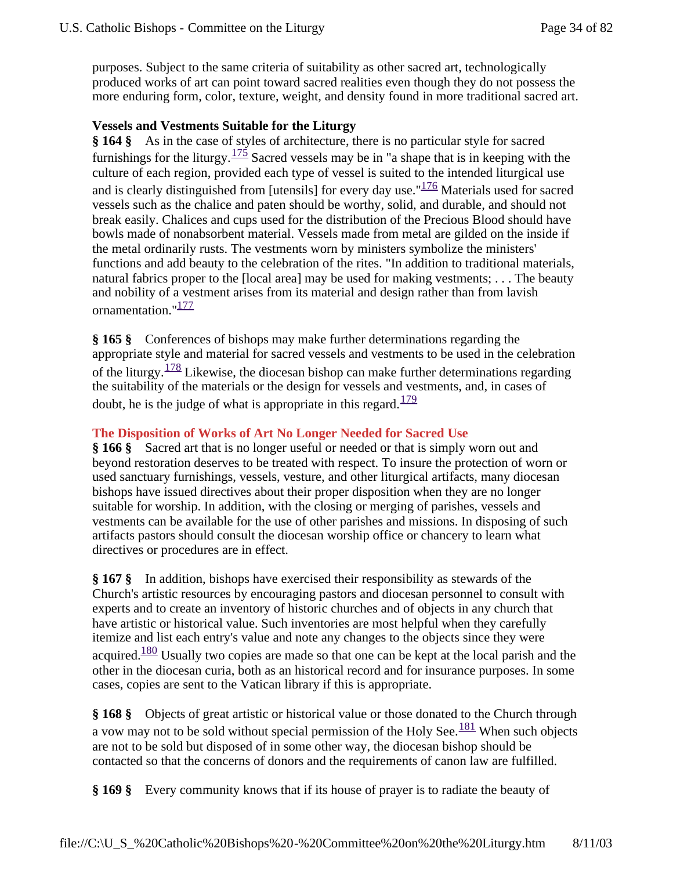purposes. Subject to the same criteria of suitability as other sacred art, technologically produced works of art can point toward sacred realities even though they do not possess the more enduring form, color, texture, weight, and density found in more traditional sacred art.

## **Vessels and Vestments Suitable for the Liturgy**

**§ 164 §** As in the case of styles of architecture, there is no particular style for sacred furnishings for the liturgy.<sup>175</sup> Sacred vessels may be in "a shape that is in keeping with the culture of each region, provided each type of vessel is suited to the intended liturgical use and is clearly distinguished from [utensils] for every day use." $176$  Materials used for sacred vessels such as the chalice and paten should be worthy, solid, and durable, and should not break easily. Chalices and cups used for the distribution of the Precious Blood should have bowls made of nonabsorbent material. Vessels made from metal are gilded on the inside if the metal ordinarily rusts. The vestments worn by ministers symbolize the ministers' functions and add beauty to the celebration of the rites. "In addition to traditional materials, natural fabrics proper to the [local area] may be used for making vestments; . . . The beauty and nobility of a vestment arises from its material and design rather than from lavish ornamentation."<sup>177</sup>

**§ 165 §** Conferences of bishops may make further determinations regarding the appropriate style and material for sacred vessels and vestments to be used in the celebration of the liturgy.<sup>178</sup> Likewise, the diocesan bishop can make further determinations regarding the suitability of the materials or the design for vessels and vestments, and, in cases of doubt, he is the judge of what is appropriate in this regard. $\frac{179}{2}$ 

# **The Disposition of Works of Art No Longer Needed for Sacred Use**

**§ 166 §** Sacred art that is no longer useful or needed or that is simply worn out and beyond restoration deserves to be treated with respect. To insure the protection of worn or used sanctuary furnishings, vessels, vesture, and other liturgical artifacts, many diocesan bishops have issued directives about their proper disposition when they are no longer suitable for worship. In addition, with the closing or merging of parishes, vessels and vestments can be available for the use of other parishes and missions. In disposing of such artifacts pastors should consult the diocesan worship office or chancery to learn what directives or procedures are in effect.

**§ 167 §** In addition, bishops have exercised their responsibility as stewards of the Church's artistic resources by encouraging pastors and diocesan personnel to consult with experts and to create an inventory of historic churches and of objects in any church that have artistic or historical value. Such inventories are most helpful when they carefully itemize and list each entry's value and note any changes to the objects since they were acquired.<sup>180</sup> Usually two copies are made so that one can be kept at the local parish and the other in the diocesan curia, both as an historical record and for insurance purposes. In some cases, copies are sent to the Vatican library if this is appropriate.

**§ 168 §** Objects of great artistic or historical value or those donated to the Church through a vow may not to be sold without special permission of the Holy See. $\frac{181}{181}$  When such objects are not to be sold but disposed of in some other way, the diocesan bishop should be contacted so that the concerns of donors and the requirements of canon law are fulfilled.

**§ 169 §** Every community knows that if its house of prayer is to radiate the beauty of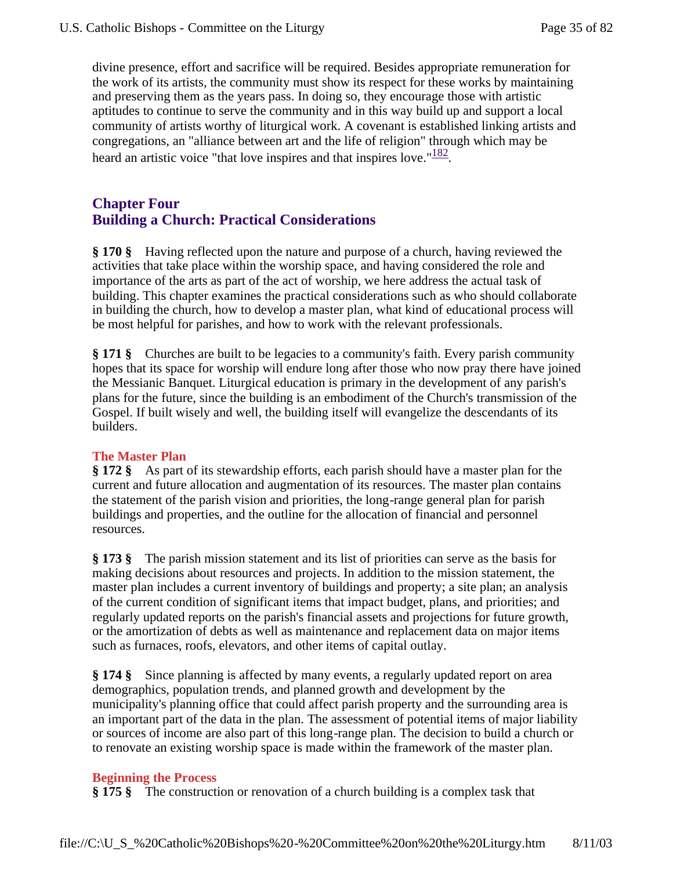divine presence, effort and sacrifice will be required. Besides appropriate remuneration for the work of its artists, the community must show its respect for these works by maintaining and preserving them as the years pass. In doing so, they encourage those with artistic aptitudes to continue to serve the community and in this way build up and support a local community of artists worthy of liturgical work. A covenant is established linking artists and congregations, an "alliance between art and the life of religion" through which may be heard an artistic voice "that love inspires and that inspires love." $\frac{182}{182}$ .

# **Chapter Four Building a Church: Practical Considerations**

**§ 170 §** Having reflected upon the nature and purpose of a church, having reviewed the activities that take place within the worship space, and having considered the role and importance of the arts as part of the act of worship, we here address the actual task of building. This chapter examines the practical considerations such as who should collaborate in building the church, how to develop a master plan, what kind of educational process will be most helpful for parishes, and how to work with the relevant professionals.

**§ 171 §** Churches are built to be legacies to a community's faith. Every parish community hopes that its space for worship will endure long after those who now pray there have joined the Messianic Banquet. Liturgical education is primary in the development of any parish's plans for the future, since the building is an embodiment of the Church's transmission of the Gospel. If built wisely and well, the building itself will evangelize the descendants of its builders.

#### **The Master Plan**

**§ 172 §** As part of its stewardship efforts, each parish should have a master plan for the current and future allocation and augmentation of its resources. The master plan contains the statement of the parish vision and priorities, the long-range general plan for parish buildings and properties, and the outline for the allocation of financial and personnel resources.

**§ 173 §** The parish mission statement and its list of priorities can serve as the basis for making decisions about resources and projects. In addition to the mission statement, the master plan includes a current inventory of buildings and property; a site plan; an analysis of the current condition of significant items that impact budget, plans, and priorities; and regularly updated reports on the parish's financial assets and projections for future growth, or the amortization of debts as well as maintenance and replacement data on major items such as furnaces, roofs, elevators, and other items of capital outlay.

**§ 174 §** Since planning is affected by many events, a regularly updated report on area demographics, population trends, and planned growth and development by the municipality's planning office that could affect parish property and the surrounding area is an important part of the data in the plan. The assessment of potential items of major liability or sources of income are also part of this long-range plan. The decision to build a church or to renovate an existing worship space is made within the framework of the master plan.

#### **Beginning the Process**

**§ 175 §** The construction or renovation of a church building is a complex task that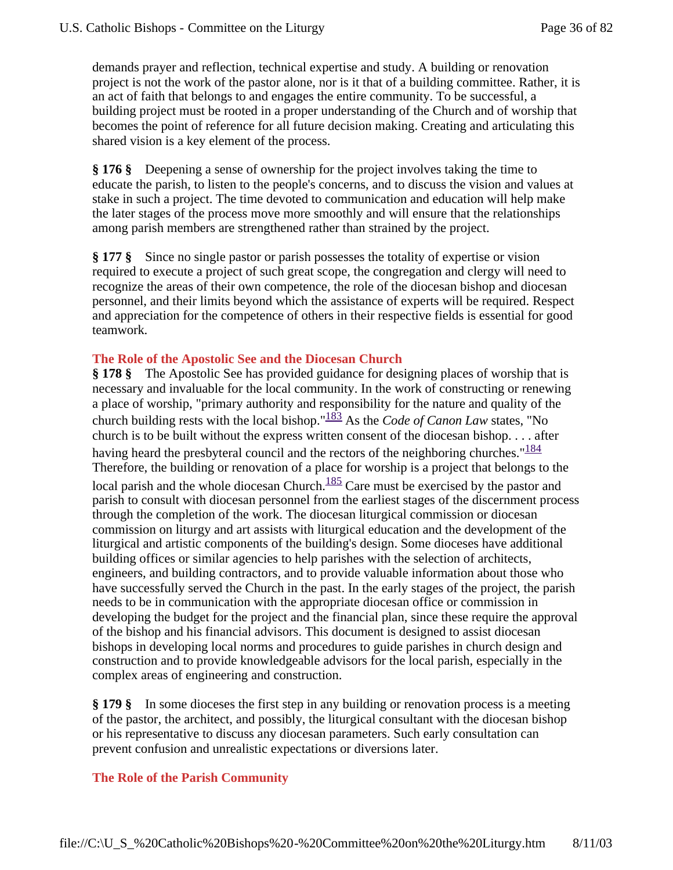demands prayer and reflection, technical expertise and study. A building or renovation project is not the work of the pastor alone, nor is it that of a building committee. Rather, it is an act of faith that belongs to and engages the entire community. To be successful, a building project must be rooted in a proper understanding of the Church and of worship that becomes the point of reference for all future decision making. Creating and articulating this shared vision is a key element of the process.

**§ 176 §** Deepening a sense of ownership for the project involves taking the time to educate the parish, to listen to the people's concerns, and to discuss the vision and values at stake in such a project. The time devoted to communication and education will help make the later stages of the process move more smoothly and will ensure that the relationships among parish members are strengthened rather than strained by the project.

**§ 177 §** Since no single pastor or parish possesses the totality of expertise or vision required to execute a project of such great scope, the congregation and clergy will need to recognize the areas of their own competence, the role of the diocesan bishop and diocesan personnel, and their limits beyond which the assistance of experts will be required. Respect and appreciation for the competence of others in their respective fields is essential for good teamwork.

## **The Role of the Apostolic See and the Diocesan Church**

**§ 178 §** The Apostolic See has provided guidance for designing places of worship that is necessary and invaluable for the local community. In the work of constructing or renewing a place of worship, "primary authority and responsibility for the nature and quality of the church building rests with the local bishop."183 As the *Code of Canon Law* states, "No church is to be built without the express written consent of the diocesan bishop. . . . after having heard the presbyteral council and the rectors of the neighboring churches."<sup>184</sup> Therefore, the building or renovation of a place for worship is a project that belongs to the local parish and the whole diocesan Church. $\frac{185}{2}$  Care must be exercised by the pastor and parish to consult with diocesan personnel from the earliest stages of the discernment process through the completion of the work. The diocesan liturgical commission or diocesan commission on liturgy and art assists with liturgical education and the development of the liturgical and artistic components of the building's design. Some dioceses have additional building offices or similar agencies to help parishes with the selection of architects, engineers, and building contractors, and to provide valuable information about those who have successfully served the Church in the past. In the early stages of the project, the parish needs to be in communication with the appropriate diocesan office or commission in developing the budget for the project and the financial plan, since these require the approval of the bishop and his financial advisors. This document is designed to assist diocesan bishops in developing local norms and procedures to guide parishes in church design and construction and to provide knowledgeable advisors for the local parish, especially in the complex areas of engineering and construction.

**§ 179 §** In some dioceses the first step in any building or renovation process is a meeting of the pastor, the architect, and possibly, the liturgical consultant with the diocesan bishop or his representative to discuss any diocesan parameters. Such early consultation can prevent confusion and unrealistic expectations or diversions later.

#### **The Role of the Parish Community**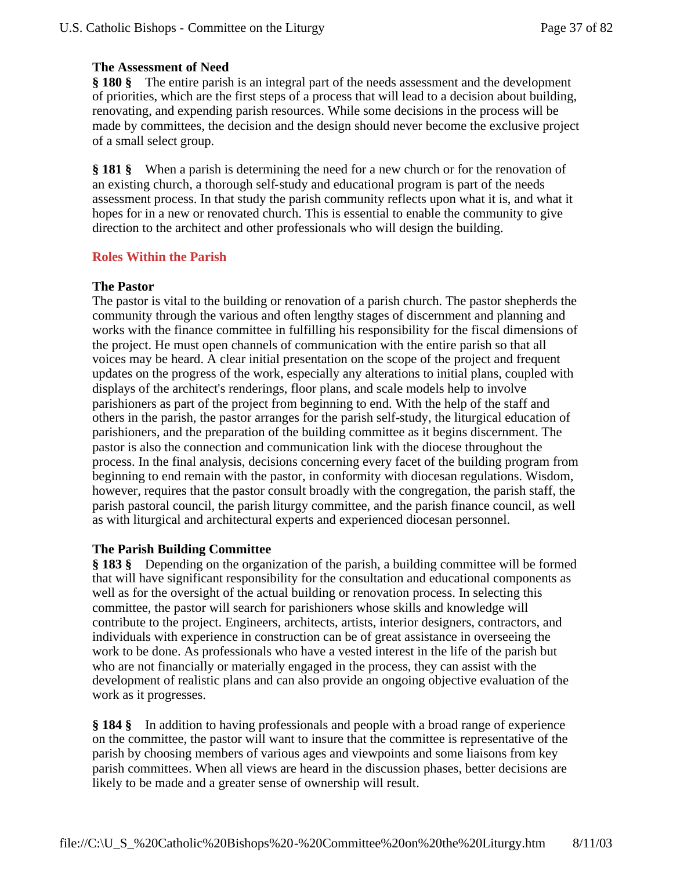# **The Assessment of Need**

**§ 180 §** The entire parish is an integral part of the needs assessment and the development of priorities, which are the first steps of a process that will lead to a decision about building, renovating, and expending parish resources. While some decisions in the process will be made by committees, the decision and the design should never become the exclusive project of a small select group.

**§ 181 §** When a parish is determining the need for a new church or for the renovation of an existing church, a thorough self-study and educational program is part of the needs assessment process. In that study the parish community reflects upon what it is, and what it hopes for in a new or renovated church. This is essential to enable the community to give direction to the architect and other professionals who will design the building.

# **Roles Within the Parish**

# **The Pastor**

The pastor is vital to the building or renovation of a parish church. The pastor shepherds the community through the various and often lengthy stages of discernment and planning and works with the finance committee in fulfilling his responsibility for the fiscal dimensions of the project. He must open channels of communication with the entire parish so that all voices may be heard. A clear initial presentation on the scope of the project and frequent updates on the progress of the work, especially any alterations to initial plans, coupled with displays of the architect's renderings, floor plans, and scale models help to involve parishioners as part of the project from beginning to end. With the help of the staff and others in the parish, the pastor arranges for the parish self-study, the liturgical education of parishioners, and the preparation of the building committee as it begins discernment. The pastor is also the connection and communication link with the diocese throughout the process. In the final analysis, decisions concerning every facet of the building program from beginning to end remain with the pastor, in conformity with diocesan regulations. Wisdom, however, requires that the pastor consult broadly with the congregation, the parish staff, the parish pastoral council, the parish liturgy committee, and the parish finance council, as well as with liturgical and architectural experts and experienced diocesan personnel.

# **The Parish Building Committee**

**§ 183 §** Depending on the organization of the parish, a building committee will be formed that will have significant responsibility for the consultation and educational components as well as for the oversight of the actual building or renovation process. In selecting this committee, the pastor will search for parishioners whose skills and knowledge will contribute to the project. Engineers, architects, artists, interior designers, contractors, and individuals with experience in construction can be of great assistance in overseeing the work to be done. As professionals who have a vested interest in the life of the parish but who are not financially or materially engaged in the process, they can assist with the development of realistic plans and can also provide an ongoing objective evaluation of the work as it progresses.

**§ 184 §** In addition to having professionals and people with a broad range of experience on the committee, the pastor will want to insure that the committee is representative of the parish by choosing members of various ages and viewpoints and some liaisons from key parish committees. When all views are heard in the discussion phases, better decisions are likely to be made and a greater sense of ownership will result.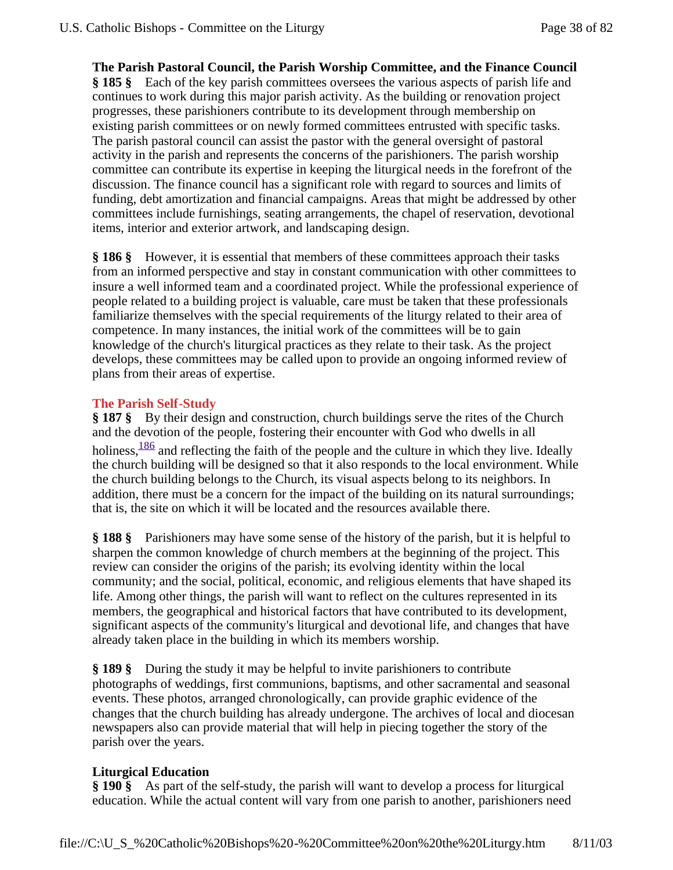**The Parish Pastoral Council, the Parish Worship Committee, and the Finance Council**

**§ 185 §** Each of the key parish committees oversees the various aspects of parish life and continues to work during this major parish activity. As the building or renovation project progresses, these parishioners contribute to its development through membership on existing parish committees or on newly formed committees entrusted with specific tasks. The parish pastoral council can assist the pastor with the general oversight of pastoral activity in the parish and represents the concerns of the parishioners. The parish worship committee can contribute its expertise in keeping the liturgical needs in the forefront of the discussion. The finance council has a significant role with regard to sources and limits of funding, debt amortization and financial campaigns. Areas that might be addressed by other committees include furnishings, seating arrangements, the chapel of reservation, devotional items, interior and exterior artwork, and landscaping design.

**§ 186 §** However, it is essential that members of these committees approach their tasks from an informed perspective and stay in constant communication with other committees to insure a well informed team and a coordinated project. While the professional experience of people related to a building project is valuable, care must be taken that these professionals familiarize themselves with the special requirements of the liturgy related to their area of competence. In many instances, the initial work of the committees will be to gain knowledge of the church's liturgical practices as they relate to their task. As the project develops, these committees may be called upon to provide an ongoing informed review of plans from their areas of expertise.

### **The Parish Self-Study**

**§ 187 §** By their design and construction, church buildings serve the rites of the Church and the devotion of the people, fostering their encounter with God who dwells in all holiness,  $\frac{186}{180}$  and reflecting the faith of the people and the culture in which they live. Ideally the church building will be designed so that it also responds to the local environment. While the church building belongs to the Church, its visual aspects belong to its neighbors. In addition, there must be a concern for the impact of the building on its natural surroundings; that is, the site on which it will be located and the resources available there.

**§ 188 §** Parishioners may have some sense of the history of the parish, but it is helpful to sharpen the common knowledge of church members at the beginning of the project. This review can consider the origins of the parish; its evolving identity within the local community; and the social, political, economic, and religious elements that have shaped its life. Among other things, the parish will want to reflect on the cultures represented in its members, the geographical and historical factors that have contributed to its development, significant aspects of the community's liturgical and devotional life, and changes that have already taken place in the building in which its members worship.

**§ 189 §** During the study it may be helpful to invite parishioners to contribute photographs of weddings, first communions, baptisms, and other sacramental and seasonal events. These photos, arranged chronologically, can provide graphic evidence of the changes that the church building has already undergone. The archives of local and diocesan newspapers also can provide material that will help in piecing together the story of the parish over the years.

### **Liturgical Education**

**§ 190 §** As part of the self-study, the parish will want to develop a process for liturgical education. While the actual content will vary from one parish to another, parishioners need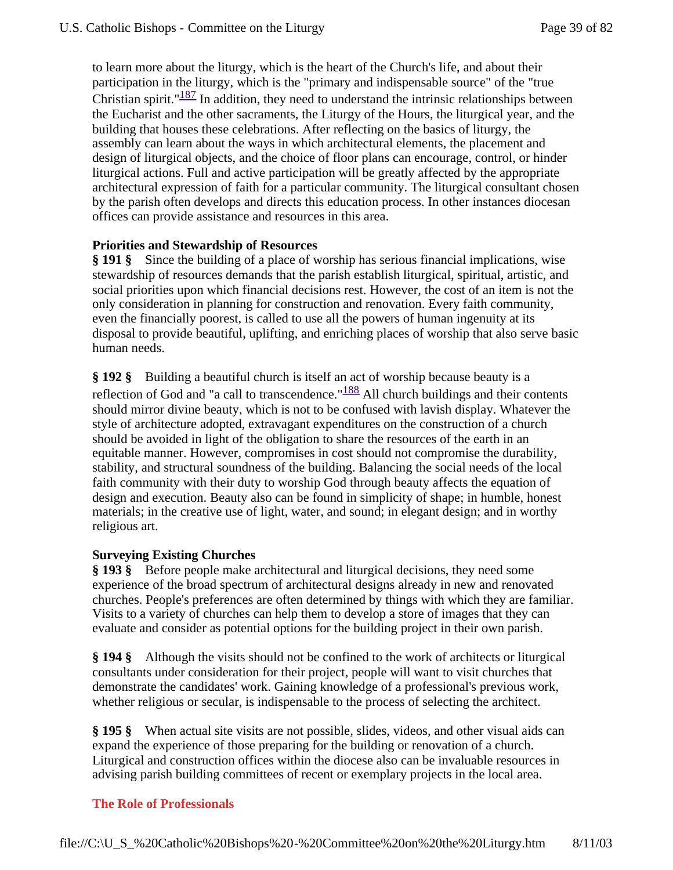to learn more about the liturgy, which is the heart of the Church's life, and about their participation in the liturgy, which is the "primary and indispensable source" of the "true Christian spirit." $\frac{187}{187}$  In addition, they need to understand the intrinsic relationships between the Eucharist and the other sacraments, the Liturgy of the Hours, the liturgical year, and the building that houses these celebrations. After reflecting on the basics of liturgy, the assembly can learn about the ways in which architectural elements, the placement and design of liturgical objects, and the choice of floor plans can encourage, control, or hinder liturgical actions. Full and active participation will be greatly affected by the appropriate architectural expression of faith for a particular community. The liturgical consultant chosen by the parish often develops and directs this education process. In other instances diocesan offices can provide assistance and resources in this area.

### **Priorities and Stewardship of Resources**

**§ 191 §** Since the building of a place of worship has serious financial implications, wise stewardship of resources demands that the parish establish liturgical, spiritual, artistic, and social priorities upon which financial decisions rest. However, the cost of an item is not the only consideration in planning for construction and renovation. Every faith community, even the financially poorest, is called to use all the powers of human ingenuity at its disposal to provide beautiful, uplifting, and enriching places of worship that also serve basic human needs.

**§ 192 §** Building a beautiful church is itself an act of worship because beauty is a reflection of God and "a call to transcendence." $\frac{188}{188}$  All church buildings and their contents should mirror divine beauty, which is not to be confused with lavish display. Whatever the style of architecture adopted, extravagant expenditures on the construction of a church should be avoided in light of the obligation to share the resources of the earth in an equitable manner. However, compromises in cost should not compromise the durability, stability, and structural soundness of the building. Balancing the social needs of the local faith community with their duty to worship God through beauty affects the equation of design and execution. Beauty also can be found in simplicity of shape; in humble, honest materials; in the creative use of light, water, and sound; in elegant design; and in worthy religious art.

### **Surveying Existing Churches**

**§ 193 §** Before people make architectural and liturgical decisions, they need some experience of the broad spectrum of architectural designs already in new and renovated churches. People's preferences are often determined by things with which they are familiar. Visits to a variety of churches can help them to develop a store of images that they can evaluate and consider as potential options for the building project in their own parish.

**§ 194 §** Although the visits should not be confined to the work of architects or liturgical consultants under consideration for their project, people will want to visit churches that demonstrate the candidates' work. Gaining knowledge of a professional's previous work, whether religious or secular, is indispensable to the process of selecting the architect.

**§ 195 §** When actual site visits are not possible, slides, videos, and other visual aids can expand the experience of those preparing for the building or renovation of a church. Liturgical and construction offices within the diocese also can be invaluable resources in advising parish building committees of recent or exemplary projects in the local area.

# **The Role of Professionals**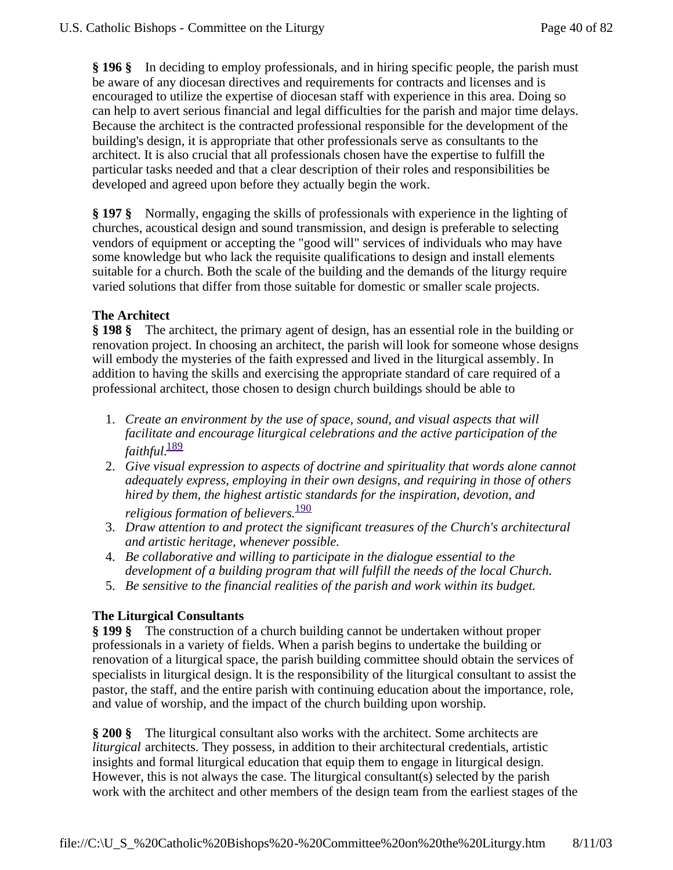**§ 196 §** In deciding to employ professionals, and in hiring specific people, the parish must be aware of any diocesan directives and requirements for contracts and licenses and is encouraged to utilize the expertise of diocesan staff with experience in this area. Doing so can help to avert serious financial and legal difficulties for the parish and major time delays. Because the architect is the contracted professional responsible for the development of the building's design, it is appropriate that other professionals serve as consultants to the architect. It is also crucial that all professionals chosen have the expertise to fulfill the particular tasks needed and that a clear description of their roles and responsibilities be developed and agreed upon before they actually begin the work.

**§ 197 §** Normally, engaging the skills of professionals with experience in the lighting of churches, acoustical design and sound transmission, and design is preferable to selecting vendors of equipment or accepting the "good will" services of individuals who may have some knowledge but who lack the requisite qualifications to design and install elements suitable for a church. Both the scale of the building and the demands of the liturgy require varied solutions that differ from those suitable for domestic or smaller scale projects.

# **The Architect**

**§ 198 §** The architect, the primary agent of design, has an essential role in the building or renovation project. In choosing an architect, the parish will look for someone whose designs will embody the mysteries of the faith expressed and lived in the liturgical assembly. In addition to having the skills and exercising the appropriate standard of care required of a professional architect, those chosen to design church buildings should be able to

- 1. *Create an environment by the use of space, sound, and visual aspects that will facilitate and encourage liturgical celebrations and the active participation of the faithful.*<sup>189</sup>
- 2. *Give visual expression to aspects of doctrine and spirituality that words alone cannot adequately express, employing in their own designs, and requiring in those of others hired by them, the highest artistic standards for the inspiration, devotion, and religious formation of believers.*<sup>190</sup>
- 3. *Draw attention to and protect the significant treasures of the Church's architectural and artistic heritage, whenever possible.*
- 4. *Be collaborative and willing to participate in the dialogue essential to the development of a building program that will fulfill the needs of the local Church.*
- 5. *Be sensitive to the financial realities of the parish and work within its budget.*

# **The Liturgical Consultants**

**§ 199 §** The construction of a church building cannot be undertaken without proper professionals in a variety of fields. When a parish begins to undertake the building or renovation of a liturgical space, the parish building committee should obtain the services of specialists in liturgical design. lt is the responsibility of the liturgical consultant to assist the pastor, the staff, and the entire parish with continuing education about the importance, role, and value of worship, and the impact of the church building upon worship.

**§ 200 §** The liturgical consultant also works with the architect. Some architects are *liturgical* architects. They possess, in addition to their architectural credentials, artistic insights and formal liturgical education that equip them to engage in liturgical design. However, this is not always the case. The liturgical consultant(s) selected by the parish work with the architect and other members of the design team from the earliest stages of the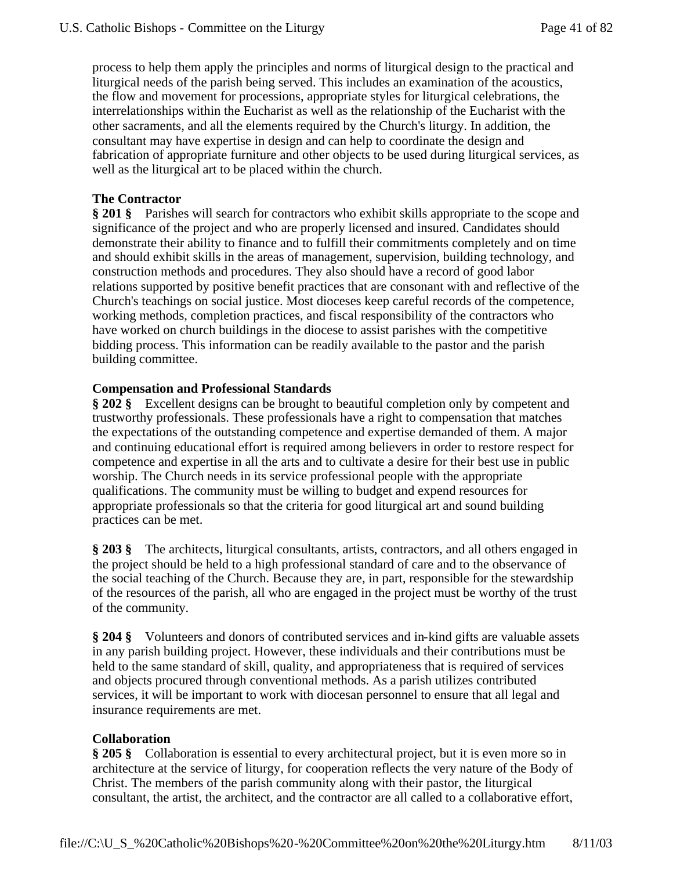process to help them apply the principles and norms of liturgical design to the practical and liturgical needs of the parish being served. This includes an examination of the acoustics, the flow and movement for processions, appropriate styles for liturgical celebrations, the interrelationships within the Eucharist as well as the relationship of the Eucharist with the other sacraments, and all the elements required by the Church's liturgy. In addition, the consultant may have expertise in design and can help to coordinate the design and fabrication of appropriate furniture and other objects to be used during liturgical services, as well as the liturgical art to be placed within the church.

# **The Contractor**

**§ 201 §** Parishes will search for contractors who exhibit skills appropriate to the scope and significance of the project and who are properly licensed and insured. Candidates should demonstrate their ability to finance and to fulfill their commitments completely and on time and should exhibit skills in the areas of management, supervision, building technology, and construction methods and procedures. They also should have a record of good labor relations supported by positive benefit practices that are consonant with and reflective of the Church's teachings on social justice. Most dioceses keep careful records of the competence, working methods, completion practices, and fiscal responsibility of the contractors who have worked on church buildings in the diocese to assist parishes with the competitive bidding process. This information can be readily available to the pastor and the parish building committee.

### **Compensation and Professional Standards**

**§ 202 §** Excellent designs can be brought to beautiful completion only by competent and trustworthy professionals. These professionals have a right to compensation that matches the expectations of the outstanding competence and expertise demanded of them. A major and continuing educational effort is required among believers in order to restore respect for competence and expertise in all the arts and to cultivate a desire for their best use in public worship. The Church needs in its service professional people with the appropriate qualifications. The community must be willing to budget and expend resources for appropriate professionals so that the criteria for good liturgical art and sound building practices can be met.

**§ 203 §** The architects, liturgical consultants, artists, contractors, and all others engaged in the project should be held to a high professional standard of care and to the observance of the social teaching of the Church. Because they are, in part, responsible for the stewardship of the resources of the parish, all who are engaged in the project must be worthy of the trust of the community.

**§ 204 §** Volunteers and donors of contributed services and in-kind gifts are valuable assets in any parish building project. However, these individuals and their contributions must be held to the same standard of skill, quality, and appropriateness that is required of services and objects procured through conventional methods. As a parish utilizes contributed services, it will be important to work with diocesan personnel to ensure that all legal and insurance requirements are met.

### **Collaboration**

**§ 205 §** Collaboration is essential to every architectural project, but it is even more so in architecture at the service of liturgy, for cooperation reflects the very nature of the Body of Christ. The members of the parish community along with their pastor, the liturgical consultant, the artist, the architect, and the contractor are all called to a collaborative effort,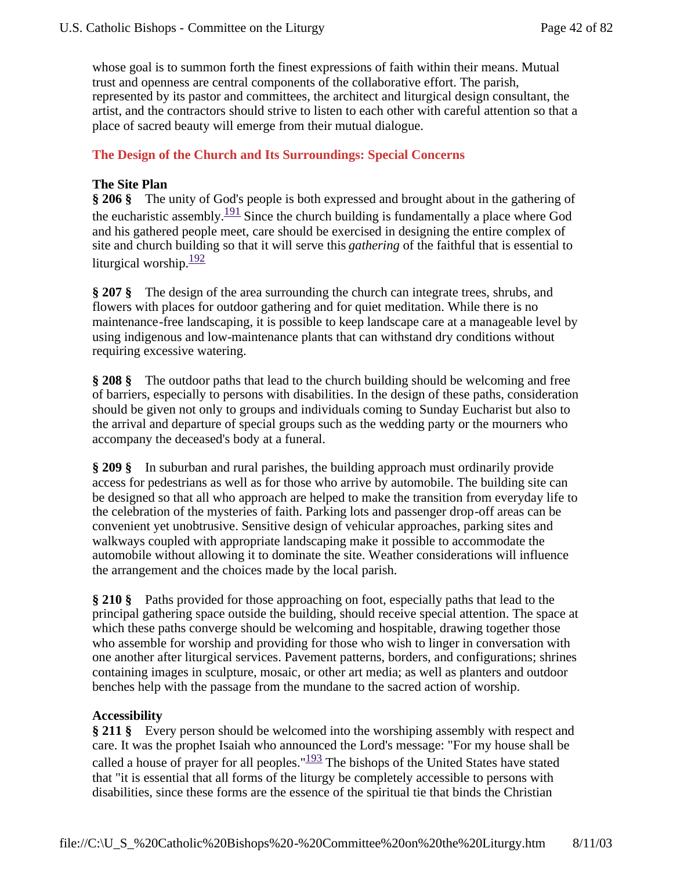whose goal is to summon forth the finest expressions of faith within their means. Mutual trust and openness are central components of the collaborative effort. The parish, represented by its pastor and committees, the architect and liturgical design consultant, the artist, and the contractors should strive to listen to each other with careful attention so that a place of sacred beauty will emerge from their mutual dialogue.

# **The Design of the Church and Its Surroundings: Special Concerns**

# **The Site Plan**

**§ 206 §** The unity of God's people is both expressed and brought about in the gathering of the eucharistic assembly.<sup>191</sup> Since the church building is fundamentally a place where God and his gathered people meet, care should be exercised in designing the entire complex of site and church building so that it will serve this *gathering* of the faithful that is essential to liturgical worship. $\frac{192}{2}$ 

**§ 207 §** The design of the area surrounding the church can integrate trees, shrubs, and flowers with places for outdoor gathering and for quiet meditation. While there is no maintenance-free landscaping, it is possible to keep landscape care at a manageable level by using indigenous and low-maintenance plants that can withstand dry conditions without requiring excessive watering.

**§ 208 §** The outdoor paths that lead to the church building should be welcoming and free of barriers, especially to persons with disabilities. In the design of these paths, consideration should be given not only to groups and individuals coming to Sunday Eucharist but also to the arrival and departure of special groups such as the wedding party or the mourners who accompany the deceased's body at a funeral.

**§ 209 §** In suburban and rural parishes, the building approach must ordinarily provide access for pedestrians as well as for those who arrive by automobile. The building site can be designed so that all who approach are helped to make the transition from everyday life to the celebration of the mysteries of faith. Parking lots and passenger drop-off areas can be convenient yet unobtrusive. Sensitive design of vehicular approaches, parking sites and walkways coupled with appropriate landscaping make it possible to accommodate the automobile without allowing it to dominate the site. Weather considerations will influence the arrangement and the choices made by the local parish.

**§ 210 §** Paths provided for those approaching on foot, especially paths that lead to the principal gathering space outside the building, should receive special attention. The space at which these paths converge should be welcoming and hospitable, drawing together those who assemble for worship and providing for those who wish to linger in conversation with one another after liturgical services. Pavement patterns, borders, and configurations; shrines containing images in sculpture, mosaic, or other art media; as well as planters and outdoor benches help with the passage from the mundane to the sacred action of worship.

### **Accessibility**

**§ 211 §** Every person should be welcomed into the worshiping assembly with respect and care. It was the prophet Isaiah who announced the Lord's message: "For my house shall be called a house of prayer for all peoples." $\frac{193}{2}$  The bishops of the United States have stated that "it is essential that all forms of the liturgy be completely accessible to persons with disabilities, since these forms are the essence of the spiritual tie that binds the Christian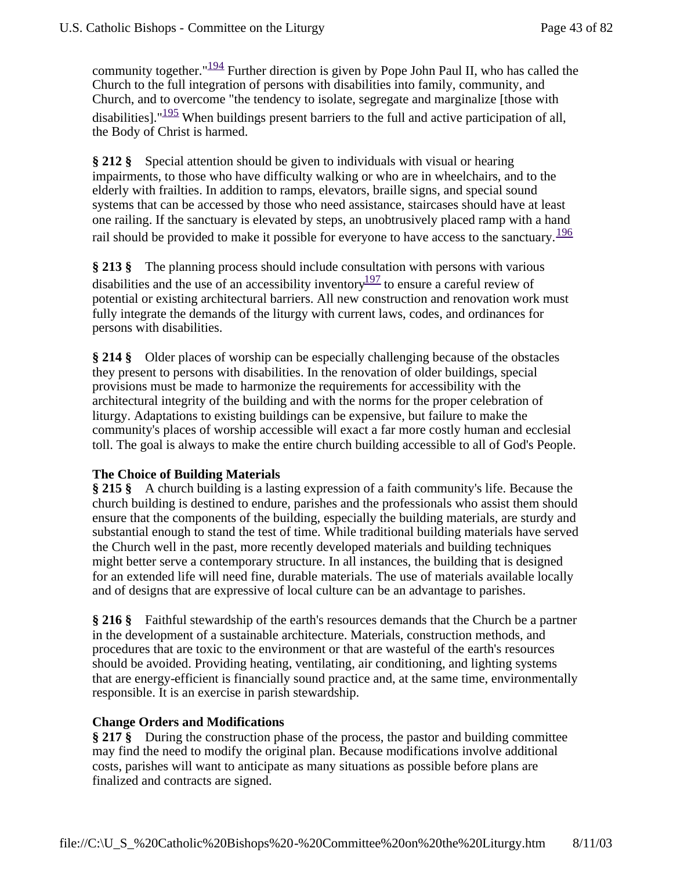community together." $\frac{194}{2}$  Further direction is given by Pope John Paul II, who has called the Church to the full integration of persons with disabilities into family, community, and Church, and to overcome "the tendency to isolate, segregate and marginalize [those with disabilities]." $\frac{195}{2}$  When buildings present barriers to the full and active participation of all, the Body of Christ is harmed.

**§ 212 §** Special attention should be given to individuals with visual or hearing impairments, to those who have difficulty walking or who are in wheelchairs, and to the elderly with frailties. In addition to ramps, elevators, braille signs, and special sound systems that can be accessed by those who need assistance, staircases should have at least one railing. If the sanctuary is elevated by steps, an unobtrusively placed ramp with a hand rail should be provided to make it possible for everyone to have access to the sanctuary.<sup>196</sup>

**§ 213 §** The planning process should include consultation with persons with various disabilities and the use of an accessibility inventory  $\frac{197}{197}$  to ensure a careful review of potential or existing architectural barriers. All new construction and renovation work must fully integrate the demands of the liturgy with current laws, codes, and ordinances for persons with disabilities.

**§ 214 §** Older places of worship can be especially challenging because of the obstacles they present to persons with disabilities. In the renovation of older buildings, special provisions must be made to harmonize the requirements for accessibility with the architectural integrity of the building and with the norms for the proper celebration of liturgy. Adaptations to existing buildings can be expensive, but failure to make the community's places of worship accessible will exact a far more costly human and ecclesial toll. The goal is always to make the entire church building accessible to all of God's People.

# **The Choice of Building Materials**

**§ 215 §** A church building is a lasting expression of a faith community's life. Because the church building is destined to endure, parishes and the professionals who assist them should ensure that the components of the building, especially the building materials, are sturdy and substantial enough to stand the test of time. While traditional building materials have served the Church well in the past, more recently developed materials and building techniques might better serve a contemporary structure. In all instances, the building that is designed for an extended life will need fine, durable materials. The use of materials available locally and of designs that are expressive of local culture can be an advantage to parishes.

**§ 216 §** Faithful stewardship of the earth's resources demands that the Church be a partner in the development of a sustainable architecture. Materials, construction methods, and procedures that are toxic to the environment or that are wasteful of the earth's resources should be avoided. Providing heating, ventilating, air conditioning, and lighting systems that are energy-efficient is financially sound practice and, at the same time, environmentally responsible. It is an exercise in parish stewardship.

# **Change Orders and Modifications**

**§ 217 §** During the construction phase of the process, the pastor and building committee may find the need to modify the original plan. Because modifications involve additional costs, parishes will want to anticipate as many situations as possible before plans are finalized and contracts are signed.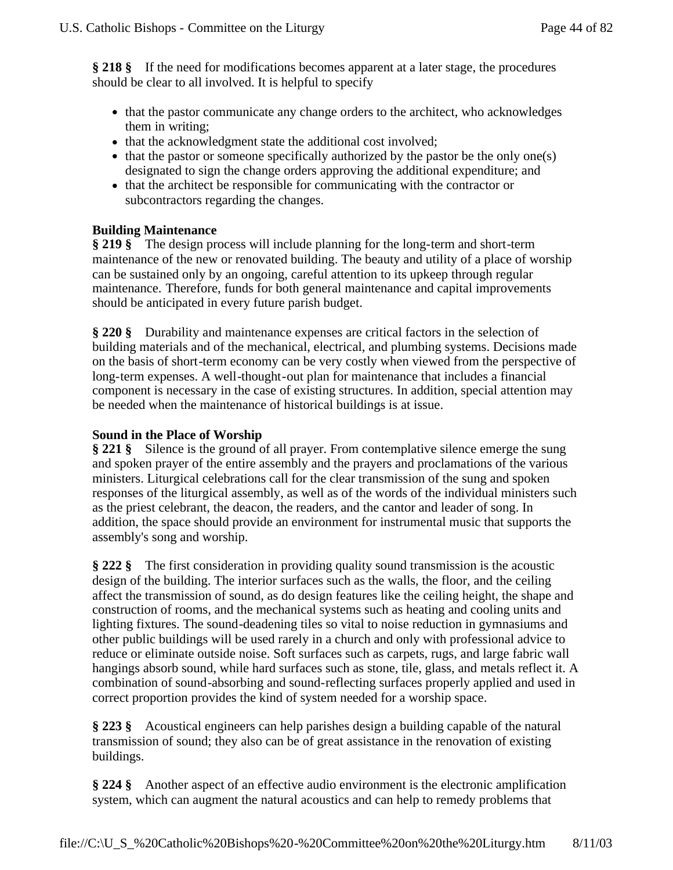**§ 218 §** If the need for modifications becomes apparent at a later stage, the procedures should be clear to all involved. It is helpful to specify

- In that the pastor communicate any change orders to the architect, who acknowledges them in writing;
- that the acknowledgment state the additional cost involved;
- $\bullet$  that the pastor or someone specifically authorized by the pastor be the only one(s) designated to sign the change orders approving the additional expenditure; and
- that the architect be responsible for communicating with the contractor or subcontractors regarding the changes.

# **Building Maintenance**

**§ 219 §** The design process will include planning for the long-term and short-term maintenance of the new or renovated building. The beauty and utility of a place of worship can be sustained only by an ongoing, careful attention to its upkeep through regular maintenance. Therefore, funds for both general maintenance and capital improvements should be anticipated in every future parish budget.

**§ 220 §** Durability and maintenance expenses are critical factors in the selection of building materials and of the mechanical, electrical, and plumbing systems. Decisions made on the basis of short-term economy can be very costly when viewed from the perspective of long-term expenses. A well-thought-out plan for maintenance that includes a financial component is necessary in the case of existing structures. In addition, special attention may be needed when the maintenance of historical buildings is at issue.

### **Sound in the Place of Worship**

**§ 221 §** Silence is the ground of all prayer. From contemplative silence emerge the sung and spoken prayer of the entire assembly and the prayers and proclamations of the various ministers. Liturgical celebrations call for the clear transmission of the sung and spoken responses of the liturgical assembly, as well as of the words of the individual ministers such as the priest celebrant, the deacon, the readers, and the cantor and leader of song. In addition, the space should provide an environment for instrumental music that supports the assembly's song and worship.

**§ 222 §** The first consideration in providing quality sound transmission is the acoustic design of the building. The interior surfaces such as the walls, the floor, and the ceiling affect the transmission of sound, as do design features like the ceiling height, the shape and construction of rooms, and the mechanical systems such as heating and cooling units and lighting fixtures. The sound-deadening tiles so vital to noise reduction in gymnasiums and other public buildings will be used rarely in a church and only with professional advice to reduce or eliminate outside noise. Soft surfaces such as carpets, rugs, and large fabric wall hangings absorb sound, while hard surfaces such as stone, tile, glass, and metals reflect it. A combination of sound-absorbing and sound-reflecting surfaces properly applied and used in correct proportion provides the kind of system needed for a worship space.

**§ 223 §** Acoustical engineers can help parishes design a building capable of the natural transmission of sound; they also can be of great assistance in the renovation of existing buildings.

**§ 224 §** Another aspect of an effective audio environment is the electronic amplification system, which can augment the natural acoustics and can help to remedy problems that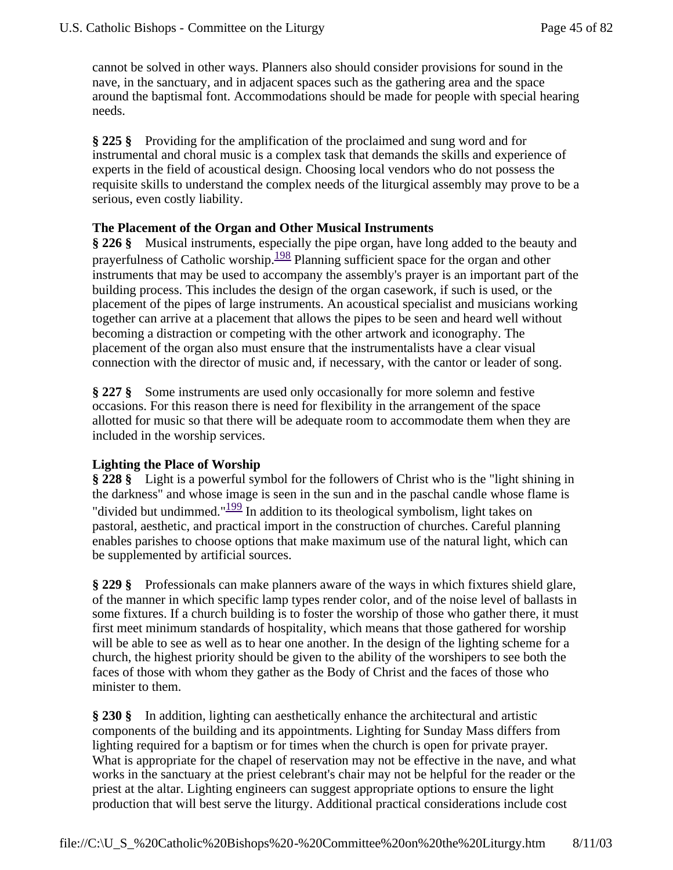cannot be solved in other ways. Planners also should consider provisions for sound in the nave, in the sanctuary, and in adjacent spaces such as the gathering area and the space around the baptismal font. Accommodations should be made for people with special hearing needs.

**§ 225 §** Providing for the amplification of the proclaimed and sung word and for instrumental and choral music is a complex task that demands the skills and experience of experts in the field of acoustical design. Choosing local vendors who do not possess the requisite skills to understand the complex needs of the liturgical assembly may prove to be a serious, even costly liability.

# **The Placement of the Organ and Other Musical Instruments**

**§ 226 §** Musical instruments, especially the pipe organ, have long added to the beauty and prayerfulness of Catholic worship.<sup>198</sup> Planning sufficient space for the organ and other instruments that may be used to accompany the assembly's prayer is an important part of the building process. This includes the design of the organ casework, if such is used, or the placement of the pipes of large instruments. An acoustical specialist and musicians working together can arrive at a placement that allows the pipes to be seen and heard well without becoming a distraction or competing with the other artwork and iconography. The placement of the organ also must ensure that the instrumentalists have a clear visual connection with the director of music and, if necessary, with the cantor or leader of song.

**§ 227 §** Some instruments are used only occasionally for more solemn and festive occasions. For this reason there is need for flexibility in the arrangement of the space allotted for music so that there will be adequate room to accommodate them when they are included in the worship services.

### **Lighting the Place of Worship**

**§ 228 §** Light is a powerful symbol for the followers of Christ who is the "light shining in the darkness" and whose image is seen in the sun and in the paschal candle whose flame is "divided but undimmed." $\frac{199}{10}$  In addition to its theological symbolism, light takes on pastoral, aesthetic, and practical import in the construction of churches. Careful planning enables parishes to choose options that make maximum use of the natural light, which can be supplemented by artificial sources.

**§ 229 §** Professionals can make planners aware of the ways in which fixtures shield glare, of the manner in which specific lamp types render color, and of the noise level of ballasts in some fixtures. If a church building is to foster the worship of those who gather there, it must first meet minimum standards of hospitality, which means that those gathered for worship will be able to see as well as to hear one another. In the design of the lighting scheme for a church, the highest priority should be given to the ability of the worshipers to see both the faces of those with whom they gather as the Body of Christ and the faces of those who minister to them.

**§ 230 §** In addition, lighting can aesthetically enhance the architectural and artistic components of the building and its appointments. Lighting for Sunday Mass differs from lighting required for a baptism or for times when the church is open for private prayer. What is appropriate for the chapel of reservation may not be effective in the nave, and what works in the sanctuary at the priest celebrant's chair may not be helpful for the reader or the priest at the altar. Lighting engineers can suggest appropriate options to ensure the light production that will best serve the liturgy. Additional practical considerations include cost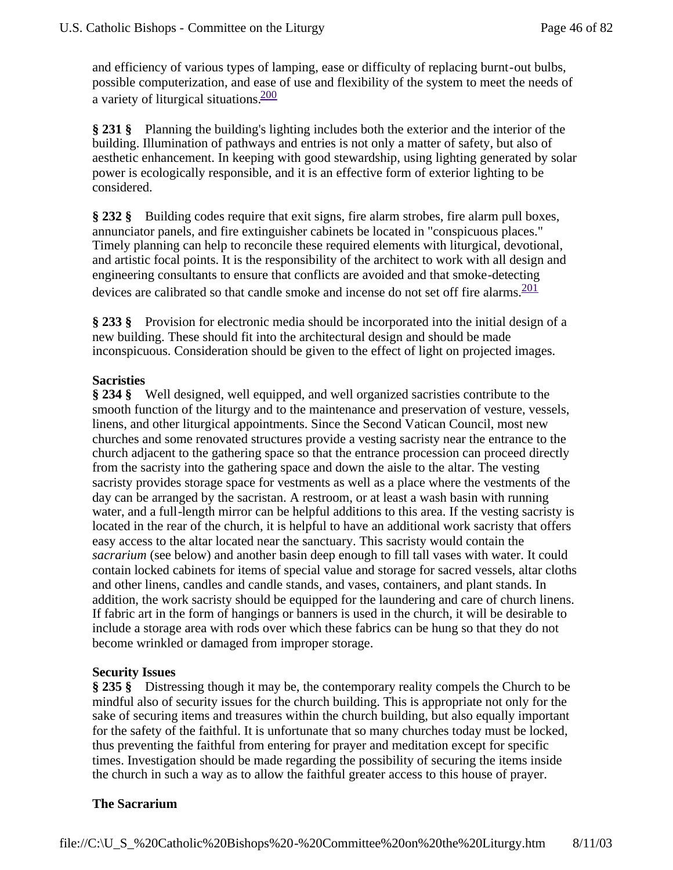and efficiency of various types of lamping, ease or difficulty of replacing burnt-out bulbs, possible computerization, and ease of use and flexibility of the system to meet the needs of a variety of liturgical situations.<sup>200</sup>

**§ 231 §** Planning the building's lighting includes both the exterior and the interior of the building. Illumination of pathways and entries is not only a matter of safety, but also of aesthetic enhancement. In keeping with good stewardship, using lighting generated by solar power is ecologically responsible, and it is an effective form of exterior lighting to be considered.

**§ 232 §** Building codes require that exit signs, fire alarm strobes, fire alarm pull boxes, annunciator panels, and fire extinguisher cabinets be located in "conspicuous places." Timely planning can help to reconcile these required elements with liturgical, devotional, and artistic focal points. It is the responsibility of the architect to work with all design and engineering consultants to ensure that conflicts are avoided and that smoke-detecting devices are calibrated so that candle smoke and incense do not set off fire alarms.  $\frac{201}{201}$ 

**§ 233 §** Provision for electronic media should be incorporated into the initial design of a new building. These should fit into the architectural design and should be made inconspicuous. Consideration should be given to the effect of light on projected images.

# **Sacristies**

**§ 234 §** Well designed, well equipped, and well organized sacristies contribute to the smooth function of the liturgy and to the maintenance and preservation of vesture, vessels, linens, and other liturgical appointments. Since the Second Vatican Council, most new churches and some renovated structures provide a vesting sacristy near the entrance to the church adjacent to the gathering space so that the entrance procession can proceed directly from the sacristy into the gathering space and down the aisle to the altar. The vesting sacristy provides storage space for vestments as well as a place where the vestments of the day can be arranged by the sacristan. A restroom, or at least a wash basin with running water, and a full-length mirror can be helpful additions to this area. If the vesting sacristy is located in the rear of the church, it is helpful to have an additional work sacristy that offers easy access to the altar located near the sanctuary. This sacristy would contain the *sacrarium* (see below) and another basin deep enough to fill tall vases with water. It could contain locked cabinets for items of special value and storage for sacred vessels, altar cloths and other linens, candles and candle stands, and vases, containers, and plant stands. In addition, the work sacristy should be equipped for the laundering and care of church linens. If fabric art in the form of hangings or banners is used in the church, it will be desirable to include a storage area with rods over which these fabrics can be hung so that they do not become wrinkled or damaged from improper storage.

### **Security Issues**

**§ 235 §** Distressing though it may be, the contemporary reality compels the Church to be mindful also of security issues for the church building. This is appropriate not only for the sake of securing items and treasures within the church building, but also equally important for the safety of the faithful. It is unfortunate that so many churches today must be locked, thus preventing the faithful from entering for prayer and meditation except for specific times. Investigation should be made regarding the possibility of securing the items inside the church in such a way as to allow the faithful greater access to this house of prayer.

# **The Sacrarium**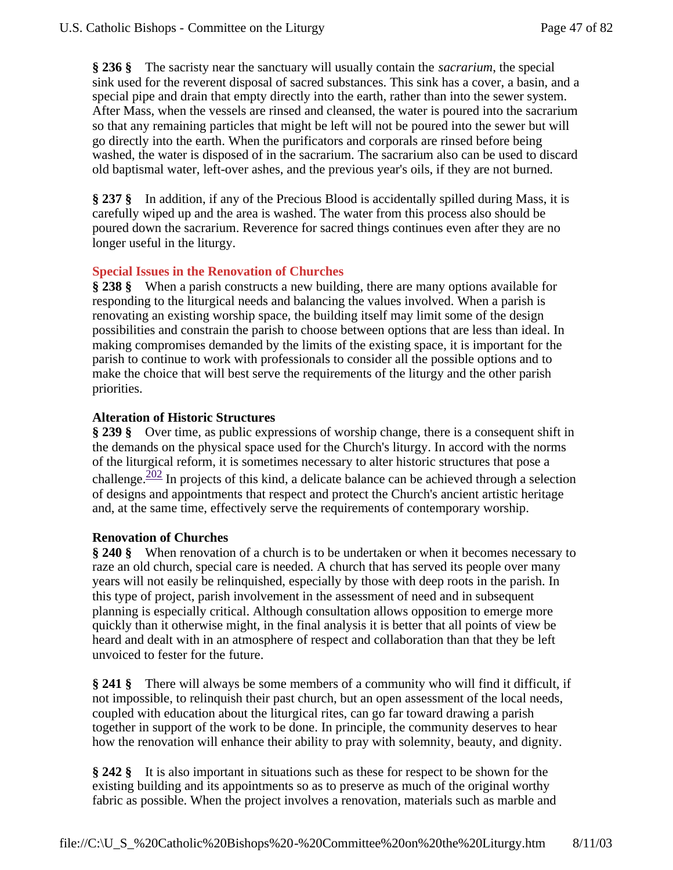**§ 236 §** The sacristy near the sanctuary will usually contain the *sacrarium*, the special sink used for the reverent disposal of sacred substances. This sink has a cover, a basin, and a special pipe and drain that empty directly into the earth, rather than into the sewer system. After Mass, when the vessels are rinsed and cleansed, the water is poured into the sacrarium so that any remaining particles that might be left will not be poured into the sewer but will go directly into the earth. When the purificators and corporals are rinsed before being washed, the water is disposed of in the sacrarium. The sacrarium also can be used to discard old baptismal water, left-over ashes, and the previous year's oils, if they are not burned.

**§ 237 §** In addition, if any of the Precious Blood is accidentally spilled during Mass, it is carefully wiped up and the area is washed. The water from this process also should be poured down the sacrarium. Reverence for sacred things continues even after they are no longer useful in the liturgy.

### **Special Issues in the Renovation of Churches**

**§ 238 §** When a parish constructs a new building, there are many options available for responding to the liturgical needs and balancing the values involved. When a parish is renovating an existing worship space, the building itself may limit some of the design possibilities and constrain the parish to choose between options that are less than ideal. In making compromises demanded by the limits of the existing space, it is important for the parish to continue to work with professionals to consider all the possible options and to make the choice that will best serve the requirements of the liturgy and the other parish priorities.

#### **Alteration of Historic Structures**

**§ 239 §** Over time, as public expressions of worship change, there is a consequent shift in the demands on the physical space used for the Church's liturgy. In accord with the norms of the liturgical reform, it is sometimes necessary to alter historic structures that pose a challenge. $\frac{202}{ }$  In projects of this kind, a delicate balance can be achieved through a selection of designs and appointments that respect and protect the Church's ancient artistic heritage and, at the same time, effectively serve the requirements of contemporary worship.

### **Renovation of Churches**

**§ 240 §** When renovation of a church is to be undertaken or when it becomes necessary to raze an old church, special care is needed. A church that has served its people over many years will not easily be relinquished, especially by those with deep roots in the parish. In this type of project, parish involvement in the assessment of need and in subsequent planning is especially critical. Although consultation allows opposition to emerge more quickly than it otherwise might, in the final analysis it is better that all points of view be heard and dealt with in an atmosphere of respect and collaboration than that they be left unvoiced to fester for the future.

**§ 241 §** There will always be some members of a community who will find it difficult, if not impossible, to relinquish their past church, but an open assessment of the local needs, coupled with education about the liturgical rites, can go far toward drawing a parish together in support of the work to be done. In principle, the community deserves to hear how the renovation will enhance their ability to pray with solemnity, beauty, and dignity.

**§ 242 §** It is also important in situations such as these for respect to be shown for the existing building and its appointments so as to preserve as much of the original worthy fabric as possible. When the project involves a renovation, materials such as marble and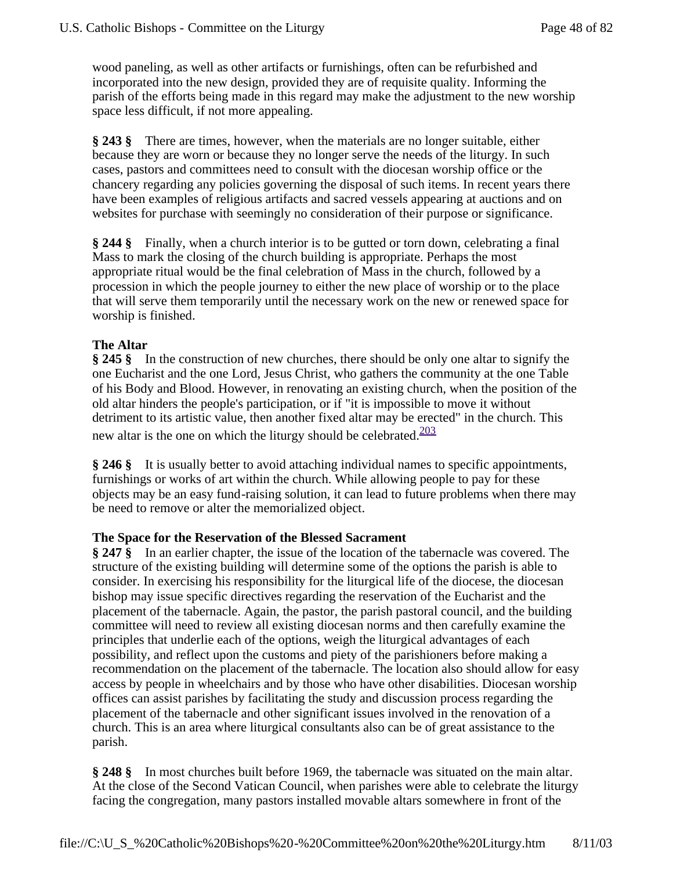wood paneling, as well as other artifacts or furnishings, often can be refurbished and incorporated into the new design, provided they are of requisite quality. Informing the parish of the efforts being made in this regard may make the adjustment to the new worship space less difficult, if not more appealing.

**§ 243 §** There are times, however, when the materials are no longer suitable, either because they are worn or because they no longer serve the needs of the liturgy. In such cases, pastors and committees need to consult with the diocesan worship office or the chancery regarding any policies governing the disposal of such items. In recent years there have been examples of religious artifacts and sacred vessels appearing at auctions and on websites for purchase with seemingly no consideration of their purpose or significance.

**§ 244 §** Finally, when a church interior is to be gutted or torn down, celebrating a final Mass to mark the closing of the church building is appropriate. Perhaps the most appropriate ritual would be the final celebration of Mass in the church, followed by a procession in which the people journey to either the new place of worship or to the place that will serve them temporarily until the necessary work on the new or renewed space for worship is finished.

# **The Altar**

**§ 245 §** In the construction of new churches, there should be only one altar to signify the one Eucharist and the one Lord, Jesus Christ, who gathers the community at the one Table of his Body and Blood. However, in renovating an existing church, when the position of the old altar hinders the people's participation, or if "it is impossible to move it without detriment to its artistic value, then another fixed altar may be erected" in the church. This new altar is the one on which the liturgy should be celebrated.<sup>203</sup>

**§ 246 §** It is usually better to avoid attaching individual names to specific appointments, furnishings or works of art within the church. While allowing people to pay for these objects may be an easy fund-raising solution, it can lead to future problems when there may be need to remove or alter the memorialized object.

### **The Space for the Reservation of the Blessed Sacrament**

**§ 247 §** In an earlier chapter, the issue of the location of the tabernacle was covered. The structure of the existing building will determine some of the options the parish is able to consider. In exercising his responsibility for the liturgical life of the diocese, the diocesan bishop may issue specific directives regarding the reservation of the Eucharist and the placement of the tabernacle. Again, the pastor, the parish pastoral council, and the building committee will need to review all existing diocesan norms and then carefully examine the principles that underlie each of the options, weigh the liturgical advantages of each possibility, and reflect upon the customs and piety of the parishioners before making a recommendation on the placement of the tabernacle. The location also should allow for easy access by people in wheelchairs and by those who have other disabilities. Diocesan worship offices can assist parishes by facilitating the study and discussion process regarding the placement of the tabernacle and other significant issues involved in the renovation of a church. This is an area where liturgical consultants also can be of great assistance to the parish.

**§ 248 §** In most churches built before 1969, the tabernacle was situated on the main altar. At the close of the Second Vatican Council, when parishes were able to celebrate the liturgy facing the congregation, many pastors installed movable altars somewhere in front of the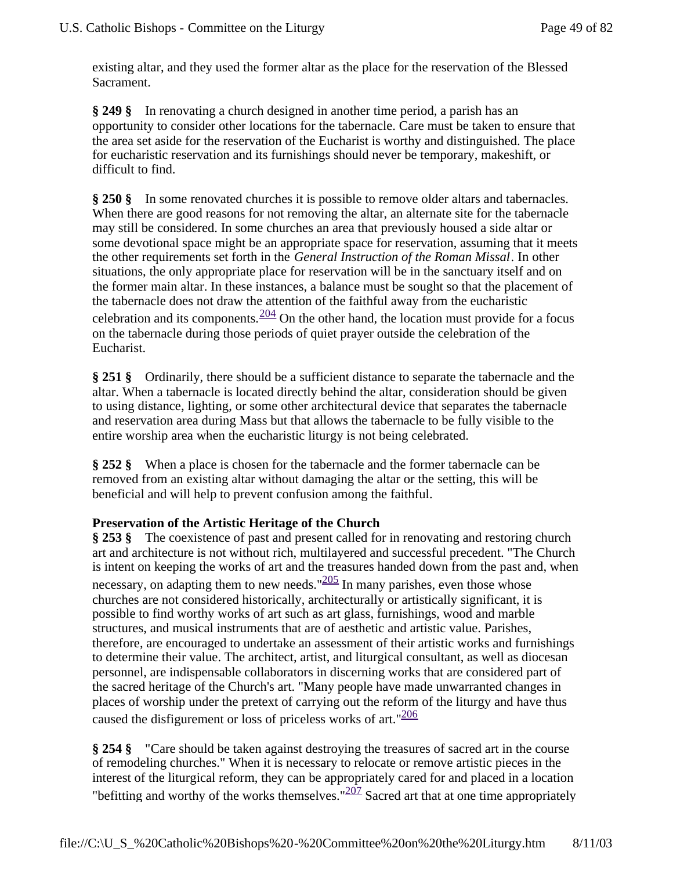existing altar, and they used the former altar as the place for the reservation of the Blessed Sacrament.

**§ 249 §** In renovating a church designed in another time period, a parish has an opportunity to consider other locations for the tabernacle. Care must be taken to ensure that the area set aside for the reservation of the Eucharist is worthy and distinguished. The place for eucharistic reservation and its furnishings should never be temporary, makeshift, or difficult to find.

**§ 250 §** In some renovated churches it is possible to remove older altars and tabernacles. When there are good reasons for not removing the altar, an alternate site for the tabernacle may still be considered. In some churches an area that previously housed a side altar or some devotional space might be an appropriate space for reservation, assuming that it meets the other requirements set forth in the *General Instruction of the Roman Missal*. In other situations, the only appropriate place for reservation will be in the sanctuary itself and on the former main altar. In these instances, a balance must be sought so that the placement of the tabernacle does not draw the attention of the faithful away from the eucharistic celebration and its components.  $\frac{204}{201}$  On the other hand, the location must provide for a focus on the tabernacle during those periods of quiet prayer outside the celebration of the Eucharist.

**§ 251 §** Ordinarily, there should be a sufficient distance to separate the tabernacle and the altar. When a tabernacle is located directly behind the altar, consideration should be given to using distance, lighting, or some other architectural device that separates the tabernacle and reservation area during Mass but that allows the tabernacle to be fully visible to the entire worship area when the eucharistic liturgy is not being celebrated.

**§ 252 §** When a place is chosen for the tabernacle and the former tabernacle can be removed from an existing altar without damaging the altar or the setting, this will be beneficial and will help to prevent confusion among the faithful.

# **Preservation of the Artistic Heritage of the Church**

**§ 253 §** The coexistence of past and present called for in renovating and restoring church art and architecture is not without rich, multilayered and successful precedent. "The Church is intent on keeping the works of art and the treasures handed down from the past and, when necessary, on adapting them to new needs.  $\frac{205}{205}$  In many parishes, even those whose churches are not considered historically, architecturally or artistically significant, it is possible to find worthy works of art such as art glass, furnishings, wood and marble structures, and musical instruments that are of aesthetic and artistic value. Parishes, therefore, are encouraged to undertake an assessment of their artistic works and furnishings to determine their value. The architect, artist, and liturgical consultant, as well as diocesan personnel, are indispensable collaborators in discerning works that are considered part of the sacred heritage of the Church's art. "Many people have made unwarranted changes in places of worship under the pretext of carrying out the reform of the liturgy and have thus caused the disfigurement or loss of priceless works of art." $\frac{206}{ }$ 

**§ 254 §** "Care should be taken against destroying the treasures of sacred art in the course of remodeling churches." When it is necessary to relocate or remove artistic pieces in the interest of the liturgical reform, they can be appropriately cared for and placed in a location "befitting and worthy of the works themselves." $207$  Sacred art that at one time appropriately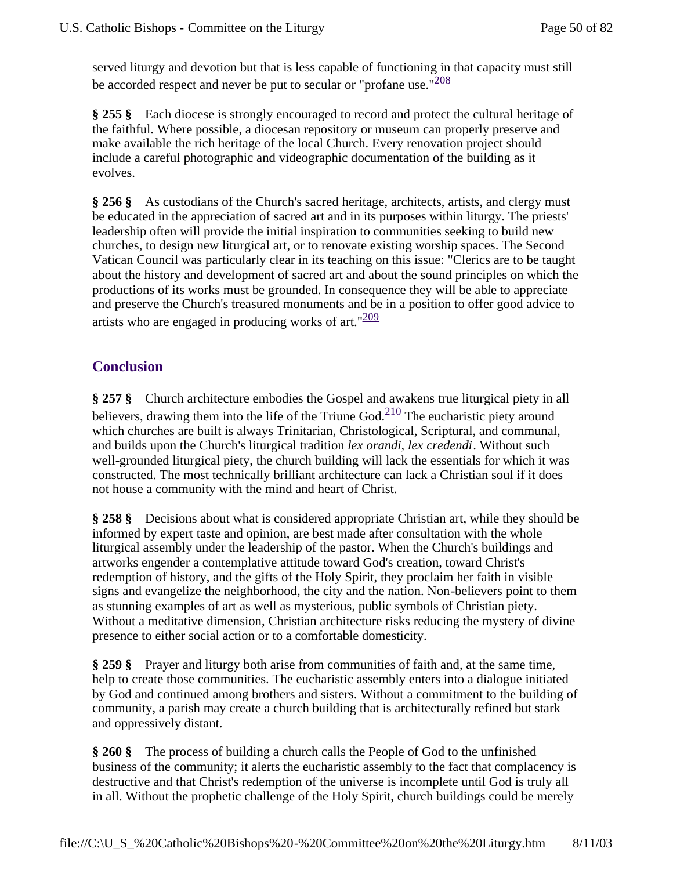served liturgy and devotion but that is less capable of functioning in that capacity must still be accorded respect and never be put to secular or "profane use." $\frac{208}{ }$ 

**§ 255 §** Each diocese is strongly encouraged to record and protect the cultural heritage of the faithful. Where possible, a diocesan repository or museum can properly preserve and make available the rich heritage of the local Church. Every renovation project should include a careful photographic and videographic documentation of the building as it evolves.

**§ 256 §** As custodians of the Church's sacred heritage, architects, artists, and clergy must be educated in the appreciation of sacred art and in its purposes within liturgy. The priests' leadership often will provide the initial inspiration to communities seeking to build new churches, to design new liturgical art, or to renovate existing worship spaces. The Second Vatican Council was particularly clear in its teaching on this issue: "Clerics are to be taught about the history and development of sacred art and about the sound principles on which the productions of its works must be grounded. In consequence they will be able to appreciate and preserve the Church's treasured monuments and be in a position to offer good advice to artists who are engaged in producing works of art." $\frac{209}{209}$ 

# **Conclusion**

**§ 257 §** Church architecture embodies the Gospel and awakens true liturgical piety in all believers, drawing them into the life of the Triune  $God.<sup>210</sup>$  The eucharistic piety around which churches are built is always Trinitarian, Christological, Scriptural, and communal, and builds upon the Church's liturgical tradition *lex orandi, lex credendi*. Without such well-grounded liturgical piety, the church building will lack the essentials for which it was constructed. The most technically brilliant architecture can lack a Christian soul if it does not house a community with the mind and heart of Christ.

**§ 258 §** Decisions about what is considered appropriate Christian art, while they should be informed by expert taste and opinion, are best made after consultation with the whole liturgical assembly under the leadership of the pastor. When the Church's buildings and artworks engender a contemplative attitude toward God's creation, toward Christ's redemption of history, and the gifts of the Holy Spirit, they proclaim her faith in visible signs and evangelize the neighborhood, the city and the nation. Non-believers point to them as stunning examples of art as well as mysterious, public symbols of Christian piety. Without a meditative dimension, Christian architecture risks reducing the mystery of divine presence to either social action or to a comfortable domesticity.

**§ 259 §** Prayer and liturgy both arise from communities of faith and, at the same time, help to create those communities. The eucharistic assembly enters into a dialogue initiated by God and continued among brothers and sisters. Without a commitment to the building of community, a parish may create a church building that is architecturally refined but stark and oppressively distant.

**§ 260 §** The process of building a church calls the People of God to the unfinished business of the community; it alerts the eucharistic assembly to the fact that complacency is destructive and that Christ's redemption of the universe is incomplete until God is truly all in all. Without the prophetic challenge of the Holy Spirit, church buildings could be merely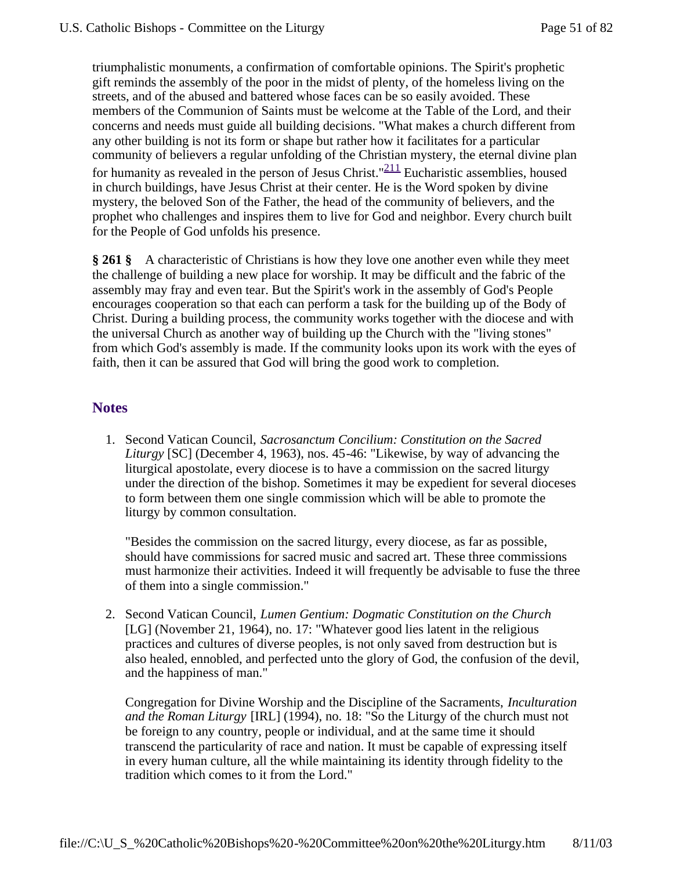triumphalistic monuments, a confirmation of comfortable opinions. The Spirit's prophetic gift reminds the assembly of the poor in the midst of plenty, of the homeless living on the streets, and of the abused and battered whose faces can be so easily avoided. These members of the Communion of Saints must be welcome at the Table of the Lord, and their concerns and needs must guide all building decisions. "What makes a church different from any other building is not its form or shape but rather how it facilitates for a particular community of believers a regular unfolding of the Christian mystery, the eternal divine plan for humanity as revealed in the person of Jesus Christ." $211$  Eucharistic assemblies, housed in church buildings, have Jesus Christ at their center. He is the Word spoken by divine mystery, the beloved Son of the Father, the head of the community of believers, and the prophet who challenges and inspires them to live for God and neighbor. Every church built for the People of God unfolds his presence.

**§ 261 §** A characteristic of Christians is how they love one another even while they meet the challenge of building a new place for worship. It may be difficult and the fabric of the assembly may fray and even tear. But the Spirit's work in the assembly of God's People encourages cooperation so that each can perform a task for the building up of the Body of Christ. During a building process, the community works together with the diocese and with the universal Church as another way of building up the Church with the "living stones" from which God's assembly is made. If the community looks upon its work with the eyes of faith, then it can be assured that God will bring the good work to completion.

# **Notes**

1. Second Vatican Council, *Sacrosanctum Concilium: Constitution on the Sacred Liturgy* [SC] (December 4, 1963), nos. 45-46: "Likewise, by way of advancing the liturgical apostolate, every diocese is to have a commission on the sacred liturgy under the direction of the bishop. Sometimes it may be expedient for several dioceses to form between them one single commission which will be able to promote the liturgy by common consultation.

"Besides the commission on the sacred liturgy, every diocese, as far as possible, should have commissions for sacred music and sacred art. These three commissions must harmonize their activities. Indeed it will frequently be advisable to fuse the three of them into a single commission."

2. Second Vatican Council, *Lumen Gentium: Dogmatic Constitution on the Church* [LG] (November 21, 1964), no. 17: "Whatever good lies latent in the religious practices and cultures of diverse peoples, is not only saved from destruction but is also healed, ennobled, and perfected unto the glory of God, the confusion of the devil, and the happiness of man."

Congregation for Divine Worship and the Discipline of the Sacraments, *Inculturation and the Roman Liturgy* [IRL] (1994), no. 18: "So the Liturgy of the church must not be foreign to any country, people or individual, and at the same time it should transcend the particularity of race and nation. It must be capable of expressing itself in every human culture, all the while maintaining its identity through fidelity to the tradition which comes to it from the Lord."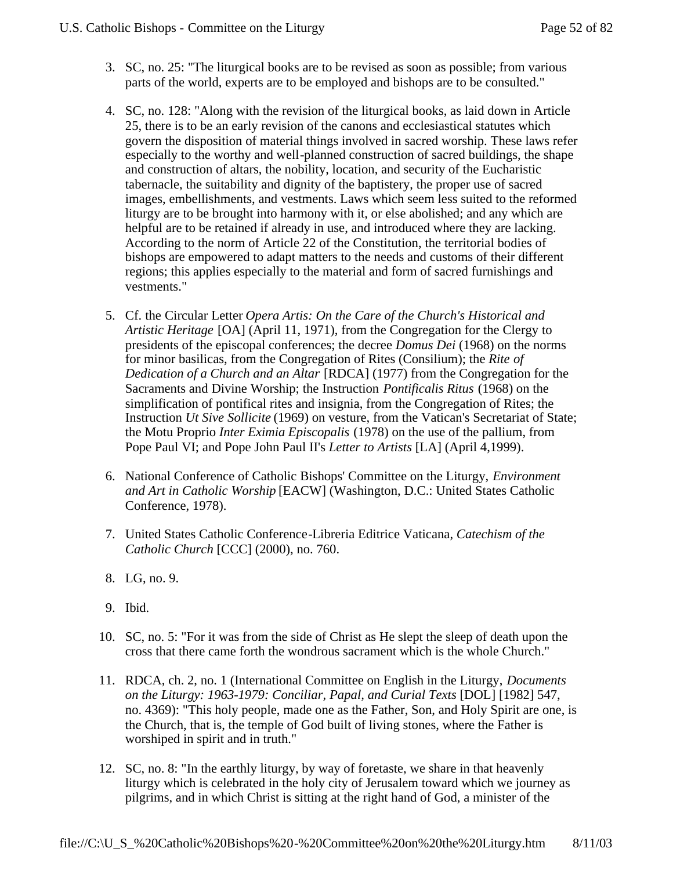- 3. SC, no. 25: "The liturgical books are to be revised as soon as possible; from various parts of the world, experts are to be employed and bishops are to be consulted."
- 4. SC, no. 128: "Along with the revision of the liturgical books, as laid down in Article 25, there is to be an early revision of the canons and ecclesiastical statutes which govern the disposition of material things involved in sacred worship. These laws refer especially to the worthy and well-planned construction of sacred buildings, the shape and construction of altars, the nobility, location, and security of the Eucharistic tabernacle, the suitability and dignity of the baptistery, the proper use of sacred images, embellishments, and vestments. Laws which seem less suited to the reformed liturgy are to be brought into harmony with it, or else abolished; and any which are helpful are to be retained if already in use, and introduced where they are lacking. According to the norm of Article 22 of the Constitution, the territorial bodies of bishops are empowered to adapt matters to the needs and customs of their different regions; this applies especially to the material and form of sacred furnishings and vestments."
- 5. Cf. the Circular Letter *Opera Artis: On the Care of the Church's Historical and Artistic Heritage* [OA] (April 11, 1971), from the Congregation for the Clergy to presidents of the episcopal conferences; the decree *Domus Dei* (1968) on the norms for minor basilicas, from the Congregation of Rites (Consilium); the *Rite of Dedication of a Church and an Altar* [RDCA] (1977) from the Congregation for the Sacraments and Divine Worship; the Instruction *Pontificalis Ritus* (1968) on the simplification of pontifical rites and insignia, from the Congregation of Rites; the Instruction *Ut Sive Sollicite* (1969) on vesture, from the Vatican's Secretariat of State; the Motu Proprio *Inter Eximia Episcopalis* (1978) on the use of the pallium, from Pope Paul VI; and Pope John Paul II's *Letter to Artists* [LA] (April 4,1999).
- 6. National Conference of Catholic Bishops' Committee on the Liturgy, *Environment and Art in Catholic Worship* [EACW] (Washington, D.C.: United States Catholic Conference, 1978).
- 7. United States Catholic Conference-Libreria Editrice Vaticana, *Catechism of the Catholic Church* [CCC] (2000), no. 760.
- 8. LG, no. 9.
- 9. Ibid.
- 10. SC, no. 5: "For it was from the side of Christ as He slept the sleep of death upon the cross that there came forth the wondrous sacrament which is the whole Church."
- 11. RDCA, ch. 2, no. 1 (International Committee on English in the Liturgy, *Documents on the Liturgy: 1963-1979: Conciliar, Papal, and Curial Texts* [DOL] [1982] 547, no. 4369): "This holy people, made one as the Father, Son, and Holy Spirit are one, is the Church, that is, the temple of God built of living stones, where the Father is worshiped in spirit and in truth."
- 12. SC, no. 8: "In the earthly liturgy, by way of foretaste, we share in that heavenly liturgy which is celebrated in the holy city of Jerusalem toward which we journey as pilgrims, and in which Christ is sitting at the right hand of God, a minister of the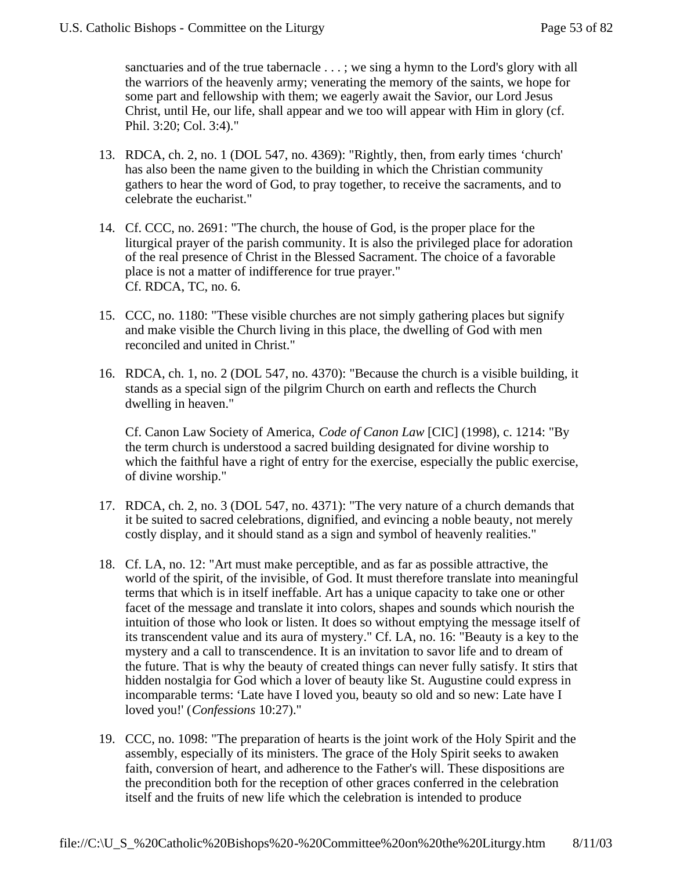sanctuaries and of the true tabernacle . . . ; we sing a hymn to the Lord's glory with all the warriors of the heavenly army; venerating the memory of the saints, we hope for some part and fellowship with them; we eagerly await the Savior, our Lord Jesus Christ, until He, our life, shall appear and we too will appear with Him in glory (cf. Phil. 3:20; Col. 3:4)."

- 13. RDCA, ch. 2, no. 1 (DOL 547, no. 4369): "Rightly, then, from early times 'church' has also been the name given to the building in which the Christian community gathers to hear the word of God, to pray together, to receive the sacraments, and to celebrate the eucharist."
- 14. Cf. CCC, no. 2691: "The church, the house of God, is the proper place for the liturgical prayer of the parish community. It is also the privileged place for adoration of the real presence of Christ in the Blessed Sacrament. The choice of a favorable place is not a matter of indifference for true prayer." Cf. RDCA, TC, no. 6.
- 15. CCC, no. 1180: "These visible churches are not simply gathering places but signify and make visible the Church living in this place, the dwelling of God with men reconciled and united in Christ."
- 16. RDCA, ch. 1, no. 2 (DOL 547, no. 4370): "Because the church is a visible building, it stands as a special sign of the pilgrim Church on earth and reflects the Church dwelling in heaven."

Cf. Canon Law Society of America, *Code of Canon Law* [CIC] (1998), c. 1214: "By the term church is understood a sacred building designated for divine worship to which the faithful have a right of entry for the exercise, especially the public exercise, of divine worship."

- 17. RDCA, ch. 2, no. 3 (DOL 547, no. 4371): "The very nature of a church demands that it be suited to sacred celebrations, dignified, and evincing a noble beauty, not merely costly display, and it should stand as a sign and symbol of heavenly realities."
- 18. Cf. LA, no. 12: "Art must make perceptible, and as far as possible attractive, the world of the spirit, of the invisible, of God. It must therefore translate into meaningful terms that which is in itself ineffable. Art has a unique capacity to take one or other facet of the message and translate it into colors, shapes and sounds which nourish the intuition of those who look or listen. It does so without emptying the message itself of its transcendent value and its aura of mystery." Cf. LA, no. 16: "Beauty is a key to the mystery and a call to transcendence. It is an invitation to savor life and to dream of the future. That is why the beauty of created things can never fully satisfy. It stirs that hidden nostalgia for God which a lover of beauty like St. Augustine could express in incomparable terms: 'Late have I loved you, beauty so old and so new: Late have I loved you!' (*Confessions* 10:27)."
- 19. CCC, no. 1098: "The preparation of hearts is the joint work of the Holy Spirit and the assembly, especially of its ministers. The grace of the Holy Spirit seeks to awaken faith, conversion of heart, and adherence to the Father's will. These dispositions are the precondition both for the reception of other graces conferred in the celebration itself and the fruits of new life which the celebration is intended to produce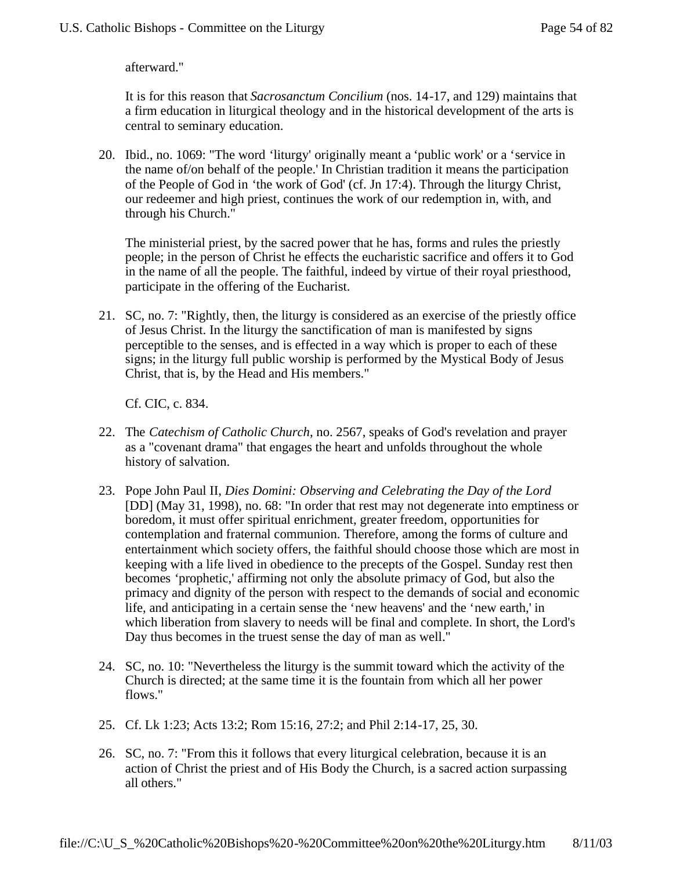afterward."

It is for this reason that *Sacrosanctum Concilium* (nos. 14-17, and 129) maintains that a firm education in liturgical theology and in the historical development of the arts is central to seminary education.

20. Ibid., no. 1069: "The word 'liturgy' originally meant a 'public work' or a 'service in the name of/on behalf of the people.' In Christian tradition it means the participation of the People of God in 'the work of God' (cf. Jn 17:4). Through the liturgy Christ, our redeemer and high priest, continues the work of our redemption in, with, and through his Church."

The ministerial priest, by the sacred power that he has, forms and rules the priestly people; in the person of Christ he effects the eucharistic sacrifice and offers it to God in the name of all the people. The faithful, indeed by virtue of their royal priesthood, participate in the offering of the Eucharist.

21. SC, no. 7: "Rightly, then, the liturgy is considered as an exercise of the priestly office of Jesus Christ. In the liturgy the sanctification of man is manifested by signs perceptible to the senses, and is effected in a way which is proper to each of these signs; in the liturgy full public worship is performed by the Mystical Body of Jesus Christ, that is, by the Head and His members."

Cf. CIC, c. 834.

- 22. The *Catechism of Catholic Church*, no. 2567, speaks of God's revelation and prayer as a "covenant drama" that engages the heart and unfolds throughout the whole history of salvation.
- 23. Pope John Paul II, *Dies Domini: Observing and Celebrating the Day of the Lord* [DD] (May 31, 1998), no. 68: "In order that rest may not degenerate into emptiness or boredom, it must offer spiritual enrichment, greater freedom, opportunities for contemplation and fraternal communion. Therefore, among the forms of culture and entertainment which society offers, the faithful should choose those which are most in keeping with a life lived in obedience to the precepts of the Gospel. Sunday rest then becomes 'prophetic,' affirming not only the absolute primacy of God, but also the primacy and dignity of the person with respect to the demands of social and economic life, and anticipating in a certain sense the 'new heavens' and the 'new earth,' in which liberation from slavery to needs will be final and complete. In short, the Lord's Day thus becomes in the truest sense the day of man as well."
- 24. SC, no. 10: "Nevertheless the liturgy is the summit toward which the activity of the Church is directed; at the same time it is the fountain from which all her power flows."
- 25. Cf. Lk 1:23; Acts 13:2; Rom 15:16, 27:2; and Phil 2:14-17, 25, 30.
- 26. SC, no. 7: "From this it follows that every liturgical celebration, because it is an action of Christ the priest and of His Body the Church, is a sacred action surpassing all others."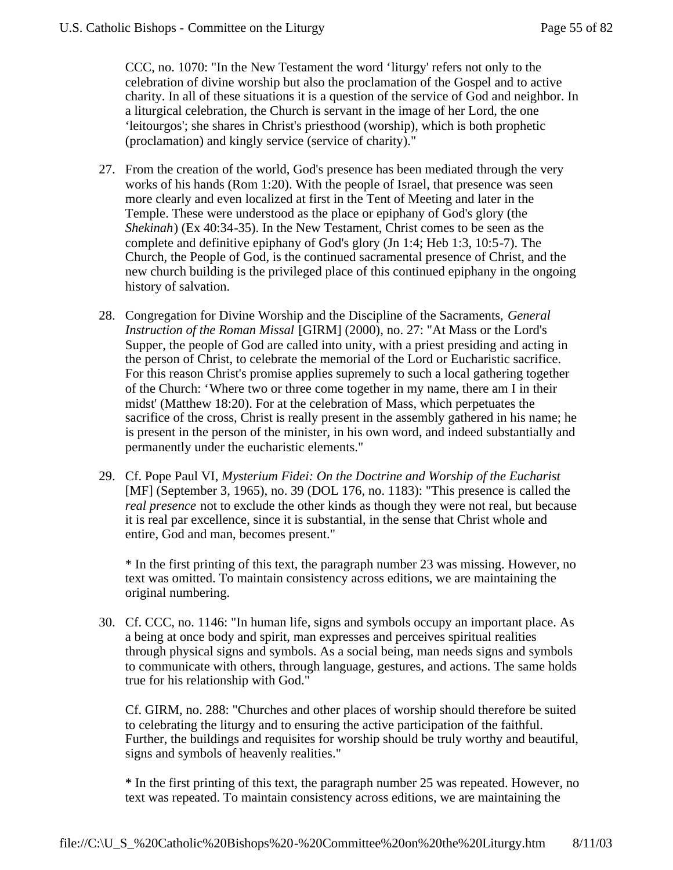CCC, no. 1070: "In the New Testament the word 'liturgy' refers not only to the celebration of divine worship but also the proclamation of the Gospel and to active charity. In all of these situations it is a question of the service of God and neighbor. In a liturgical celebration, the Church is servant in the image of her Lord, the one 'leitourgos'; she shares in Christ's priesthood (worship), which is both prophetic (proclamation) and kingly service (service of charity)."

- 27. From the creation of the world, God's presence has been mediated through the very works of his hands (Rom 1:20). With the people of Israel, that presence was seen more clearly and even localized at first in the Tent of Meeting and later in the Temple. These were understood as the place or epiphany of God's glory (the *Shekinah*) (Ex 40:34-35). In the New Testament, Christ comes to be seen as the complete and definitive epiphany of God's glory (Jn 1:4; Heb 1:3, 10:5-7). The Church, the People of God, is the continued sacramental presence of Christ, and the new church building is the privileged place of this continued epiphany in the ongoing history of salvation.
- 28. Congregation for Divine Worship and the Discipline of the Sacraments, *General Instruction of the Roman Missal* [GIRM] (2000), no. 27: "At Mass or the Lord's Supper, the people of God are called into unity, with a priest presiding and acting in the person of Christ, to celebrate the memorial of the Lord or Eucharistic sacrifice. For this reason Christ's promise applies supremely to such a local gathering together of the Church: 'Where two or three come together in my name, there am I in their midst' (Matthew 18:20). For at the celebration of Mass, which perpetuates the sacrifice of the cross, Christ is really present in the assembly gathered in his name; he is present in the person of the minister, in his own word, and indeed substantially and permanently under the eucharistic elements."
- 29. Cf. Pope Paul VI, *Mysterium Fidei: On the Doctrine and Worship of the Eucharist* [MF] (September 3, 1965), no. 39 (DOL 176, no. 1183): "This presence is called the *real presence* not to exclude the other kinds as though they were not real, but because it is real par excellence, since it is substantial, in the sense that Christ whole and entire, God and man, becomes present."

\* In the first printing of this text, the paragraph number 23 was missing. However, no text was omitted. To maintain consistency across editions, we are maintaining the original numbering.

30. Cf. CCC, no. 1146: "In human life, signs and symbols occupy an important place. As a being at once body and spirit, man expresses and perceives spiritual realities through physical signs and symbols. As a social being, man needs signs and symbols to communicate with others, through language, gestures, and actions. The same holds true for his relationship with God."

Cf. GIRM, no. 288: "Churches and other places of worship should therefore be suited to celebrating the liturgy and to ensuring the active participation of the faithful. Further, the buildings and requisites for worship should be truly worthy and beautiful, signs and symbols of heavenly realities."

\* In the first printing of this text, the paragraph number 25 was repeated. However, no text was repeated. To maintain consistency across editions, we are maintaining the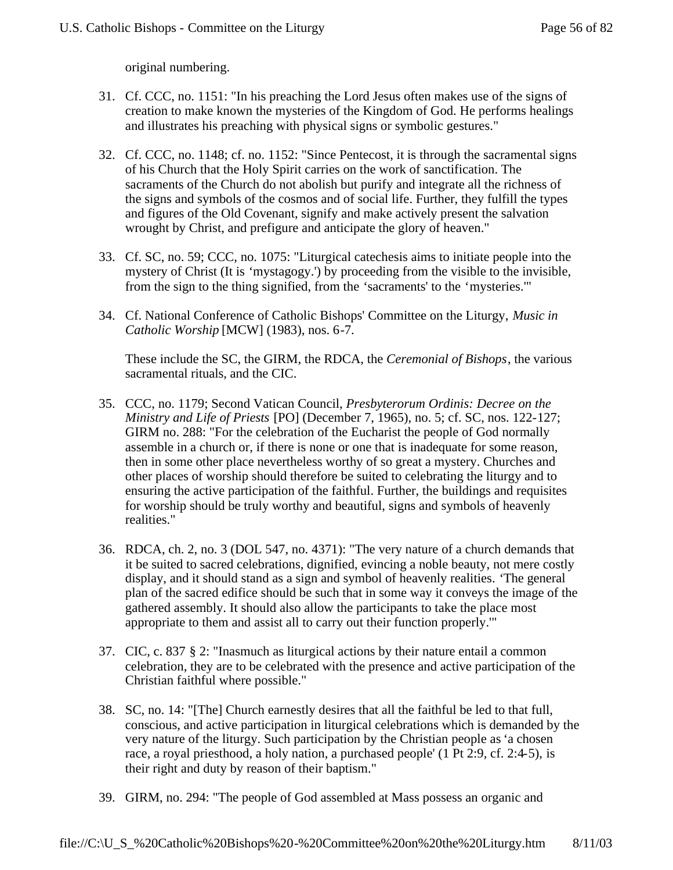original numbering.

- 31. Cf. CCC, no. 1151: "In his preaching the Lord Jesus often makes use of the signs of creation to make known the mysteries of the Kingdom of God. He performs healings and illustrates his preaching with physical signs or symbolic gestures."
- 32. Cf. CCC, no. 1148; cf. no. 1152: "Since Pentecost, it is through the sacramental signs of his Church that the Holy Spirit carries on the work of sanctification. The sacraments of the Church do not abolish but purify and integrate all the richness of the signs and symbols of the cosmos and of social life. Further, they fulfill the types and figures of the Old Covenant, signify and make actively present the salvation wrought by Christ, and prefigure and anticipate the glory of heaven."
- 33. Cf. SC, no. 59; CCC, no. 1075: "Liturgical catechesis aims to initiate people into the mystery of Christ (It is 'mystagogy.') by proceeding from the visible to the invisible, from the sign to the thing signified, from the 'sacraments' to the 'mysteries.'"
- 34. Cf. National Conference of Catholic Bishops' Committee on the Liturgy, *Music in Catholic Worship* [MCW] (1983), nos. 6-7.

These include the SC, the GIRM, the RDCA, the *Ceremonial of Bishops*, the various sacramental rituals, and the CIC.

- 35. CCC, no. 1179; Second Vatican Council, *Presbyterorum Ordinis: Decree on the Ministry and Life of Priests* [PO] (December 7, 1965), no. 5; cf. SC, nos. 122-127; GIRM no. 288: "For the celebration of the Eucharist the people of God normally assemble in a church or, if there is none or one that is inadequate for some reason, then in some other place nevertheless worthy of so great a mystery. Churches and other places of worship should therefore be suited to celebrating the liturgy and to ensuring the active participation of the faithful. Further, the buildings and requisites for worship should be truly worthy and beautiful, signs and symbols of heavenly realities."
- 36. RDCA, ch. 2, no. 3 (DOL 547, no. 4371): "The very nature of a church demands that it be suited to sacred celebrations, dignified, evincing a noble beauty, not mere costly display, and it should stand as a sign and symbol of heavenly realities. 'The general plan of the sacred edifice should be such that in some way it conveys the image of the gathered assembly. It should also allow the participants to take the place most appropriate to them and assist all to carry out their function properly.'"
- 37. CIC, c. 837 § 2: "Inasmuch as liturgical actions by their nature entail a common celebration, they are to be celebrated with the presence and active participation of the Christian faithful where possible."
- 38. SC, no. 14: "[The] Church earnestly desires that all the faithful be led to that full, conscious, and active participation in liturgical celebrations which is demanded by the very nature of the liturgy. Such participation by the Christian people as 'a chosen race, a royal priesthood, a holy nation, a purchased people' (1 Pt 2:9, cf. 2:4-5), is their right and duty by reason of their baptism."
- 39. GIRM, no. 294: "The people of God assembled at Mass possess an organic and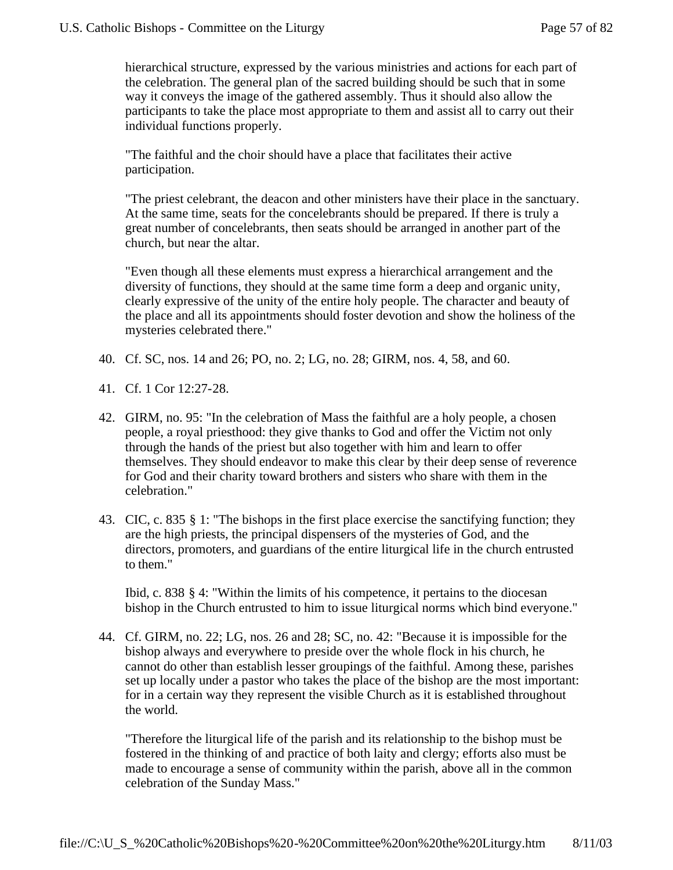hierarchical structure, expressed by the various ministries and actions for each part of the celebration. The general plan of the sacred building should be such that in some way it conveys the image of the gathered assembly. Thus it should also allow the participants to take the place most appropriate to them and assist all to carry out their individual functions properly.

"The faithful and the choir should have a place that facilitates their active participation.

"The priest celebrant, the deacon and other ministers have their place in the sanctuary. At the same time, seats for the concelebrants should be prepared. If there is truly a great number of concelebrants, then seats should be arranged in another part of the church, but near the altar.

"Even though all these elements must express a hierarchical arrangement and the diversity of functions, they should at the same time form a deep and organic unity, clearly expressive of the unity of the entire holy people. The character and beauty of the place and all its appointments should foster devotion and show the holiness of the mysteries celebrated there."

- 40. Cf. SC, nos. 14 and 26; PO, no. 2; LG, no. 28; GIRM, nos. 4, 58, and 60.
- 41. Cf. 1 Cor 12:27-28.
- 42. GIRM, no. 95: "In the celebration of Mass the faithful are a holy people, a chosen people, a royal priesthood: they give thanks to God and offer the Victim not only through the hands of the priest but also together with him and learn to offer themselves. They should endeavor to make this clear by their deep sense of reverence for God and their charity toward brothers and sisters who share with them in the celebration."
- 43. CIC, c. 835 § 1: "The bishops in the first place exercise the sanctifying function; they are the high priests, the principal dispensers of the mysteries of God, and the directors, promoters, and guardians of the entire liturgical life in the church entrusted to them."

Ibid, c. 838 § 4: "Within the limits of his competence, it pertains to the diocesan bishop in the Church entrusted to him to issue liturgical norms which bind everyone."

44. Cf. GIRM, no. 22; LG, nos. 26 and 28; SC, no. 42: "Because it is impossible for the bishop always and everywhere to preside over the whole flock in his church, he cannot do other than establish lesser groupings of the faithful. Among these, parishes set up locally under a pastor who takes the place of the bishop are the most important: for in a certain way they represent the visible Church as it is established throughout the world.

"Therefore the liturgical life of the parish and its relationship to the bishop must be fostered in the thinking of and practice of both laity and clergy; efforts also must be made to encourage a sense of community within the parish, above all in the common celebration of the Sunday Mass."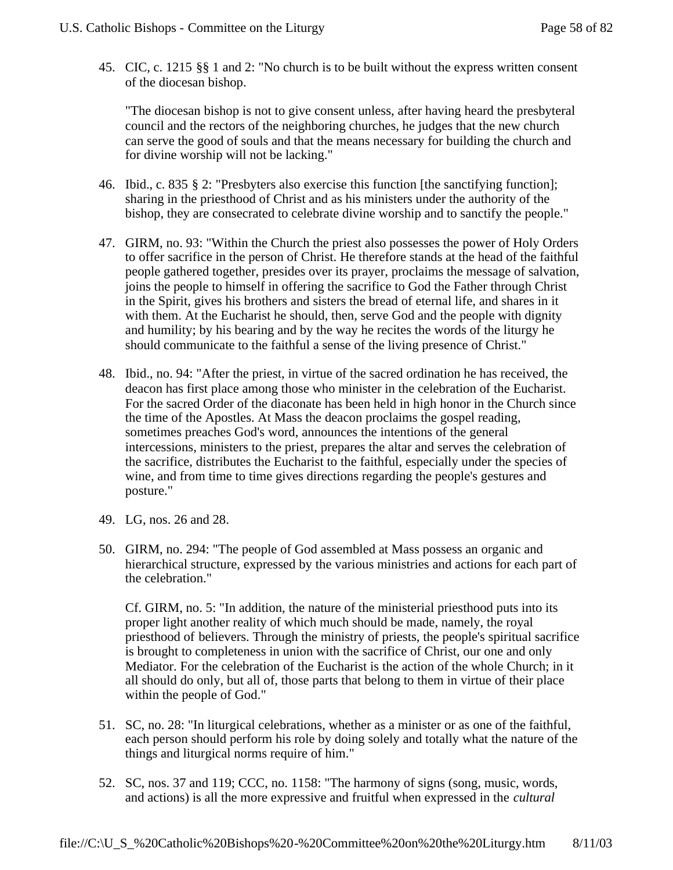45. CIC, c. 1215 §§ 1 and 2: "No church is to be built without the express written consent of the diocesan bishop.

"The diocesan bishop is not to give consent unless, after having heard the presbyteral council and the rectors of the neighboring churches, he judges that the new church can serve the good of souls and that the means necessary for building the church and for divine worship will not be lacking."

- 46. Ibid., c. 835 § 2: "Presbyters also exercise this function [the sanctifying function]; sharing in the priesthood of Christ and as his ministers under the authority of the bishop, they are consecrated to celebrate divine worship and to sanctify the people."
- 47. GIRM, no. 93: "Within the Church the priest also possesses the power of Holy Orders to offer sacrifice in the person of Christ. He therefore stands at the head of the faithful people gathered together, presides over its prayer, proclaims the message of salvation, joins the people to himself in offering the sacrifice to God the Father through Christ in the Spirit, gives his brothers and sisters the bread of eternal life, and shares in it with them. At the Eucharist he should, then, serve God and the people with dignity and humility; by his bearing and by the way he recites the words of the liturgy he should communicate to the faithful a sense of the living presence of Christ."
- 48. Ibid., no. 94: "After the priest, in virtue of the sacred ordination he has received, the deacon has first place among those who minister in the celebration of the Eucharist. For the sacred Order of the diaconate has been held in high honor in the Church since the time of the Apostles. At Mass the deacon proclaims the gospel reading, sometimes preaches God's word, announces the intentions of the general intercessions, ministers to the priest, prepares the altar and serves the celebration of the sacrifice, distributes the Eucharist to the faithful, especially under the species of wine, and from time to time gives directions regarding the people's gestures and posture."
- 49. LG, nos. 26 and 28.
- 50. GIRM, no. 294: "The people of God assembled at Mass possess an organic and hierarchical structure, expressed by the various ministries and actions for each part of the celebration."

Cf. GIRM, no. 5: "In addition, the nature of the ministerial priesthood puts into its proper light another reality of which much should be made, namely, the royal priesthood of believers. Through the ministry of priests, the people's spiritual sacrifice is brought to completeness in union with the sacrifice of Christ, our one and only Mediator. For the celebration of the Eucharist is the action of the whole Church; in it all should do only, but all of, those parts that belong to them in virtue of their place within the people of God."

- 51. SC, no. 28: "In liturgical celebrations, whether as a minister or as one of the faithful, each person should perform his role by doing solely and totally what the nature of the things and liturgical norms require of him."
- 52. SC, nos. 37 and 119; CCC, no. 1158: "The harmony of signs (song, music, words, and actions) is all the more expressive and fruitful when expressed in the *cultural*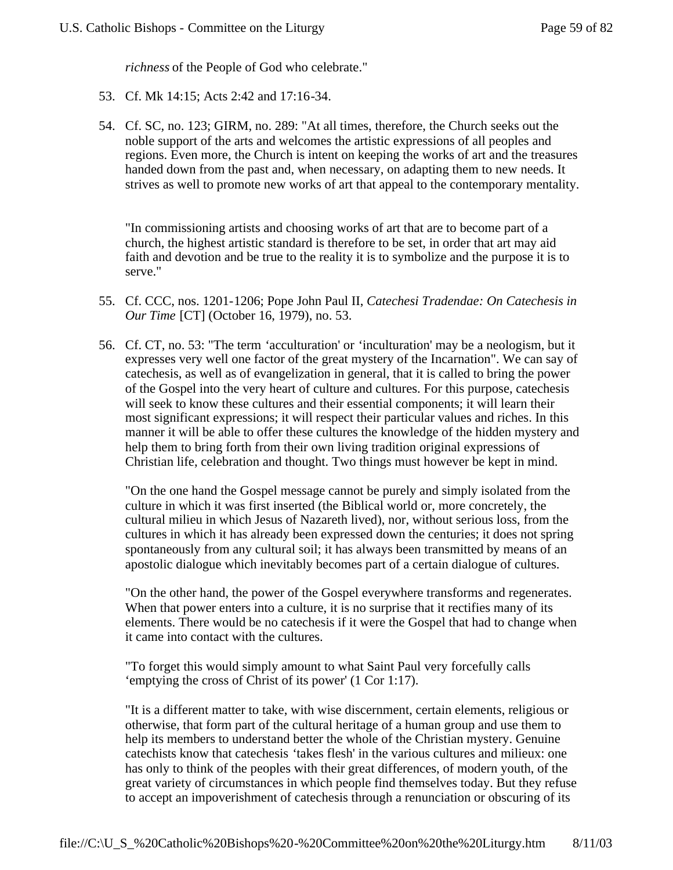*richness* of the People of God who celebrate."

- 53. Cf. Mk 14:15; Acts 2:42 and 17:16-34.
- 54. Cf. SC, no. 123; GIRM, no. 289: "At all times, therefore, the Church seeks out the noble support of the arts and welcomes the artistic expressions of all peoples and regions. Even more, the Church is intent on keeping the works of art and the treasures handed down from the past and, when necessary, on adapting them to new needs. It strives as well to promote new works of art that appeal to the contemporary mentality.

"In commissioning artists and choosing works of art that are to become part of a church, the highest artistic standard is therefore to be set, in order that art may aid faith and devotion and be true to the reality it is to symbolize and the purpose it is to serve."

- 55. Cf. CCC, nos. 1201-1206; Pope John Paul II, *Catechesi Tradendae: On Catechesis in Our Time* [CT] (October 16, 1979), no. 53.
- 56. Cf. CT, no. 53: "The term 'acculturation' or 'inculturation' may be a neologism, but it expresses very well one factor of the great mystery of the Incarnation". We can say of catechesis, as well as of evangelization in general, that it is called to bring the power of the Gospel into the very heart of culture and cultures. For this purpose, catechesis will seek to know these cultures and their essential components; it will learn their most significant expressions; it will respect their particular values and riches. In this manner it will be able to offer these cultures the knowledge of the hidden mystery and help them to bring forth from their own living tradition original expressions of Christian life, celebration and thought. Two things must however be kept in mind.

"On the one hand the Gospel message cannot be purely and simply isolated from the culture in which it was first inserted (the Biblical world or, more concretely, the cultural milieu in which Jesus of Nazareth lived), nor, without serious loss, from the cultures in which it has already been expressed down the centuries; it does not spring spontaneously from any cultural soil; it has always been transmitted by means of an apostolic dialogue which inevitably becomes part of a certain dialogue of cultures.

"On the other hand, the power of the Gospel everywhere transforms and regenerates. When that power enters into a culture, it is no surprise that it rectifies many of its elements. There would be no catechesis if it were the Gospel that had to change when it came into contact with the cultures.

"To forget this would simply amount to what Saint Paul very forcefully calls 'emptying the cross of Christ of its power' (1 Cor 1:17).

"It is a different matter to take, with wise discernment, certain elements, religious or otherwise, that form part of the cultural heritage of a human group and use them to help its members to understand better the whole of the Christian mystery. Genuine catechists know that catechesis 'takes flesh' in the various cultures and milieux: one has only to think of the peoples with their great differences, of modern youth, of the great variety of circumstances in which people find themselves today. But they refuse to accept an impoverishment of catechesis through a renunciation or obscuring of its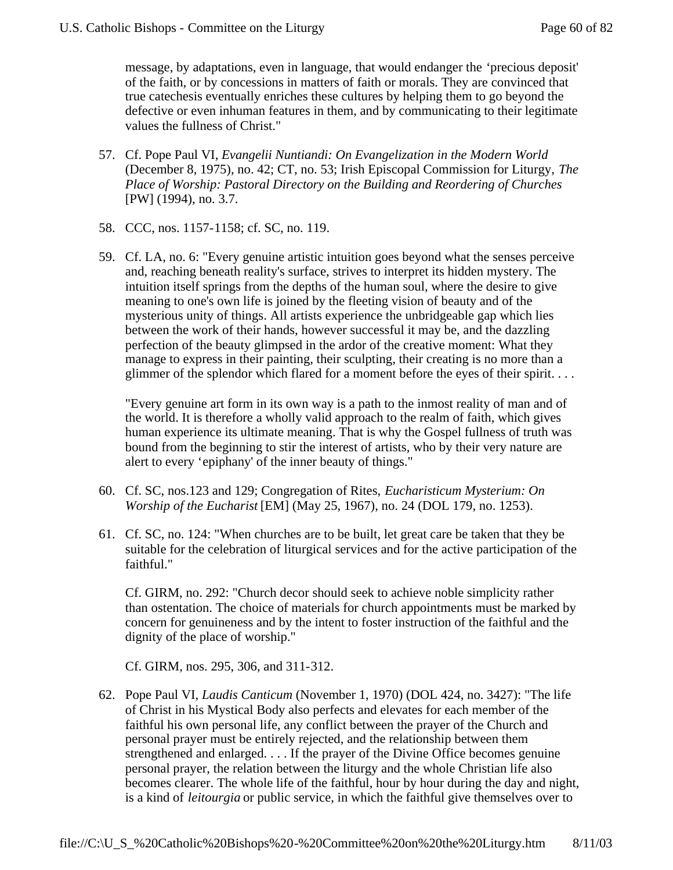message, by adaptations, even in language, that would endanger the 'precious deposit' of the faith, or by concessions in matters of faith or morals. They are convinced that true catechesis eventually enriches these cultures by helping them to go beyond the defective or even inhuman features in them, and by communicating to their legitimate values the fullness of Christ."

- 57. Cf. Pope Paul VI, *Evangelii Nuntiandi: On Evangelization in the Modern World* (December 8, 1975), no. 42; CT, no. 53; Irish Episcopal Commission for Liturgy, *The Place of Worship: Pastoral Directory on the Building and Reordering of Churches* [PW] (1994), no. 3.7.
- 58. CCC, nos. 1157-1158; cf. SC, no. 119.
- 59. Cf. LA, no. 6: "Every genuine artistic intuition goes beyond what the senses perceive and, reaching beneath reality's surface, strives to interpret its hidden mystery. The intuition itself springs from the depths of the human soul, where the desire to give meaning to one's own life is joined by the fleeting vision of beauty and of the mysterious unity of things. All artists experience the unbridgeable gap which lies between the work of their hands, however successful it may be, and the dazzling perfection of the beauty glimpsed in the ardor of the creative moment: What they manage to express in their painting, their sculpting, their creating is no more than a glimmer of the splendor which flared for a moment before the eyes of their spirit. . . .

"Every genuine art form in its own way is a path to the inmost reality of man and of the world. It is therefore a wholly valid approach to the realm of faith, which gives human experience its ultimate meaning. That is why the Gospel fullness of truth was bound from the beginning to stir the interest of artists, who by their very nature are alert to every 'epiphany' of the inner beauty of things."

- 60. Cf. SC, nos.123 and 129; Congregation of Rites, *Eucharisticum Mysterium: On Worship of the Eucharist* [EM] (May 25, 1967), no. 24 (DOL 179, no. 1253).
- 61. Cf. SC, no. 124: "When churches are to be built, let great care be taken that they be suitable for the celebration of liturgical services and for the active participation of the faithful."

Cf. GIRM, no. 292: "Church decor should seek to achieve noble simplicity rather than ostentation. The choice of materials for church appointments must be marked by concern for genuineness and by the intent to foster instruction of the faithful and the dignity of the place of worship."

Cf. GIRM, nos. 295, 306, and 311-312.

62. Pope Paul VI, *Laudis Canticum* (November 1, 1970) (DOL 424, no. 3427): "The life of Christ in his Mystical Body also perfects and elevates for each member of the faithful his own personal life, any conflict between the prayer of the Church and personal prayer must be entirely rejected, and the relationship between them strengthened and enlarged. . . . If the prayer of the Divine Office becomes genuine personal prayer, the relation between the liturgy and the whole Christian life also becomes clearer. The whole life of the faithful, hour by hour during the day and night, is a kind of *leitourgia* or public service, in which the faithful give themselves over to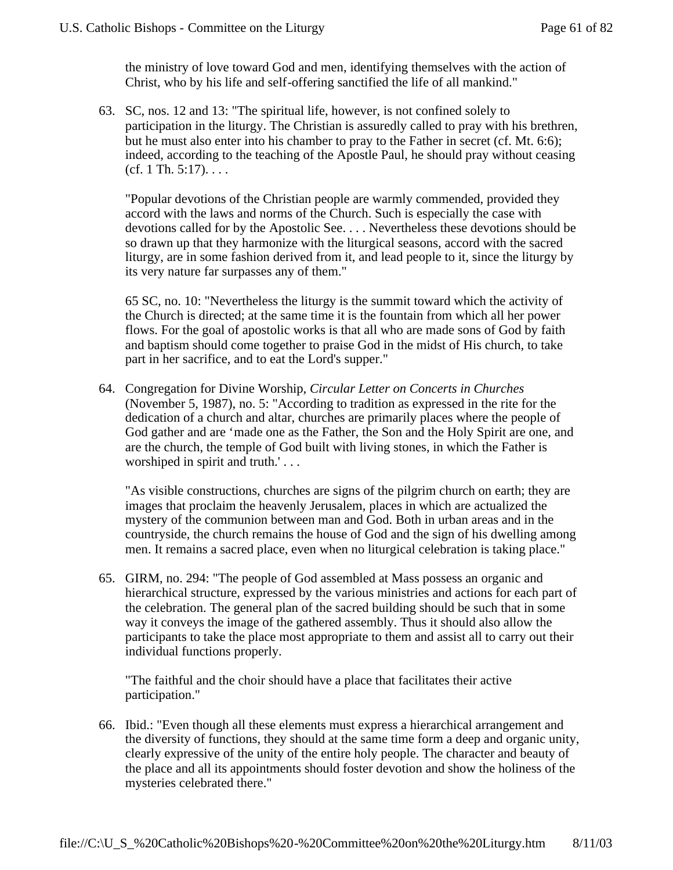the ministry of love toward God and men, identifying themselves with the action of Christ, who by his life and self-offering sanctified the life of all mankind."

63. SC, nos. 12 and 13: "The spiritual life, however, is not confined solely to participation in the liturgy. The Christian is assuredly called to pray with his brethren, but he must also enter into his chamber to pray to the Father in secret (cf. Mt. 6:6); indeed, according to the teaching of the Apostle Paul, he should pray without ceasing  $(cf. 1 Th. 5:17). \ldots$ 

"Popular devotions of the Christian people are warmly commended, provided they accord with the laws and norms of the Church. Such is especially the case with devotions called for by the Apostolic See. . . . Nevertheless these devotions should be so drawn up that they harmonize with the liturgical seasons, accord with the sacred liturgy, are in some fashion derived from it, and lead people to it, since the liturgy by its very nature far surpasses any of them."

65 SC, no. 10: "Nevertheless the liturgy is the summit toward which the activity of the Church is directed; at the same time it is the fountain from which all her power flows. For the goal of apostolic works is that all who are made sons of God by faith and baptism should come together to praise God in the midst of His church, to take part in her sacrifice, and to eat the Lord's supper."

64. Congregation for Divine Worship, *Circular Letter on Concerts in Churches* (November 5, 1987), no. 5: "According to tradition as expressed in the rite for the dedication of a church and altar, churches are primarily places where the people of God gather and are 'made one as the Father, the Son and the Holy Spirit are one, and are the church, the temple of God built with living stones, in which the Father is worshiped in spirit and truth.'...

"As visible constructions, churches are signs of the pilgrim church on earth; they are images that proclaim the heavenly Jerusalem, places in which are actualized the mystery of the communion between man and God. Both in urban areas and in the countryside, the church remains the house of God and the sign of his dwelling among men. It remains a sacred place, even when no liturgical celebration is taking place."

65. GIRM, no. 294: "The people of God assembled at Mass possess an organic and hierarchical structure, expressed by the various ministries and actions for each part of the celebration. The general plan of the sacred building should be such that in some way it conveys the image of the gathered assembly. Thus it should also allow the participants to take the place most appropriate to them and assist all to carry out their individual functions properly.

"The faithful and the choir should have a place that facilitates their active participation."

66. Ibid.: "Even though all these elements must express a hierarchical arrangement and the diversity of functions, they should at the same time form a deep and organic unity, clearly expressive of the unity of the entire holy people. The character and beauty of the place and all its appointments should foster devotion and show the holiness of the mysteries celebrated there."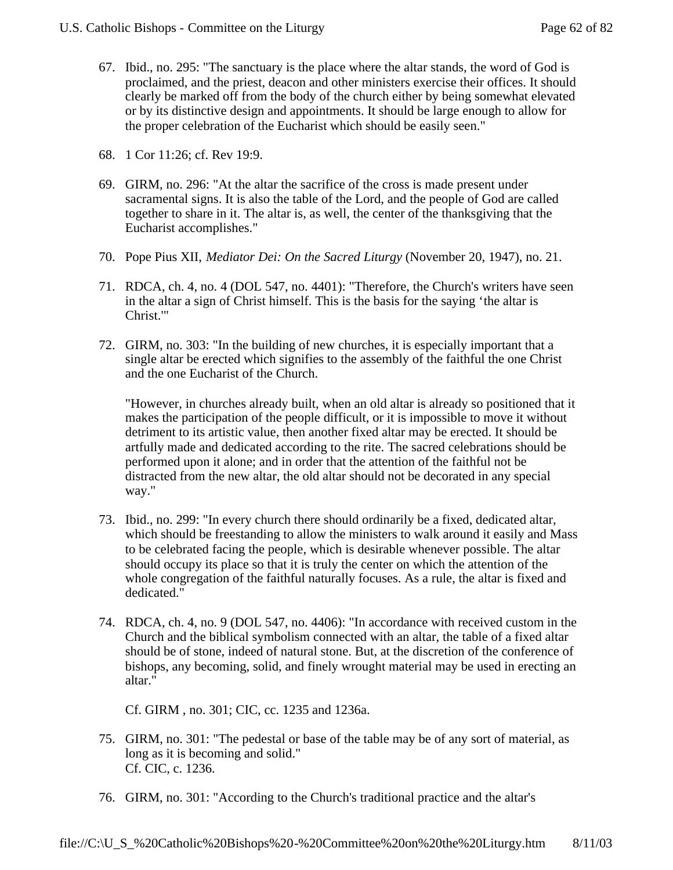- 67. Ibid., no. 295: "The sanctuary is the place where the altar stands, the word of God is proclaimed, and the priest, deacon and other ministers exercise their offices. It should clearly be marked off from the body of the church either by being somewhat elevated or by its distinctive design and appointments. It should be large enough to allow for the proper celebration of the Eucharist which should be easily seen."
- 68. 1 Cor 11:26; cf. Rev 19:9.
- 69. GIRM, no. 296: "At the altar the sacrifice of the cross is made present under sacramental signs. It is also the table of the Lord, and the people of God are called together to share in it. The altar is, as well, the center of the thanksgiving that the Eucharist accomplishes."
- 70. Pope Pius XII, *Mediator Dei: On the Sacred Liturgy* (November 20, 1947), no. 21.
- 71. RDCA, ch. 4, no. 4 (DOL 547, no. 4401): "Therefore, the Church's writers have seen in the altar a sign of Christ himself. This is the basis for the saying 'the altar is Christ.'"
- 72. GIRM, no. 303: "In the building of new churches, it is especially important that a single altar be erected which signifies to the assembly of the faithful the one Christ and the one Eucharist of the Church.

"However, in churches already built, when an old altar is already so positioned that it makes the participation of the people difficult, or it is impossible to move it without detriment to its artistic value, then another fixed altar may be erected. It should be artfully made and dedicated according to the rite. The sacred celebrations should be performed upon it alone; and in order that the attention of the faithful not be distracted from the new altar, the old altar should not be decorated in any special way."

- 73. Ibid., no. 299: "In every church there should ordinarily be a fixed, dedicated altar, which should be freestanding to allow the ministers to walk around it easily and Mass to be celebrated facing the people, which is desirable whenever possible. The altar should occupy its place so that it is truly the center on which the attention of the whole congregation of the faithful naturally focuses. As a rule, the altar is fixed and dedicated."
- 74. RDCA, ch. 4, no. 9 (DOL 547, no. 4406): "In accordance with received custom in the Church and the biblical symbolism connected with an altar, the table of a fixed altar should be of stone, indeed of natural stone. But, at the discretion of the conference of bishops, any becoming, solid, and finely wrought material may be used in erecting an altar."

Cf. GIRM , no. 301; CIC, cc. 1235 and 1236a.

- 75. GIRM, no. 301: "The pedestal or base of the table may be of any sort of material, as long as it is becoming and solid." Cf. CIC, c. 1236.
- 76. GIRM, no. 301: "According to the Church's traditional practice and the altar's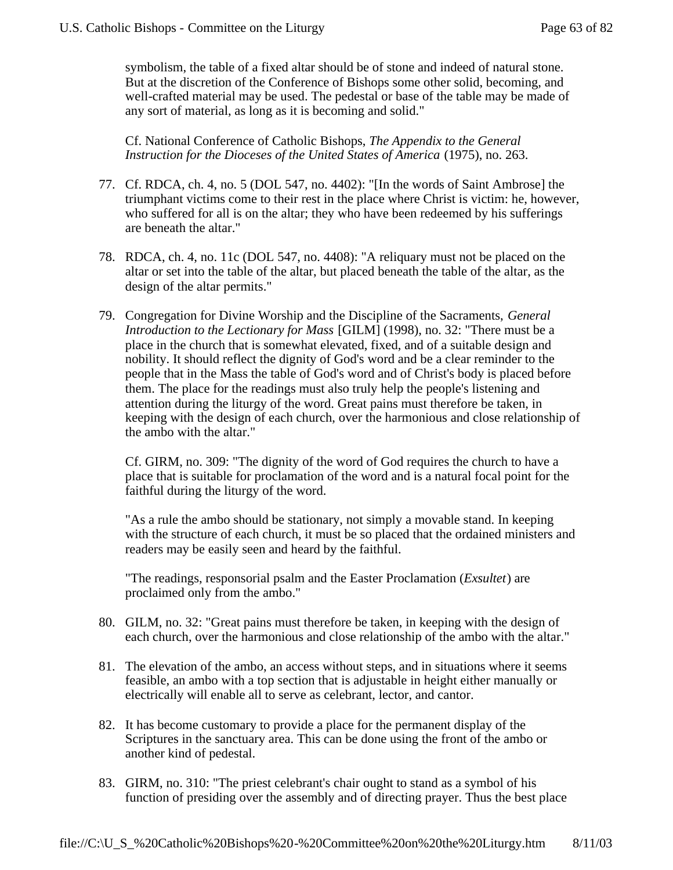symbolism, the table of a fixed altar should be of stone and indeed of natural stone. But at the discretion of the Conference of Bishops some other solid, becoming, and well-crafted material may be used. The pedestal or base of the table may be made of any sort of material, as long as it is becoming and solid."

Cf. National Conference of Catholic Bishops, *The Appendix to the General Instruction for the Dioceses of the United States of America* (1975), no. 263.

- 77. Cf. RDCA, ch. 4, no. 5 (DOL 547, no. 4402): "[In the words of Saint Ambrose] the triumphant victims come to their rest in the place where Christ is victim: he, however, who suffered for all is on the altar; they who have been redeemed by his sufferings are beneath the altar."
- 78. RDCA, ch. 4, no. 11c (DOL 547, no. 4408): "A reliquary must not be placed on the altar or set into the table of the altar, but placed beneath the table of the altar, as the design of the altar permits."
- 79. Congregation for Divine Worship and the Discipline of the Sacraments, *General Introduction to the Lectionary for Mass* [GILM] (1998), no. 32: "There must be a place in the church that is somewhat elevated, fixed, and of a suitable design and nobility. It should reflect the dignity of God's word and be a clear reminder to the people that in the Mass the table of God's word and of Christ's body is placed before them. The place for the readings must also truly help the people's listening and attention during the liturgy of the word. Great pains must therefore be taken, in keeping with the design of each church, over the harmonious and close relationship of the ambo with the altar."

Cf. GIRM, no. 309: "The dignity of the word of God requires the church to have a place that is suitable for proclamation of the word and is a natural focal point for the faithful during the liturgy of the word.

"As a rule the ambo should be stationary, not simply a movable stand. In keeping with the structure of each church, it must be so placed that the ordained ministers and readers may be easily seen and heard by the faithful.

"The readings, responsorial psalm and the Easter Proclamation (*Exsultet*) are proclaimed only from the ambo."

- 80. GILM, no. 32: "Great pains must therefore be taken, in keeping with the design of each church, over the harmonious and close relationship of the ambo with the altar."
- 81. The elevation of the ambo, an access without steps, and in situations where it seems feasible, an ambo with a top section that is adjustable in height either manually or electrically will enable all to serve as celebrant, lector, and cantor.
- 82. It has become customary to provide a place for the permanent display of the Scriptures in the sanctuary area. This can be done using the front of the ambo or another kind of pedestal.
- 83. GIRM, no. 310: "The priest celebrant's chair ought to stand as a symbol of his function of presiding over the assembly and of directing prayer. Thus the best place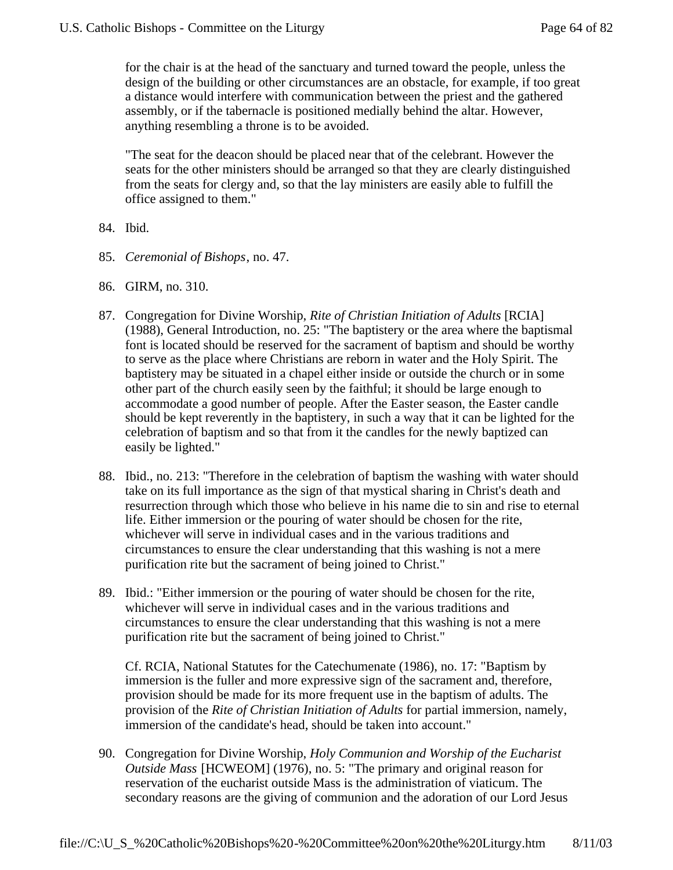for the chair is at the head of the sanctuary and turned toward the people, unless the design of the building or other circumstances are an obstacle, for example, if too great a distance would interfere with communication between the priest and the gathered assembly, or if the tabernacle is positioned medially behind the altar. However, anything resembling a throne is to be avoided.

"The seat for the deacon should be placed near that of the celebrant. However the seats for the other ministers should be arranged so that they are clearly distinguished from the seats for clergy and, so that the lay ministers are easily able to fulfill the office assigned to them."

- 84. Ibid.
- 85. *Ceremonial of Bishops*, no. 47.
- 86. GIRM, no. 310.
- 87. Congregation for Divine Worship, *Rite of Christian Initiation of Adults* [RCIA] (1988), General Introduction, no. 25: "The baptistery or the area where the baptismal font is located should be reserved for the sacrament of baptism and should be worthy to serve as the place where Christians are reborn in water and the Holy Spirit. The baptistery may be situated in a chapel either inside or outside the church or in some other part of the church easily seen by the faithful; it should be large enough to accommodate a good number of people. After the Easter season, the Easter candle should be kept reverently in the baptistery, in such a way that it can be lighted for the celebration of baptism and so that from it the candles for the newly baptized can easily be lighted."
- 88. Ibid., no. 213: "Therefore in the celebration of baptism the washing with water should take on its full importance as the sign of that mystical sharing in Christ's death and resurrection through which those who believe in his name die to sin and rise to eternal life. Either immersion or the pouring of water should be chosen for the rite, whichever will serve in individual cases and in the various traditions and circumstances to ensure the clear understanding that this washing is not a mere purification rite but the sacrament of being joined to Christ."
- 89. Ibid.: "Either immersion or the pouring of water should be chosen for the rite, whichever will serve in individual cases and in the various traditions and circumstances to ensure the clear understanding that this washing is not a mere purification rite but the sacrament of being joined to Christ."

Cf. RCIA, National Statutes for the Catechumenate (1986), no. 17: "Baptism by immersion is the fuller and more expressive sign of the sacrament and, therefore, provision should be made for its more frequent use in the baptism of adults. The provision of the *Rite of Christian Initiation of Adults* for partial immersion, namely, immersion of the candidate's head, should be taken into account."

90. Congregation for Divine Worship, *Holy Communion and Worship of the Eucharist Outside Mass* [HCWEOM] (1976), no. 5: "The primary and original reason for reservation of the eucharist outside Mass is the administration of viaticum. The secondary reasons are the giving of communion and the adoration of our Lord Jesus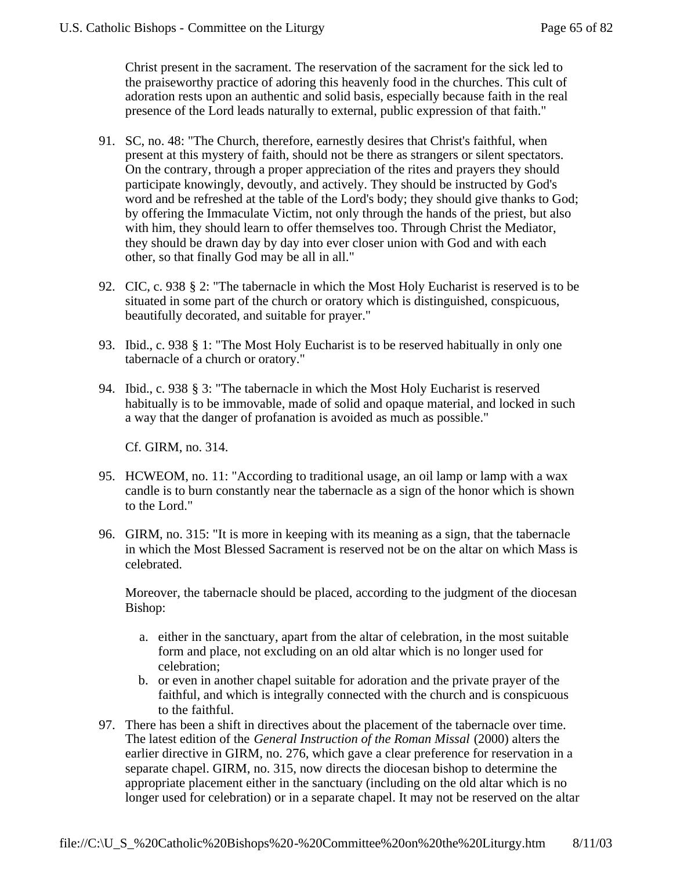Christ present in the sacrament. The reservation of the sacrament for the sick led to the praiseworthy practice of adoring this heavenly food in the churches. This cult of adoration rests upon an authentic and solid basis, especially because faith in the real presence of the Lord leads naturally to external, public expression of that faith."

- 91. SC, no. 48: "The Church, therefore, earnestly desires that Christ's faithful, when present at this mystery of faith, should not be there as strangers or silent spectators. On the contrary, through a proper appreciation of the rites and prayers they should participate knowingly, devoutly, and actively. They should be instructed by God's word and be refreshed at the table of the Lord's body; they should give thanks to God; by offering the Immaculate Victim, not only through the hands of the priest, but also with him, they should learn to offer themselves too. Through Christ the Mediator, they should be drawn day by day into ever closer union with God and with each other, so that finally God may be all in all."
- 92. CIC, c. 938 § 2: "The tabernacle in which the Most Holy Eucharist is reserved is to be situated in some part of the church or oratory which is distinguished, conspicuous, beautifully decorated, and suitable for prayer."
- 93. Ibid., c. 938 § 1: "The Most Holy Eucharist is to be reserved habitually in only one tabernacle of a church or oratory."
- 94. Ibid., c. 938 § 3: "The tabernacle in which the Most Holy Eucharist is reserved habitually is to be immovable, made of solid and opaque material, and locked in such a way that the danger of profanation is avoided as much as possible."

Cf. GIRM, no. 314.

- 95. HCWEOM, no. 11: "According to traditional usage, an oil lamp or lamp with a wax candle is to burn constantly near the tabernacle as a sign of the honor which is shown to the Lord."
- 96. GIRM, no. 315: "It is more in keeping with its meaning as a sign, that the tabernacle in which the Most Blessed Sacrament is reserved not be on the altar on which Mass is celebrated.

Moreover, the tabernacle should be placed, according to the judgment of the diocesan Bishop:

- a. either in the sanctuary, apart from the altar of celebration, in the most suitable form and place, not excluding on an old altar which is no longer used for celebration;
- b. or even in another chapel suitable for adoration and the private prayer of the faithful, and which is integrally connected with the church and is conspicuous to the faithful.
- 97. There has been a shift in directives about the placement of the tabernacle over time. The latest edition of the *General Instruction of the Roman Missal* (2000) alters the earlier directive in GIRM, no. 276, which gave a clear preference for reservation in a separate chapel. GIRM, no. 315, now directs the diocesan bishop to determine the appropriate placement either in the sanctuary (including on the old altar which is no longer used for celebration) or in a separate chapel. It may not be reserved on the altar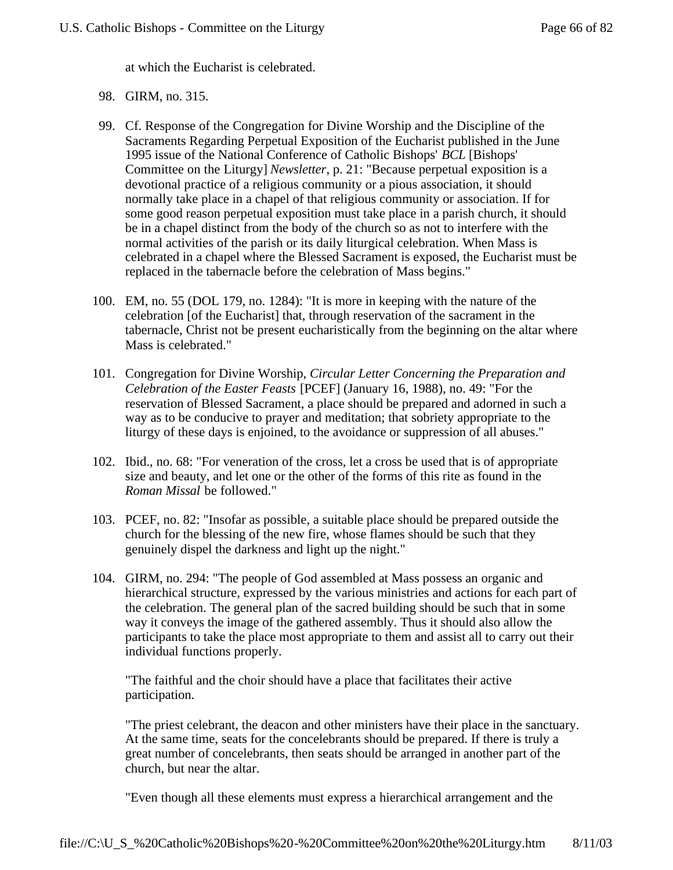at which the Eucharist is celebrated.

- 98. GIRM, no. 315.
- 99. Cf. Response of the Congregation for Divine Worship and the Discipline of the Sacraments Regarding Perpetual Exposition of the Eucharist published in the June 1995 issue of the National Conference of Catholic Bishops' *BCL* [Bishops' Committee on the Liturgy] *Newsletter*, p. 21: "Because perpetual exposition is a devotional practice of a religious community or a pious association, it should normally take place in a chapel of that religious community or association. If for some good reason perpetual exposition must take place in a parish church, it should be in a chapel distinct from the body of the church so as not to interfere with the normal activities of the parish or its daily liturgical celebration. When Mass is celebrated in a chapel where the Blessed Sacrament is exposed, the Eucharist must be replaced in the tabernacle before the celebration of Mass begins."
- 100. EM, no. 55 (DOL 179, no. 1284): "It is more in keeping with the nature of the celebration [of the Eucharist] that, through reservation of the sacrament in the tabernacle, Christ not be present eucharistically from the beginning on the altar where Mass is celebrated."
- 101. Congregation for Divine Worship, *Circular Letter Concerning the Preparation and Celebration of the Easter Feasts* [PCEF] (January 16, 1988), no. 49: "For the reservation of Blessed Sacrament, a place should be prepared and adorned in such a way as to be conducive to prayer and meditation; that sobriety appropriate to the liturgy of these days is enjoined, to the avoidance or suppression of all abuses."
- 102. Ibid., no. 68: "For veneration of the cross, let a cross be used that is of appropriate size and beauty, and let one or the other of the forms of this rite as found in the *Roman Missal* be followed."
- 103. PCEF, no. 82: "Insofar as possible, a suitable place should be prepared outside the church for the blessing of the new fire, whose flames should be such that they genuinely dispel the darkness and light up the night."
- 104. GIRM, no. 294: "The people of God assembled at Mass possess an organic and hierarchical structure, expressed by the various ministries and actions for each part of the celebration. The general plan of the sacred building should be such that in some way it conveys the image of the gathered assembly. Thus it should also allow the participants to take the place most appropriate to them and assist all to carry out their individual functions properly.

"The faithful and the choir should have a place that facilitates their active participation.

"The priest celebrant, the deacon and other ministers have their place in the sanctuary. At the same time, seats for the concelebrants should be prepared. If there is truly a great number of concelebrants, then seats should be arranged in another part of the church, but near the altar.

"Even though all these elements must express a hierarchical arrangement and the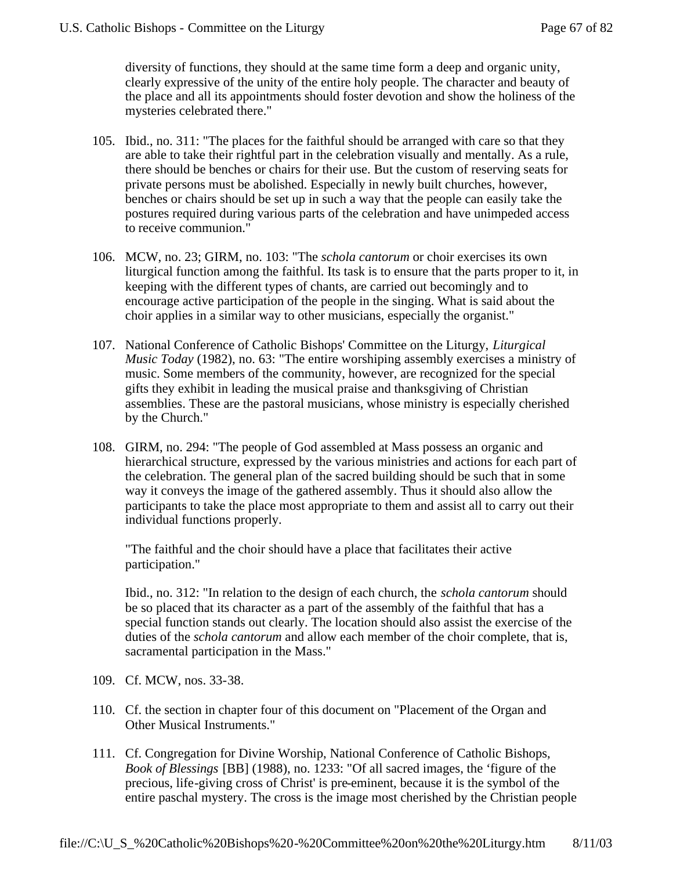diversity of functions, they should at the same time form a deep and organic unity, clearly expressive of the unity of the entire holy people. The character and beauty of the place and all its appointments should foster devotion and show the holiness of the mysteries celebrated there."

- 105. Ibid., no. 311: "The places for the faithful should be arranged with care so that they are able to take their rightful part in the celebration visually and mentally. As a rule, there should be benches or chairs for their use. But the custom of reserving seats for private persons must be abolished. Especially in newly built churches, however, benches or chairs should be set up in such a way that the people can easily take the postures required during various parts of the celebration and have unimpeded access to receive communion."
- 106. MCW, no. 23; GIRM, no. 103: "The *schola cantorum* or choir exercises its own liturgical function among the faithful. Its task is to ensure that the parts proper to it, in keeping with the different types of chants, are carried out becomingly and to encourage active participation of the people in the singing. What is said about the choir applies in a similar way to other musicians, especially the organist."
- 107. National Conference of Catholic Bishops' Committee on the Liturgy, *Liturgical Music Today* (1982), no. 63: "The entire worshiping assembly exercises a ministry of music. Some members of the community, however, are recognized for the special gifts they exhibit in leading the musical praise and thanksgiving of Christian assemblies. These are the pastoral musicians, whose ministry is especially cherished by the Church."
- 108. GIRM, no. 294: "The people of God assembled at Mass possess an organic and hierarchical structure, expressed by the various ministries and actions for each part of the celebration. The general plan of the sacred building should be such that in some way it conveys the image of the gathered assembly. Thus it should also allow the participants to take the place most appropriate to them and assist all to carry out their individual functions properly.

"The faithful and the choir should have a place that facilitates their active participation."

Ibid., no. 312: "In relation to the design of each church, the *schola cantorum* should be so placed that its character as a part of the assembly of the faithful that has a special function stands out clearly. The location should also assist the exercise of the duties of the *schola cantorum* and allow each member of the choir complete, that is, sacramental participation in the Mass."

- 109. Cf. MCW, nos. 33-38.
- 110. Cf. the section in chapter four of this document on "Placement of the Organ and Other Musical Instruments."
- 111. Cf. Congregation for Divine Worship, National Conference of Catholic Bishops, *Book of Blessings* [BB] (1988), no. 1233: "Of all sacred images, the 'figure of the precious, life-giving cross of Christ' is pre-eminent, because it is the symbol of the entire paschal mystery. The cross is the image most cherished by the Christian people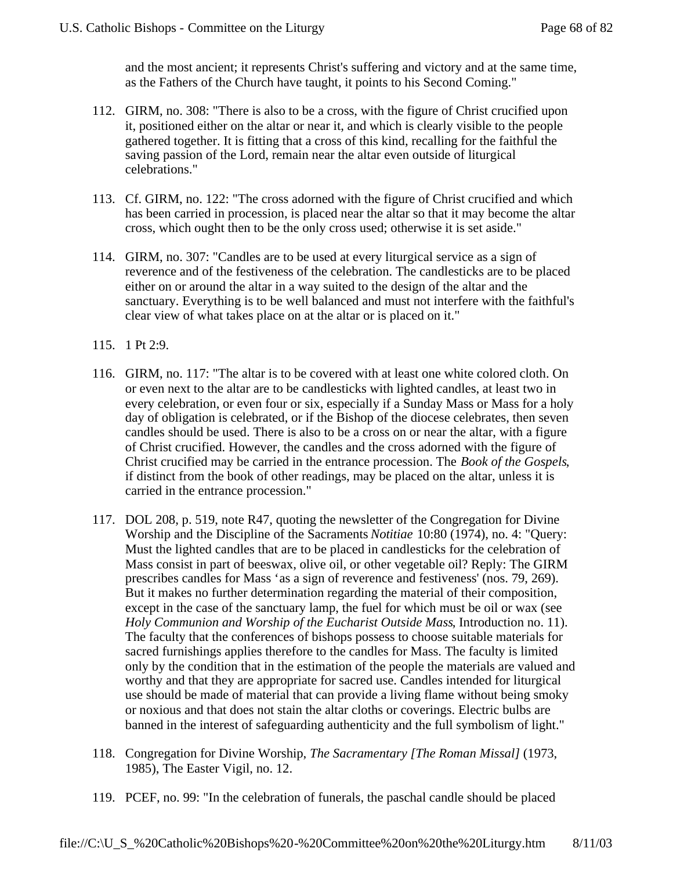and the most ancient; it represents Christ's suffering and victory and at the same time, as the Fathers of the Church have taught, it points to his Second Coming."

- 112. GIRM, no. 308: "There is also to be a cross, with the figure of Christ crucified upon it, positioned either on the altar or near it, and which is clearly visible to the people gathered together. It is fitting that a cross of this kind, recalling for the faithful the saving passion of the Lord, remain near the altar even outside of liturgical celebrations."
- 113. Cf. GIRM, no. 122: "The cross adorned with the figure of Christ crucified and which has been carried in procession, is placed near the altar so that it may become the altar cross, which ought then to be the only cross used; otherwise it is set aside."
- 114. GIRM, no. 307: "Candles are to be used at every liturgical service as a sign of reverence and of the festiveness of the celebration. The candlesticks are to be placed either on or around the altar in a way suited to the design of the altar and the sanctuary. Everything is to be well balanced and must not interfere with the faithful's clear view of what takes place on at the altar or is placed on it."
- 115. 1 Pt 2:9.
- 116. GIRM, no. 117: "The altar is to be covered with at least one white colored cloth. On or even next to the altar are to be candlesticks with lighted candles, at least two in every celebration, or even four or six, especially if a Sunday Mass or Mass for a holy day of obligation is celebrated, or if the Bishop of the diocese celebrates, then seven candles should be used. There is also to be a cross on or near the altar, with a figure of Christ crucified. However, the candles and the cross adorned with the figure of Christ crucified may be carried in the entrance procession. The *Book of the Gospels*, if distinct from the book of other readings, may be placed on the altar, unless it is carried in the entrance procession."
- 117. DOL 208, p. 519, note R47, quoting the newsletter of the Congregation for Divine Worship and the Discipline of the Sacraments *Notitiae* 10:80 (1974), no. 4: "Query: Must the lighted candles that are to be placed in candlesticks for the celebration of Mass consist in part of beeswax, olive oil, or other vegetable oil? Reply: The GIRM prescribes candles for Mass 'as a sign of reverence and festiveness' (nos. 79, 269). But it makes no further determination regarding the material of their composition, except in the case of the sanctuary lamp, the fuel for which must be oil or wax (see *Holy Communion and Worship of the Eucharist Outside Mass*, Introduction no. 11). The faculty that the conferences of bishops possess to choose suitable materials for sacred furnishings applies therefore to the candles for Mass. The faculty is limited only by the condition that in the estimation of the people the materials are valued and worthy and that they are appropriate for sacred use. Candles intended for liturgical use should be made of material that can provide a living flame without being smoky or noxious and that does not stain the altar cloths or coverings. Electric bulbs are banned in the interest of safeguarding authenticity and the full symbolism of light."
- 118. Congregation for Divine Worship, *The Sacramentary [The Roman Missal]* (1973, 1985), The Easter Vigil, no. 12.
- 119. PCEF, no. 99: "In the celebration of funerals, the paschal candle should be placed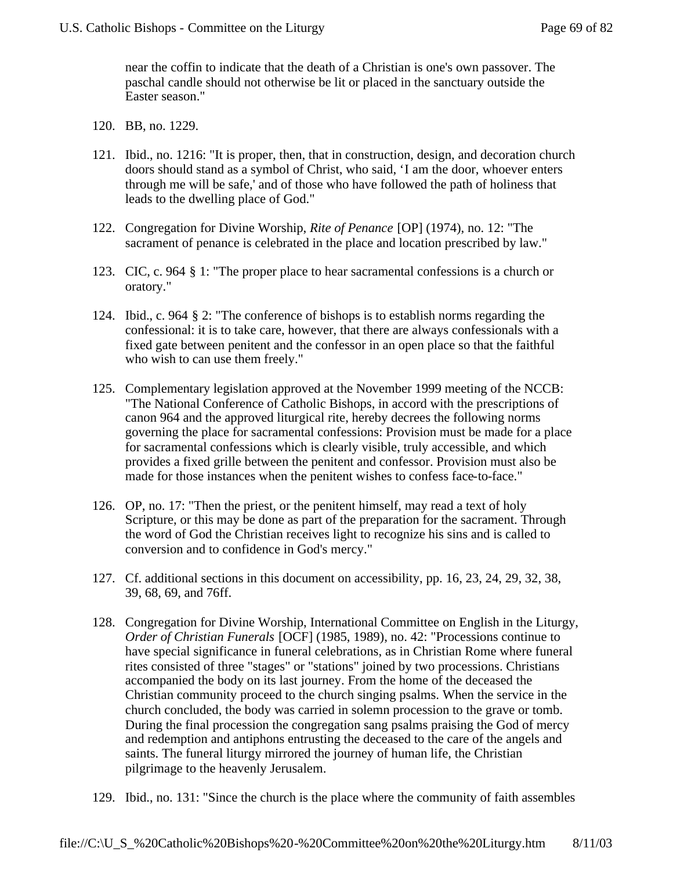near the coffin to indicate that the death of a Christian is one's own passover. The paschal candle should not otherwise be lit or placed in the sanctuary outside the Easter season."

- 120. BB, no. 1229.
- 121. Ibid., no. 1216: "It is proper, then, that in construction, design, and decoration church doors should stand as a symbol of Christ, who said, 'I am the door, whoever enters through me will be safe,' and of those who have followed the path of holiness that leads to the dwelling place of God."
- 122. Congregation for Divine Worship, *Rite of Penance* [OP] (1974), no. 12: "The sacrament of penance is celebrated in the place and location prescribed by law."
- 123. CIC, c. 964 § 1: "The proper place to hear sacramental confessions is a church or oratory."
- 124. Ibid., c. 964 § 2: "The conference of bishops is to establish norms regarding the confessional: it is to take care, however, that there are always confessionals with a fixed gate between penitent and the confessor in an open place so that the faithful who wish to can use them freely."
- 125. Complementary legislation approved at the November 1999 meeting of the NCCB: "The National Conference of Catholic Bishops, in accord with the prescriptions of canon 964 and the approved liturgical rite, hereby decrees the following norms governing the place for sacramental confessions: Provision must be made for a place for sacramental confessions which is clearly visible, truly accessible, and which provides a fixed grille between the penitent and confessor. Provision must also be made for those instances when the penitent wishes to confess face-to-face."
- 126. OP, no. 17: "Then the priest, or the penitent himself, may read a text of holy Scripture, or this may be done as part of the preparation for the sacrament. Through the word of God the Christian receives light to recognize his sins and is called to conversion and to confidence in God's mercy."
- 127. Cf. additional sections in this document on accessibility, pp. 16, 23, 24, 29, 32, 38, 39, 68, 69, and 76ff.
- 128. Congregation for Divine Worship, International Committee on English in the Liturgy, *Order of Christian Funerals* [OCF] (1985, 1989), no. 42: "Processions continue to have special significance in funeral celebrations, as in Christian Rome where funeral rites consisted of three "stages" or "stations" joined by two processions. Christians accompanied the body on its last journey. From the home of the deceased the Christian community proceed to the church singing psalms. When the service in the church concluded, the body was carried in solemn procession to the grave or tomb. During the final procession the congregation sang psalms praising the God of mercy and redemption and antiphons entrusting the deceased to the care of the angels and saints. The funeral liturgy mirrored the journey of human life, the Christian pilgrimage to the heavenly Jerusalem.
- 129. Ibid., no. 131: "Since the church is the place where the community of faith assembles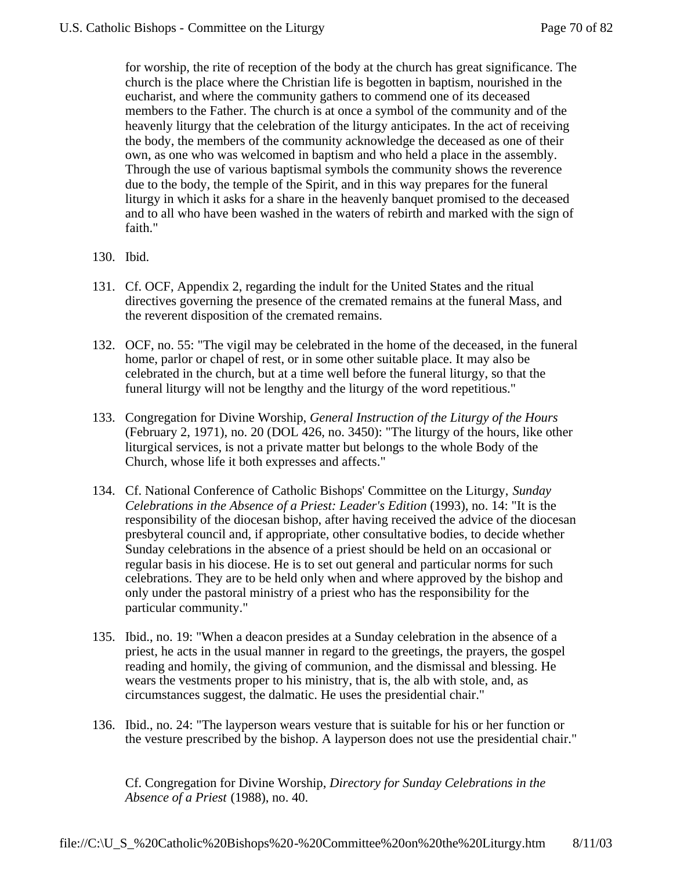for worship, the rite of reception of the body at the church has great significance. The church is the place where the Christian life is begotten in baptism, nourished in the eucharist, and where the community gathers to commend one of its deceased members to the Father. The church is at once a symbol of the community and of the heavenly liturgy that the celebration of the liturgy anticipates. In the act of receiving the body, the members of the community acknowledge the deceased as one of their own, as one who was welcomed in baptism and who held a place in the assembly. Through the use of various baptismal symbols the community shows the reverence due to the body, the temple of the Spirit, and in this way prepares for the funeral liturgy in which it asks for a share in the heavenly banquet promised to the deceased and to all who have been washed in the waters of rebirth and marked with the sign of faith."

- 130. Ibid.
- 131. Cf. OCF, Appendix 2, regarding the indult for the United States and the ritual directives governing the presence of the cremated remains at the funeral Mass, and the reverent disposition of the cremated remains.
- 132. OCF, no. 55: "The vigil may be celebrated in the home of the deceased, in the funeral home, parlor or chapel of rest, or in some other suitable place. It may also be celebrated in the church, but at a time well before the funeral liturgy, so that the funeral liturgy will not be lengthy and the liturgy of the word repetitious."
- 133. Congregation for Divine Worship, *General Instruction of the Liturgy of the Hours* (February 2, 1971), no. 20 (DOL 426, no. 3450): "The liturgy of the hours, like other liturgical services, is not a private matter but belongs to the whole Body of the Church, whose life it both expresses and affects."
- 134. Cf. National Conference of Catholic Bishops' Committee on the Liturgy, *Sunday Celebrations in the Absence of a Priest: Leader's Edition* (1993), no. 14: "It is the responsibility of the diocesan bishop, after having received the advice of the diocesan presbyteral council and, if appropriate, other consultative bodies, to decide whether Sunday celebrations in the absence of a priest should be held on an occasional or regular basis in his diocese. He is to set out general and particular norms for such celebrations. They are to be held only when and where approved by the bishop and only under the pastoral ministry of a priest who has the responsibility for the particular community."
- 135. Ibid., no. 19: "When a deacon presides at a Sunday celebration in the absence of a priest, he acts in the usual manner in regard to the greetings, the prayers, the gospel reading and homily, the giving of communion, and the dismissal and blessing. He wears the vestments proper to his ministry, that is, the alb with stole, and, as circumstances suggest, the dalmatic. He uses the presidential chair."
- 136. Ibid., no. 24: "The layperson wears vesture that is suitable for his or her function or the vesture prescribed by the bishop. A layperson does not use the presidential chair."

Cf. Congregation for Divine Worship, *Directory for Sunday Celebrations in the Absence of a Priest* (1988), no. 40.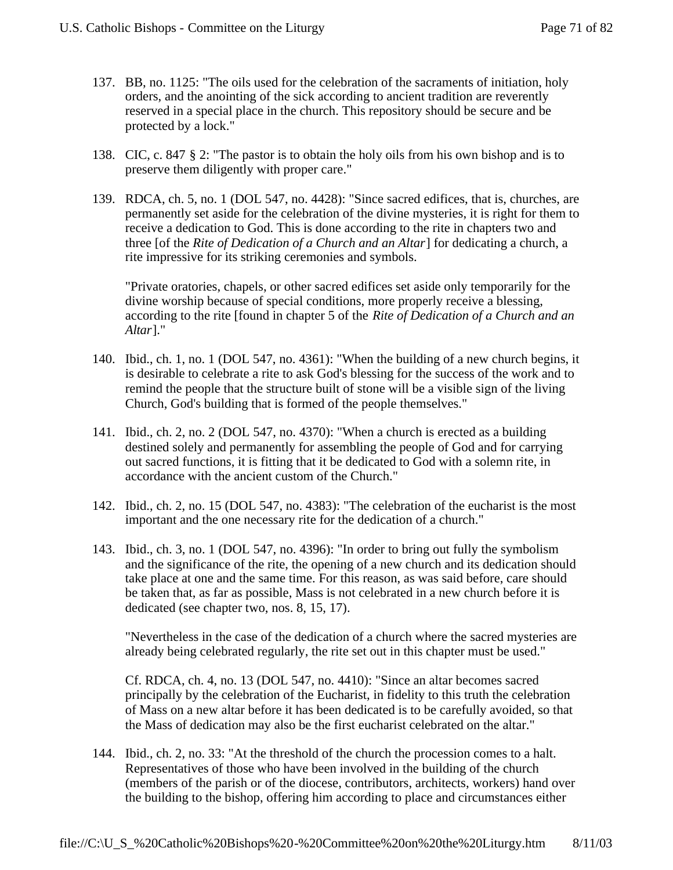- 137. BB, no. 1125: "The oils used for the celebration of the sacraments of initiation, holy orders, and the anointing of the sick according to ancient tradition are reverently reserved in a special place in the church. This repository should be secure and be protected by a lock."
- 138. CIC, c. 847 § 2: "The pastor is to obtain the holy oils from his own bishop and is to preserve them diligently with proper care."
- 139. RDCA, ch. 5, no. 1 (DOL 547, no. 4428): "Since sacred edifices, that is, churches, are permanently set aside for the celebration of the divine mysteries, it is right for them to receive a dedication to God. This is done according to the rite in chapters two and three [of the *Rite of Dedication of a Church and an Altar*] for dedicating a church, a rite impressive for its striking ceremonies and symbols.

"Private oratories, chapels, or other sacred edifices set aside only temporarily for the divine worship because of special conditions, more properly receive a blessing, according to the rite [found in chapter 5 of the *Rite of Dedication of a Church and an Altar*]."

- 140. Ibid., ch. 1, no. 1 (DOL 547, no. 4361): "When the building of a new church begins, it is desirable to celebrate a rite to ask God's blessing for the success of the work and to remind the people that the structure built of stone will be a visible sign of the living Church, God's building that is formed of the people themselves."
- 141. Ibid., ch. 2, no. 2 (DOL 547, no. 4370): "When a church is erected as a building destined solely and permanently for assembling the people of God and for carrying out sacred functions, it is fitting that it be dedicated to God with a solemn rite, in accordance with the ancient custom of the Church."
- 142. Ibid., ch. 2, no. 15 (DOL 547, no. 4383): "The celebration of the eucharist is the most important and the one necessary rite for the dedication of a church."
- 143. Ibid., ch. 3, no. 1 (DOL 547, no. 4396): "In order to bring out fully the symbolism and the significance of the rite, the opening of a new church and its dedication should take place at one and the same time. For this reason, as was said before, care should be taken that, as far as possible, Mass is not celebrated in a new church before it is dedicated (see chapter two, nos. 8, 15, 17).

"Nevertheless in the case of the dedication of a church where the sacred mysteries are already being celebrated regularly, the rite set out in this chapter must be used."

Cf. RDCA, ch. 4, no. 13 (DOL 547, no. 4410): "Since an altar becomes sacred principally by the celebration of the Eucharist, in fidelity to this truth the celebration of Mass on a new altar before it has been dedicated is to be carefully avoided, so that the Mass of dedication may also be the first eucharist celebrated on the altar."

144. Ibid., ch. 2, no. 33: "At the threshold of the church the procession comes to a halt. Representatives of those who have been involved in the building of the church (members of the parish or of the diocese, contributors, architects, workers) hand over the building to the bishop, offering him according to place and circumstances either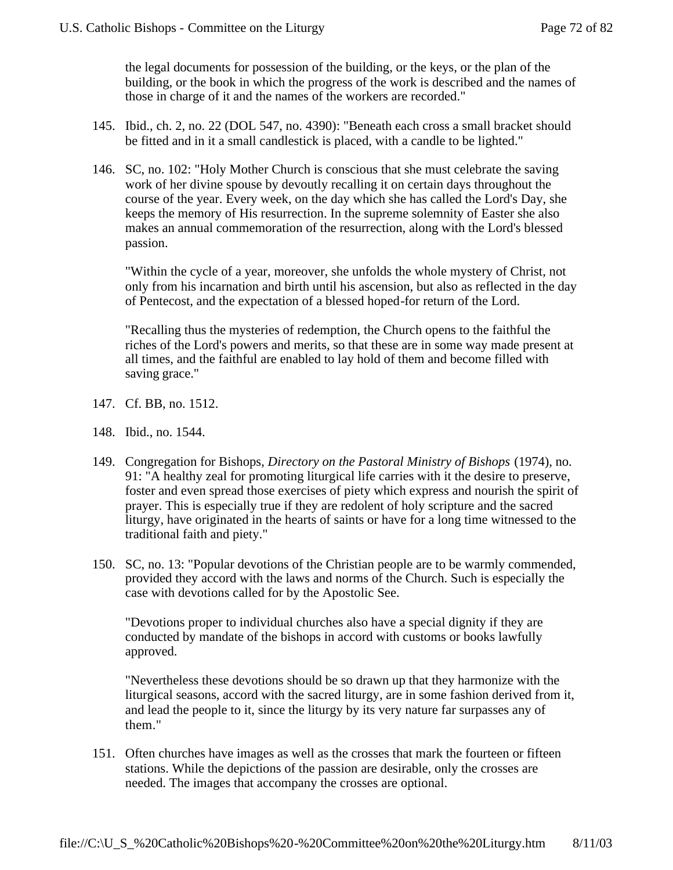the legal documents for possession of the building, or the keys, or the plan of the building, or the book in which the progress of the work is described and the names of those in charge of it and the names of the workers are recorded."

- 145. Ibid., ch. 2, no. 22 (DOL 547, no. 4390): "Beneath each cross a small bracket should be fitted and in it a small candlestick is placed, with a candle to be lighted."
- 146. SC, no. 102: "Holy Mother Church is conscious that she must celebrate the saving work of her divine spouse by devoutly recalling it on certain days throughout the course of the year. Every week, on the day which she has called the Lord's Day, she keeps the memory of His resurrection. In the supreme solemnity of Easter she also makes an annual commemoration of the resurrection, along with the Lord's blessed passion.

"Within the cycle of a year, moreover, she unfolds the whole mystery of Christ, not only from his incarnation and birth until his ascension, but also as reflected in the day of Pentecost, and the expectation of a blessed hoped-for return of the Lord.

"Recalling thus the mysteries of redemption, the Church opens to the faithful the riches of the Lord's powers and merits, so that these are in some way made present at all times, and the faithful are enabled to lay hold of them and become filled with saving grace."

- 147. Cf. BB, no. 1512.
- 148. Ibid., no. 1544.
- 149. Congregation for Bishops, *Directory on the Pastoral Ministry of Bishops* (1974), no. 91: "A healthy zeal for promoting liturgical life carries with it the desire to preserve, foster and even spread those exercises of piety which express and nourish the spirit of prayer. This is especially true if they are redolent of holy scripture and the sacred liturgy, have originated in the hearts of saints or have for a long time witnessed to the traditional faith and piety."
- 150. SC, no. 13: "Popular devotions of the Christian people are to be warmly commended, provided they accord with the laws and norms of the Church. Such is especially the case with devotions called for by the Apostolic See.

"Devotions proper to individual churches also have a special dignity if they are conducted by mandate of the bishops in accord with customs or books lawfully approved.

"Nevertheless these devotions should be so drawn up that they harmonize with the liturgical seasons, accord with the sacred liturgy, are in some fashion derived from it, and lead the people to it, since the liturgy by its very nature far surpasses any of them."

151. Often churches have images as well as the crosses that mark the fourteen or fifteen stations. While the depictions of the passion are desirable, only the crosses are needed. The images that accompany the crosses are optional.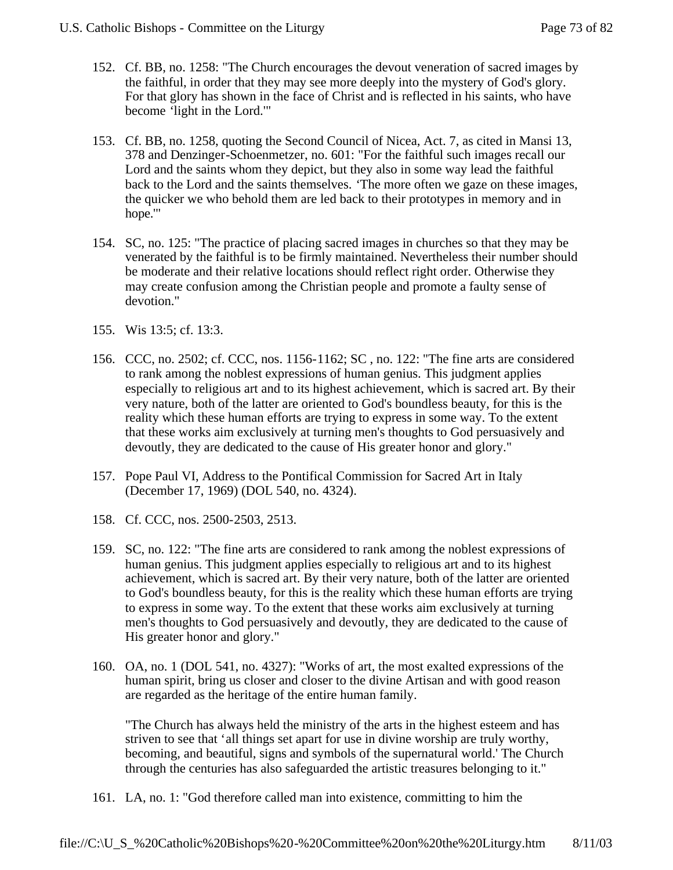- 152. Cf. BB, no. 1258: "The Church encourages the devout veneration of sacred images by the faithful, in order that they may see more deeply into the mystery of God's glory. For that glory has shown in the face of Christ and is reflected in his saints, who have become 'light in the Lord.'"
- 153. Cf. BB, no. 1258, quoting the Second Council of Nicea, Act. 7, as cited in Mansi 13, 378 and Denzinger-Schoenmetzer, no. 601: "For the faithful such images recall our Lord and the saints whom they depict, but they also in some way lead the faithful back to the Lord and the saints themselves. 'The more often we gaze on these images, the quicker we who behold them are led back to their prototypes in memory and in hope.'"
- 154. SC, no. 125: "The practice of placing sacred images in churches so that they may be venerated by the faithful is to be firmly maintained. Nevertheless their number should be moderate and their relative locations should reflect right order. Otherwise they may create confusion among the Christian people and promote a faulty sense of devotion."
- 155. Wis 13:5; cf. 13:3.
- 156. CCC, no. 2502; cf. CCC, nos. 1156-1162; SC , no. 122: "The fine arts are considered to rank among the noblest expressions of human genius. This judgment applies especially to religious art and to its highest achievement, which is sacred art. By their very nature, both of the latter are oriented to God's boundless beauty, for this is the reality which these human efforts are trying to express in some way. To the extent that these works aim exclusively at turning men's thoughts to God persuasively and devoutly, they are dedicated to the cause of His greater honor and glory."
- 157. Pope Paul VI, Address to the Pontifical Commission for Sacred Art in Italy (December 17, 1969) (DOL 540, no. 4324).
- 158. Cf. CCC, nos. 2500-2503, 2513.
- 159. SC, no. 122: "The fine arts are considered to rank among the noblest expressions of human genius. This judgment applies especially to religious art and to its highest achievement, which is sacred art. By their very nature, both of the latter are oriented to God's boundless beauty, for this is the reality which these human efforts are trying to express in some way. To the extent that these works aim exclusively at turning men's thoughts to God persuasively and devoutly, they are dedicated to the cause of His greater honor and glory."
- 160. OA, no. 1 (DOL 541, no. 4327): "Works of art, the most exalted expressions of the human spirit, bring us closer and closer to the divine Artisan and with good reason are regarded as the heritage of the entire human family.

"The Church has always held the ministry of the arts in the highest esteem and has striven to see that 'all things set apart for use in divine worship are truly worthy, becoming, and beautiful, signs and symbols of the supernatural world.' The Church through the centuries has also safeguarded the artistic treasures belonging to it."

161. LA, no. 1: "God therefore called man into existence, committing to him the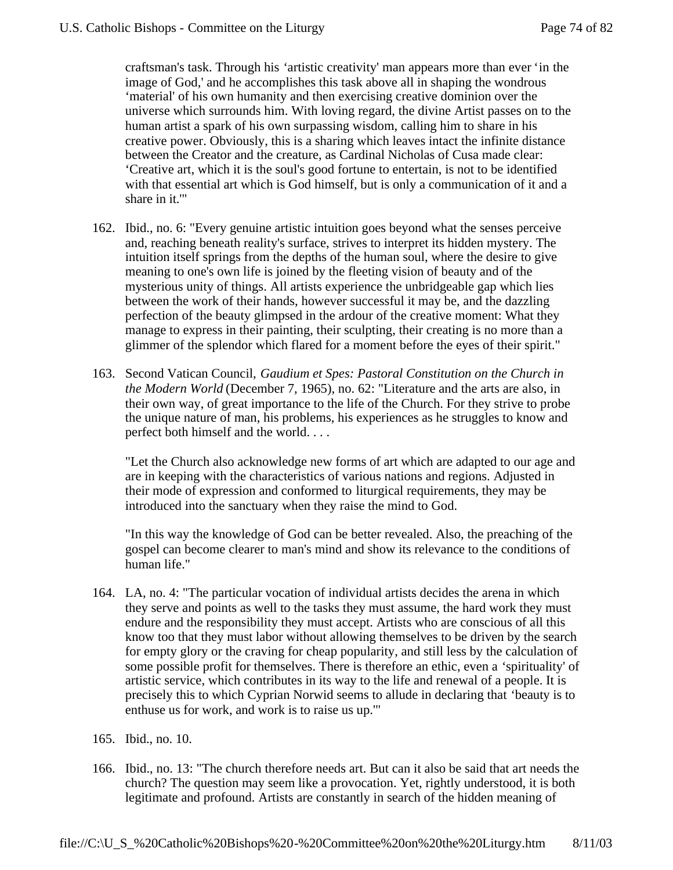craftsman's task. Through his 'artistic creativity' man appears more than ever 'in the image of God,' and he accomplishes this task above all in shaping the wondrous 'material' of his own humanity and then exercising creative dominion over the universe which surrounds him. With loving regard, the divine Artist passes on to the human artist a spark of his own surpassing wisdom, calling him to share in his creative power. Obviously, this is a sharing which leaves intact the infinite distance between the Creator and the creature, as Cardinal Nicholas of Cusa made clear: 'Creative art, which it is the soul's good fortune to entertain, is not to be identified with that essential art which is God himself, but is only a communication of it and a share in it.'"

- 162. Ibid., no. 6: "Every genuine artistic intuition goes beyond what the senses perceive and, reaching beneath reality's surface, strives to interpret its hidden mystery. The intuition itself springs from the depths of the human soul, where the desire to give meaning to one's own life is joined by the fleeting vision of beauty and of the mysterious unity of things. All artists experience the unbridgeable gap which lies between the work of their hands, however successful it may be, and the dazzling perfection of the beauty glimpsed in the ardour of the creative moment: What they manage to express in their painting, their sculpting, their creating is no more than a glimmer of the splendor which flared for a moment before the eyes of their spirit."
- 163. Second Vatican Council, *Gaudium et Spes: Pastoral Constitution on the Church in the Modern World* (December 7, 1965), no. 62: "Literature and the arts are also, in their own way, of great importance to the life of the Church. For they strive to probe the unique nature of man, his problems, his experiences as he struggles to know and perfect both himself and the world. . . .

"Let the Church also acknowledge new forms of art which are adapted to our age and are in keeping with the characteristics of various nations and regions. Adjusted in their mode of expression and conformed to liturgical requirements, they may be introduced into the sanctuary when they raise the mind to God.

"In this way the knowledge of God can be better revealed. Also, the preaching of the gospel can become clearer to man's mind and show its relevance to the conditions of human life."

- 164. LA, no. 4: "The particular vocation of individual artists decides the arena in which they serve and points as well to the tasks they must assume, the hard work they must endure and the responsibility they must accept. Artists who are conscious of all this know too that they must labor without allowing themselves to be driven by the search for empty glory or the craving for cheap popularity, and still less by the calculation of some possible profit for themselves. There is therefore an ethic, even a 'spirituality' of artistic service, which contributes in its way to the life and renewal of a people. It is precisely this to which Cyprian Norwid seems to allude in declaring that 'beauty is to enthuse us for work, and work is to raise us up.'"
- 165. Ibid., no. 10.
- 166. Ibid., no. 13: "The church therefore needs art. But can it also be said that art needs the church? The question may seem like a provocation. Yet, rightly understood, it is both legitimate and profound. Artists are constantly in search of the hidden meaning of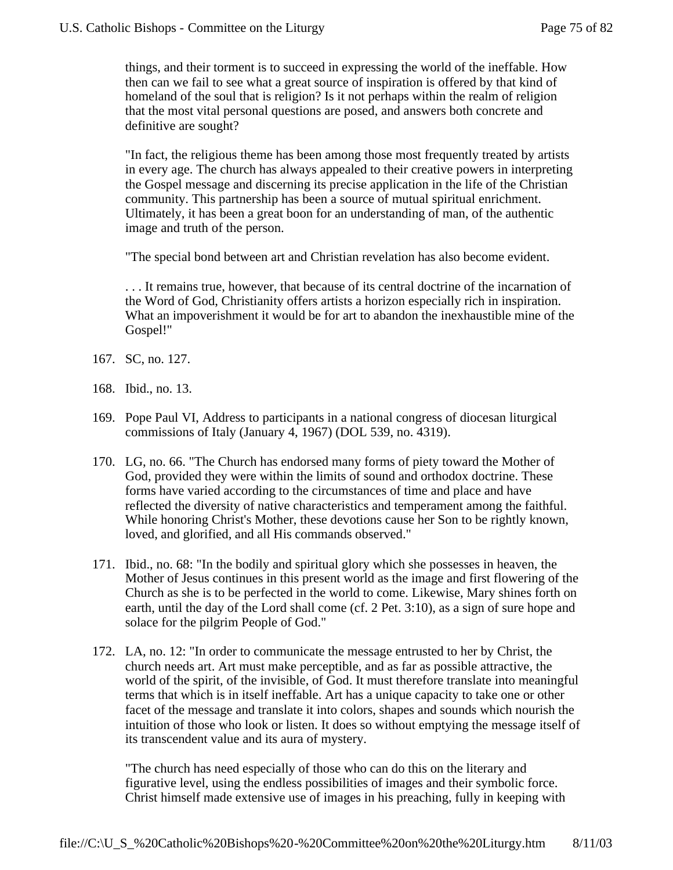things, and their torment is to succeed in expressing the world of the ineffable. How then can we fail to see what a great source of inspiration is offered by that kind of homeland of the soul that is religion? Is it not perhaps within the realm of religion that the most vital personal questions are posed, and answers both concrete and definitive are sought?

"In fact, the religious theme has been among those most frequently treated by artists in every age. The church has always appealed to their creative powers in interpreting the Gospel message and discerning its precise application in the life of the Christian community. This partnership has been a source of mutual spiritual enrichment. Ultimately, it has been a great boon for an understanding of man, of the authentic image and truth of the person.

"The special bond between art and Christian revelation has also become evident.

. . . It remains true, however, that because of its central doctrine of the incarnation of the Word of God, Christianity offers artists a horizon especially rich in inspiration. What an impoverishment it would be for art to abandon the inexhaustible mine of the Gospel!"

- 167. SC, no. 127.
- 168. Ibid., no. 13.
- 169. Pope Paul VI, Address to participants in a national congress of diocesan liturgical commissions of Italy (January 4, 1967) (DOL 539, no. 4319).
- 170. LG, no. 66. "The Church has endorsed many forms of piety toward the Mother of God, provided they were within the limits of sound and orthodox doctrine. These forms have varied according to the circumstances of time and place and have reflected the diversity of native characteristics and temperament among the faithful. While honoring Christ's Mother, these devotions cause her Son to be rightly known, loved, and glorified, and all His commands observed."
- 171. Ibid., no. 68: "In the bodily and spiritual glory which she possesses in heaven, the Mother of Jesus continues in this present world as the image and first flowering of the Church as she is to be perfected in the world to come. Likewise, Mary shines forth on earth, until the day of the Lord shall come (cf. 2 Pet. 3:10), as a sign of sure hope and solace for the pilgrim People of God."
- 172. LA, no. 12: "In order to communicate the message entrusted to her by Christ, the church needs art. Art must make perceptible, and as far as possible attractive, the world of the spirit, of the invisible, of God. It must therefore translate into meaningful terms that which is in itself ineffable. Art has a unique capacity to take one or other facet of the message and translate it into colors, shapes and sounds which nourish the intuition of those who look or listen. It does so without emptying the message itself of its transcendent value and its aura of mystery.

"The church has need especially of those who can do this on the literary and figurative level, using the endless possibilities of images and their symbolic force. Christ himself made extensive use of images in his preaching, fully in keeping with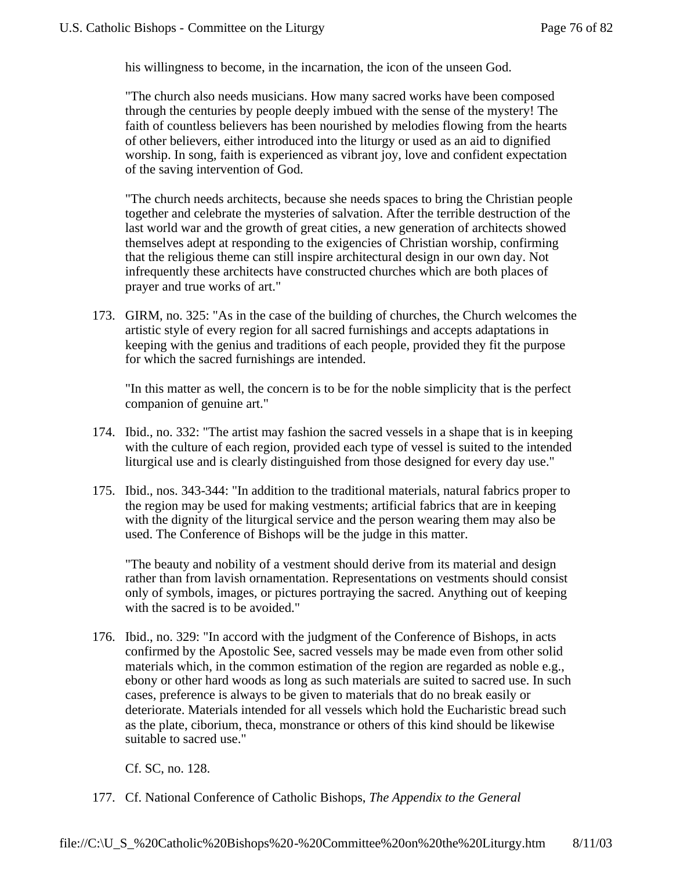his willingness to become, in the incarnation, the icon of the unseen God.

"The church also needs musicians. How many sacred works have been composed through the centuries by people deeply imbued with the sense of the mystery! The faith of countless believers has been nourished by melodies flowing from the hearts of other believers, either introduced into the liturgy or used as an aid to dignified worship. In song, faith is experienced as vibrant joy, love and confident expectation of the saving intervention of God.

"The church needs architects, because she needs spaces to bring the Christian people together and celebrate the mysteries of salvation. After the terrible destruction of the last world war and the growth of great cities, a new generation of architects showed themselves adept at responding to the exigencies of Christian worship, confirming that the religious theme can still inspire architectural design in our own day. Not infrequently these architects have constructed churches which are both places of prayer and true works of art."

173. GIRM, no. 325: "As in the case of the building of churches, the Church welcomes the artistic style of every region for all sacred furnishings and accepts adaptations in keeping with the genius and traditions of each people, provided they fit the purpose for which the sacred furnishings are intended.

"In this matter as well, the concern is to be for the noble simplicity that is the perfect companion of genuine art."

- 174. Ibid., no. 332: "The artist may fashion the sacred vessels in a shape that is in keeping with the culture of each region, provided each type of vessel is suited to the intended liturgical use and is clearly distinguished from those designed for every day use."
- 175. Ibid., nos. 343-344: "In addition to the traditional materials, natural fabrics proper to the region may be used for making vestments; artificial fabrics that are in keeping with the dignity of the liturgical service and the person wearing them may also be used. The Conference of Bishops will be the judge in this matter.

"The beauty and nobility of a vestment should derive from its material and design rather than from lavish ornamentation. Representations on vestments should consist only of symbols, images, or pictures portraying the sacred. Anything out of keeping with the sacred is to be avoided."

176. Ibid., no. 329: "In accord with the judgment of the Conference of Bishops, in acts confirmed by the Apostolic See, sacred vessels may be made even from other solid materials which, in the common estimation of the region are regarded as noble e.g., ebony or other hard woods as long as such materials are suited to sacred use. In such cases, preference is always to be given to materials that do no break easily or deteriorate. Materials intended for all vessels which hold the Eucharistic bread such as the plate, ciborium, theca, monstrance or others of this kind should be likewise suitable to sacred use."

Cf. SC, no. 128.

177. Cf. National Conference of Catholic Bishops, *The Appendix to the General*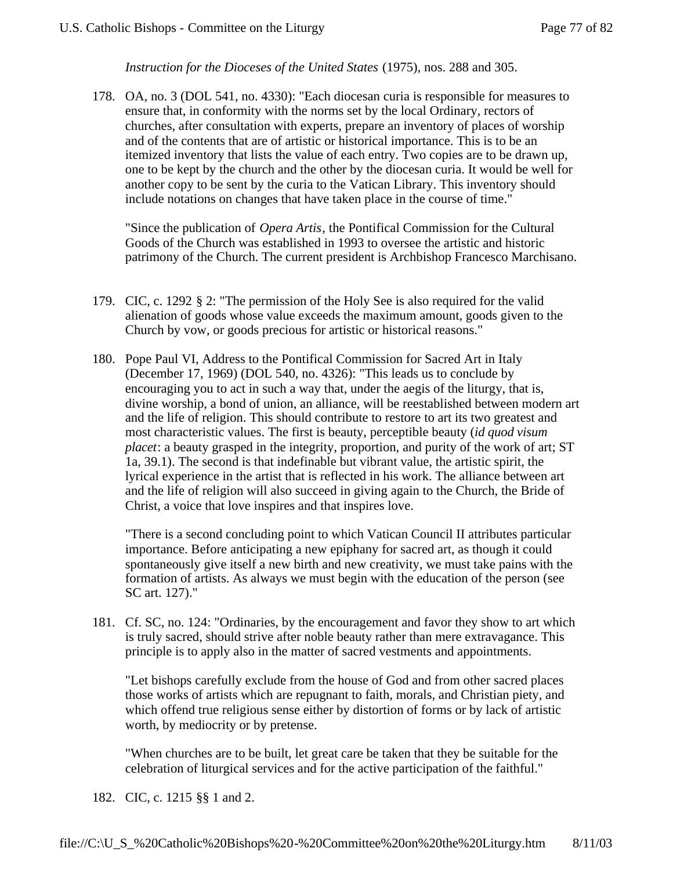*Instruction for the Dioceses of the United States* (1975), nos. 288 and 305.

178. OA, no. 3 (DOL 541, no. 4330): "Each diocesan curia is responsible for measures to ensure that, in conformity with the norms set by the local Ordinary, rectors of churches, after consultation with experts, prepare an inventory of places of worship and of the contents that are of artistic or historical importance. This is to be an itemized inventory that lists the value of each entry. Two copies are to be drawn up, one to be kept by the church and the other by the diocesan curia. It would be well for another copy to be sent by the curia to the Vatican Library. This inventory should include notations on changes that have taken place in the course of time."

"Since the publication of *Opera Artis*, the Pontifical Commission for the Cultural Goods of the Church was established in 1993 to oversee the artistic and historic patrimony of the Church. The current president is Archbishop Francesco Marchisano.

- 179. CIC, c. 1292 § 2: "The permission of the Holy See is also required for the valid alienation of goods whose value exceeds the maximum amount, goods given to the Church by vow, or goods precious for artistic or historical reasons."
- 180. Pope Paul VI, Address to the Pontifical Commission for Sacred Art in Italy (December 17, 1969) (DOL 540, no. 4326): "This leads us to conclude by encouraging you to act in such a way that, under the aegis of the liturgy, that is, divine worship, a bond of union, an alliance, will be reestablished between modern art and the life of religion. This should contribute to restore to art its two greatest and most characteristic values. The first is beauty, perceptible beauty (*id quod visum placet*: a beauty grasped in the integrity, proportion, and purity of the work of art; ST 1a, 39.1). The second is that indefinable but vibrant value, the artistic spirit, the lyrical experience in the artist that is reflected in his work. The alliance between art and the life of religion will also succeed in giving again to the Church, the Bride of Christ, a voice that love inspires and that inspires love.

"There is a second concluding point to which Vatican Council II attributes particular importance. Before anticipating a new epiphany for sacred art, as though it could spontaneously give itself a new birth and new creativity, we must take pains with the formation of artists. As always we must begin with the education of the person (see SC art. 127)."

181. Cf. SC, no. 124: "Ordinaries, by the encouragement and favor they show to art which is truly sacred, should strive after noble beauty rather than mere extravagance. This principle is to apply also in the matter of sacred vestments and appointments.

"Let bishops carefully exclude from the house of God and from other sacred places those works of artists which are repugnant to faith, morals, and Christian piety, and which offend true religious sense either by distortion of forms or by lack of artistic worth, by mediocrity or by pretense.

"When churches are to be built, let great care be taken that they be suitable for the celebration of liturgical services and for the active participation of the faithful."

182. CIC, c. 1215 §§ 1 and 2.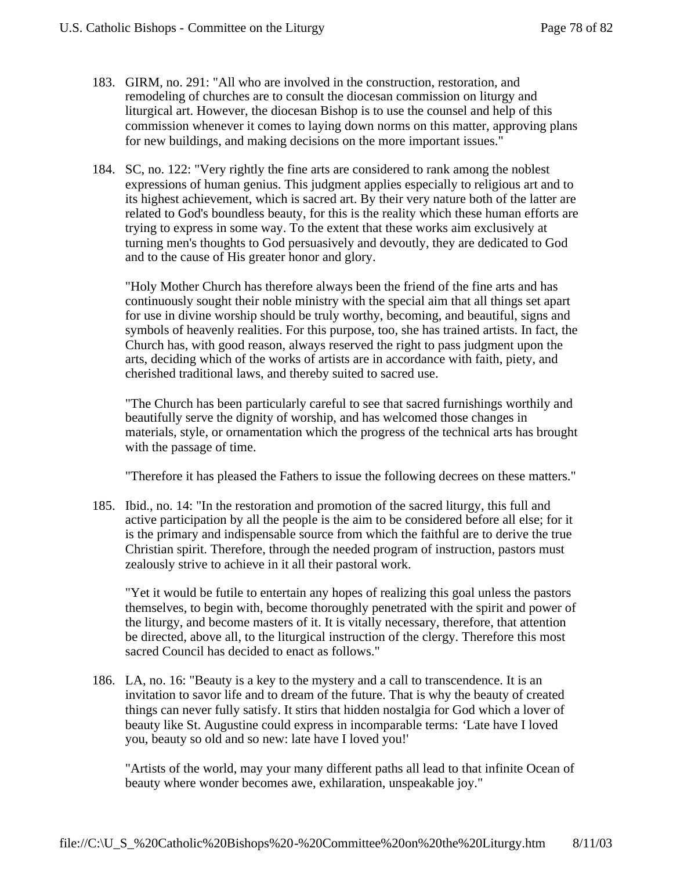- 183. GIRM, no. 291: "All who are involved in the construction, restoration, and remodeling of churches are to consult the diocesan commission on liturgy and liturgical art. However, the diocesan Bishop is to use the counsel and help of this commission whenever it comes to laying down norms on this matter, approving plans for new buildings, and making decisions on the more important issues."
- 184. SC, no. 122: "Very rightly the fine arts are considered to rank among the noblest expressions of human genius. This judgment applies especially to religious art and to its highest achievement, which is sacred art. By their very nature both of the latter are related to God's boundless beauty, for this is the reality which these human efforts are trying to express in some way. To the extent that these works aim exclusively at turning men's thoughts to God persuasively and devoutly, they are dedicated to God and to the cause of His greater honor and glory.

"Holy Mother Church has therefore always been the friend of the fine arts and has continuously sought their noble ministry with the special aim that all things set apart for use in divine worship should be truly worthy, becoming, and beautiful, signs and symbols of heavenly realities. For this purpose, too, she has trained artists. In fact, the Church has, with good reason, always reserved the right to pass judgment upon the arts, deciding which of the works of artists are in accordance with faith, piety, and cherished traditional laws, and thereby suited to sacred use.

"The Church has been particularly careful to see that sacred furnishings worthily and beautifully serve the dignity of worship, and has welcomed those changes in materials, style, or ornamentation which the progress of the technical arts has brought with the passage of time.

"Therefore it has pleased the Fathers to issue the following decrees on these matters."

185. Ibid., no. 14: "In the restoration and promotion of the sacred liturgy, this full and active participation by all the people is the aim to be considered before all else; for it is the primary and indispensable source from which the faithful are to derive the true Christian spirit. Therefore, through the needed program of instruction, pastors must zealously strive to achieve in it all their pastoral work.

"Yet it would be futile to entertain any hopes of realizing this goal unless the pastors themselves, to begin with, become thoroughly penetrated with the spirit and power of the liturgy, and become masters of it. It is vitally necessary, therefore, that attention be directed, above all, to the liturgical instruction of the clergy. Therefore this most sacred Council has decided to enact as follows."

186. LA, no. 16: "Beauty is a key to the mystery and a call to transcendence. It is an invitation to savor life and to dream of the future. That is why the beauty of created things can never fully satisfy. It stirs that hidden nostalgia for God which a lover of beauty like St. Augustine could express in incomparable terms: 'Late have I loved you, beauty so old and so new: late have I loved you!'

"Artists of the world, may your many different paths all lead to that infinite Ocean of beauty where wonder becomes awe, exhilaration, unspeakable joy."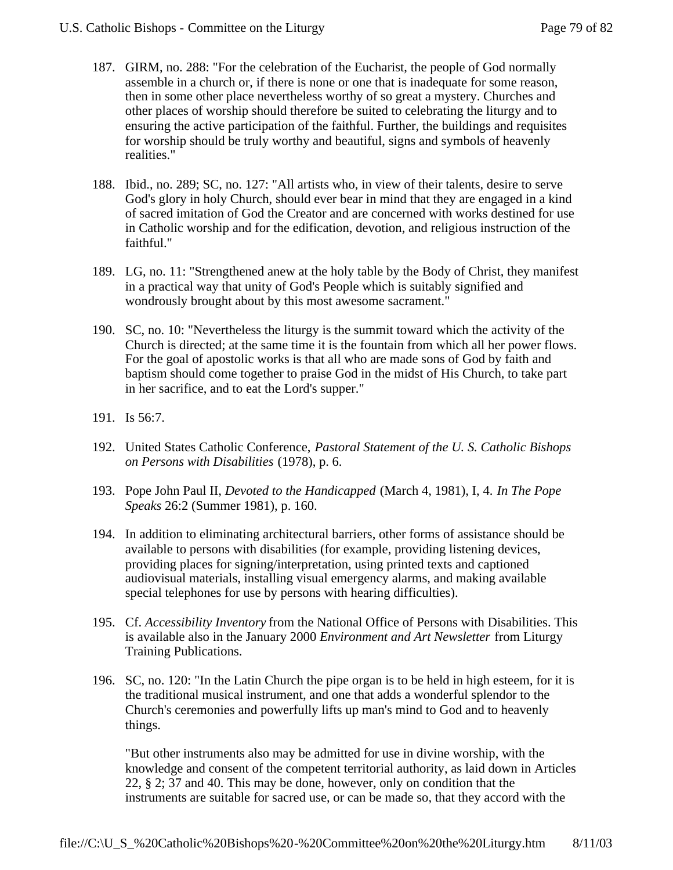- 187. GIRM, no. 288: "For the celebration of the Eucharist, the people of God normally assemble in a church or, if there is none or one that is inadequate for some reason, then in some other place nevertheless worthy of so great a mystery. Churches and other places of worship should therefore be suited to celebrating the liturgy and to ensuring the active participation of the faithful. Further, the buildings and requisites for worship should be truly worthy and beautiful, signs and symbols of heavenly realities."
- 188. Ibid., no. 289; SC, no. 127: "All artists who, in view of their talents, desire to serve God's glory in holy Church, should ever bear in mind that they are engaged in a kind of sacred imitation of God the Creator and are concerned with works destined for use in Catholic worship and for the edification, devotion, and religious instruction of the faithful."
- 189. LG, no. 11: "Strengthened anew at the holy table by the Body of Christ, they manifest in a practical way that unity of God's People which is suitably signified and wondrously brought about by this most awesome sacrament."
- 190. SC, no. 10: "Nevertheless the liturgy is the summit toward which the activity of the Church is directed; at the same time it is the fountain from which all her power flows. For the goal of apostolic works is that all who are made sons of God by faith and baptism should come together to praise God in the midst of His Church, to take part in her sacrifice, and to eat the Lord's supper."
- 191. Is 56:7.
- 192. United States Catholic Conference, *Pastoral Statement of the U. S. Catholic Bishops on Persons with Disabilities* (1978), p. 6.
- 193. Pope John Paul II, *Devoted to the Handicapped* (March 4, 1981), I, 4. *In The Pope Speaks* 26:2 (Summer 1981), p. 160.
- 194. In addition to eliminating architectural barriers, other forms of assistance should be available to persons with disabilities (for example, providing listening devices, providing places for signing/interpretation, using printed texts and captioned audiovisual materials, installing visual emergency alarms, and making available special telephones for use by persons with hearing difficulties).
- 195. Cf. *Accessibility Inventory* from the National Office of Persons with Disabilities. This is available also in the January 2000 *Environment and Art Newsletter* from Liturgy Training Publications.
- 196. SC, no. 120: "In the Latin Church the pipe organ is to be held in high esteem, for it is the traditional musical instrument, and one that adds a wonderful splendor to the Church's ceremonies and powerfully lifts up man's mind to God and to heavenly things.

"But other instruments also may be admitted for use in divine worship, with the knowledge and consent of the competent territorial authority, as laid down in Articles 22, § 2; 37 and 40. This may be done, however, only on condition that the instruments are suitable for sacred use, or can be made so, that they accord with the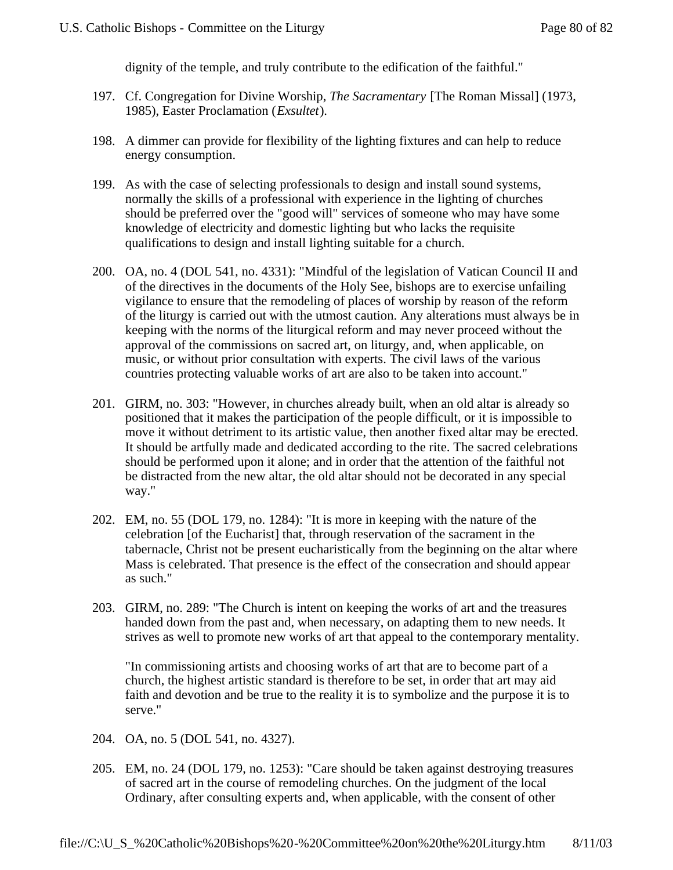dignity of the temple, and truly contribute to the edification of the faithful."

- 197. Cf. Congregation for Divine Worship, *The Sacramentary* [The Roman Missal] (1973, 1985), Easter Proclamation (*Exsultet*).
- 198. A dimmer can provide for flexibility of the lighting fixtures and can help to reduce energy consumption.
- 199. As with the case of selecting professionals to design and install sound systems, normally the skills of a professional with experience in the lighting of churches should be preferred over the "good will" services of someone who may have some knowledge of electricity and domestic lighting but who lacks the requisite qualifications to design and install lighting suitable for a church.
- 200. OA, no. 4 (DOL 541, no. 4331): "Mindful of the legislation of Vatican Council II and of the directives in the documents of the Holy See, bishops are to exercise unfailing vigilance to ensure that the remodeling of places of worship by reason of the reform of the liturgy is carried out with the utmost caution. Any alterations must always be in keeping with the norms of the liturgical reform and may never proceed without the approval of the commissions on sacred art, on liturgy, and, when applicable, on music, or without prior consultation with experts. The civil laws of the various countries protecting valuable works of art are also to be taken into account."
- 201. GIRM, no. 303: "However, in churches already built, when an old altar is already so positioned that it makes the participation of the people difficult, or it is impossible to move it without detriment to its artistic value, then another fixed altar may be erected. It should be artfully made and dedicated according to the rite. The sacred celebrations should be performed upon it alone; and in order that the attention of the faithful not be distracted from the new altar, the old altar should not be decorated in any special way."
- 202. EM, no. 55 (DOL 179, no. 1284): "It is more in keeping with the nature of the celebration [of the Eucharist] that, through reservation of the sacrament in the tabernacle, Christ not be present eucharistically from the beginning on the altar where Mass is celebrated. That presence is the effect of the consecration and should appear as such."
- 203. GIRM, no. 289: "The Church is intent on keeping the works of art and the treasures handed down from the past and, when necessary, on adapting them to new needs. It strives as well to promote new works of art that appeal to the contemporary mentality.

"In commissioning artists and choosing works of art that are to become part of a church, the highest artistic standard is therefore to be set, in order that art may aid faith and devotion and be true to the reality it is to symbolize and the purpose it is to serve."

- 204. OA, no. 5 (DOL 541, no. 4327).
- 205. EM, no. 24 (DOL 179, no. 1253): "Care should be taken against destroying treasures of sacred art in the course of remodeling churches. On the judgment of the local Ordinary, after consulting experts and, when applicable, with the consent of other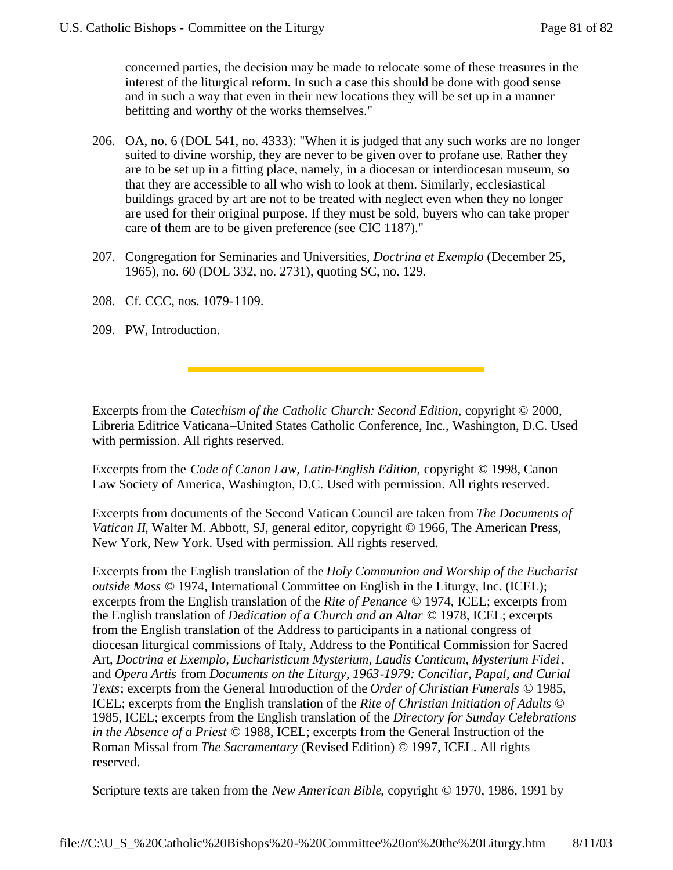concerned parties, the decision may be made to relocate some of these treasures in the interest of the liturgical reform. In such a case this should be done with good sense and in such a way that even in their new locations they will be set up in a manner befitting and worthy of the works themselves."

- 206. OA, no. 6 (DOL 541, no. 4333): "When it is judged that any such works are no longer suited to divine worship, they are never to be given over to profane use. Rather they are to be set up in a fitting place, namely, in a diocesan or interdiocesan museum, so that they are accessible to all who wish to look at them. Similarly, ecclesiastical buildings graced by art are not to be treated with neglect even when they no longer are used for their original purpose. If they must be sold, buyers who can take proper care of them are to be given preference (see CIC 1187)."
- 207. Congregation for Seminaries and Universities, *Doctrina et Exemplo* (December 25, 1965), no. 60 (DOL 332, no. 2731), quoting SC, no. 129.
- 208. Cf. CCC, nos. 1079-1109.
- 209. PW, Introduction.

Excerpts from the *Catechism of the Catholic Church: Second Edition*, copyright © 2000, Libreria Editrice Vaticana–United States Catholic Conference, Inc., Washington, D.C. Used with permission. All rights reserved.

Excerpts from the *Code of Canon Law, Latin-English Edition*, copyright © 1998, Canon Law Society of America, Washington, D.C. Used with permission. All rights reserved.

Excerpts from documents of the Second Vatican Council are taken from *The Documents of Vatican II*, Walter M. Abbott, SJ, general editor, copyright © 1966, The American Press, New York, New York. Used with permission. All rights reserved.

Excerpts from the English translation of the *Holy Communion and Worship of the Eucharist outside Mass* © 1974, International Committee on English in the Liturgy, Inc. (ICEL); excerpts from the English translation of the *Rite of Penance* © 1974, ICEL; excerpts from the English translation of *Dedication of a Church and an Altar* © 1978, ICEL; excerpts from the English translation of the Address to participants in a national congress of diocesan liturgical commissions of Italy, Address to the Pontifical Commission for Sacred Art, *Doctrina et Exemplo, Eucharisticum Mysterium, Laudis Canticum, Mysterium Fidei*, and *Opera Artis* from *Documents on the Liturgy, 1963-1979: Conciliar, Papal, and Curial Texts*; excerpts from the General Introduction of the *Order of Christian Funerals* © 1985, ICEL; excerpts from the English translation of the *Rite of Christian Initiation of Adults* © 1985, ICEL; excerpts from the English translation of the *Directory for Sunday Celebrations in the Absence of a Priest* © 1988, ICEL; excerpts from the General Instruction of the Roman Missal from *The Sacramentary* (Revised Edition) © 1997, ICEL. All rights reserved.

Scripture texts are taken from the *New American Bible*, copyright © 1970, 1986, 1991 by